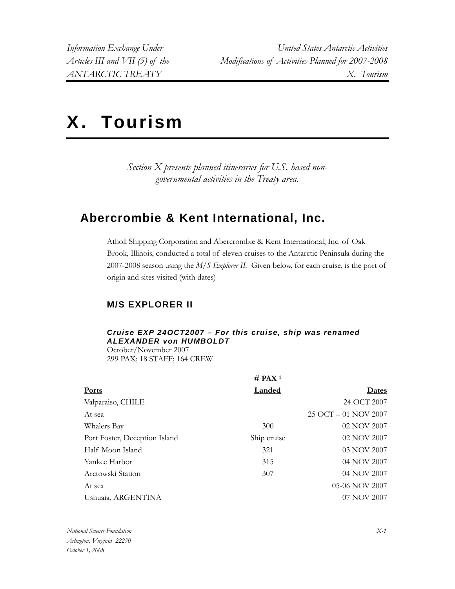# X. Tourism

*Section X presents planned itineraries for U.S. based nongovernmental activities in the Treaty area.* 

## **Abercrombie & Kent International, Inc.**

Atholl Shipping Corporation and Abercrombie & Kent International, Inc. of Oak Brook, Illinois, conducted a total of eleven cruises to the Antarctic Peninsula during the 2007-2008 season using the *M/S Explorer II.* Given below, for each cruise, is the port of origin and sites visited (with dates)

## **M/S EXPLORER II**

## *Cruise EXP 24OCT2007 – For this cruise, ship was renamed ALEXANDER von HUMBOLDT*

October/November 2007 299 PAX; 18 STAFF; 164 CREW

|                               | # PAX <sup>1</sup> |                      |
|-------------------------------|--------------------|----------------------|
| <b>Ports</b>                  | Landed             | Dates                |
| Valparaiso, CHILE             |                    | 24 OCT 2007          |
| At sea                        |                    | 25 OCT - 01 NOV 2007 |
| Whalers Bay                   | 300                | 02 NOV 2007          |
| Port Foster, Deception Island | Ship cruise        | 02 NOV 2007          |
| Half Moon Island              | 321                | 03 NOV 2007          |
| Yankee Harbor                 | 315                | 04 NOV 2007          |
| Arctowski Station             | 307                | 04 NOV 2007          |
| At sea                        |                    | 05-06 NOV 2007       |
| Ushuaia, ARGENTINA            |                    | 07 NOV 2007          |
|                               |                    |                      |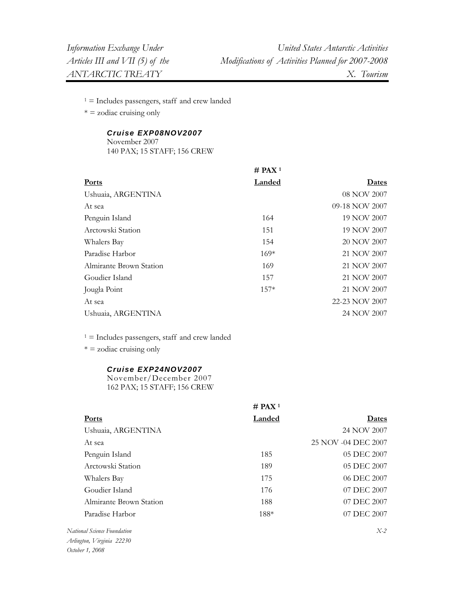$1 =$  Includes passengers, staff and crew landed

 $* =$  zodiac cruising only

#### *Cruise EXP08NOV2007*

November 2007 140 PAX; 15 STAFF; 156 CREW

|                         | $#$ PAX <sup>1</sup> |                |
|-------------------------|----------------------|----------------|
| <b>Ports</b>            | <b>Landed</b>        | <u>Dates</u>   |
| Ushuaia, ARGENTINA      |                      | 08 NOV 2007    |
| At sea                  |                      | 09-18 NOV 2007 |
| Penguin Island          | 164                  | 19 NOV 2007    |
| Arctowski Station       | 151                  | 19 NOV 2007    |
| Whalers Bay             | 154                  | 20 NOV 2007    |
| Paradise Harbor         | $169*$               | 21 NOV 2007    |
| Almirante Brown Station | 169                  | 21 NOV 2007    |
| Goudier Island          | 157                  | 21 NOV 2007    |
| Jougla Point            | $157*$               | 21 NOV 2007    |
| At sea                  |                      | 22-23 NOV 2007 |
| Ushuaia, ARGENTINA      |                      | 24 NOV 2007    |

 $1 =$  Includes passengers, staff and crew landed

 $* = z$ odiac cruising only

#### *Cruise EXP24NOV2007*

November/December 2007 162 PAX; 15 STAFF; 156 CREW

|                         | # PAX <sup>1</sup> |                     |
|-------------------------|--------------------|---------------------|
| <b>Ports</b>            | Landed             | Dates               |
| Ushuaia, ARGENTINA      |                    | 24 NOV 2007         |
| At sea                  |                    | 25 NOV -04 DEC 2007 |
| Penguin Island          | 185                | 05 DEC 2007         |
| Arctowski Station       | 189                | 05 DEC 2007         |
| Whalers Bay             | 175                | 06 DEC 2007         |
| Goudier Island          | 176                | 07 DEC 2007         |
| Almirante Brown Station | 188                | 07 DEC 2007         |
| Paradise Harbor         | 188*               | 07 DEC 2007         |
|                         |                    |                     |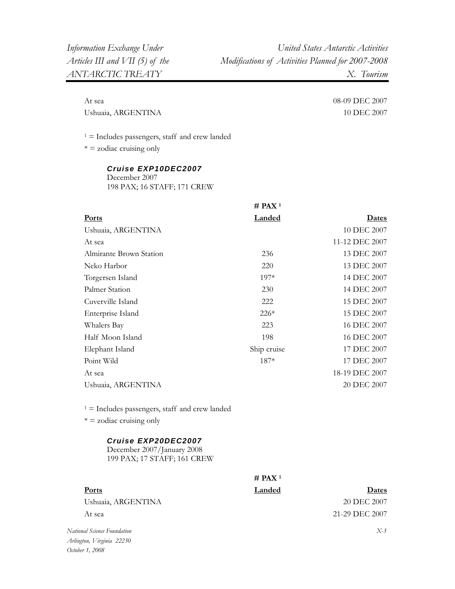At sea 08-09 DEC 2007

Ushuaia, ARGENTINA 10 DEC 2007

 $1 =$  Includes passengers, staff and crew landed

 $* =$  zodiac cruising only

| Cruise EXP10DEC2007         |  |
|-----------------------------|--|
| December 2007               |  |
| 198 PAX; 16 STAFF; 171 CREW |  |

|                         | $#$ PAX <sup>1</sup> |                |
|-------------------------|----------------------|----------------|
| <b>Ports</b>            | <b>Landed</b>        | <b>Dates</b>   |
| Ushuaia, ARGENTINA      |                      | 10 DEC 2007    |
| At sea                  |                      | 11-12 DEC 2007 |
| Almirante Brown Station | 236                  | 13 DEC 2007    |
| Neko Harbor             | 220                  | 13 DEC 2007    |
| Torgersen Island        | 197*                 | 14 DEC 2007    |
| Palmer Station          | 230                  | 14 DEC 2007    |
| Cuverville Island       | 222                  | 15 DEC 2007    |
| Enterprise Island       | $226*$               | 15 DEC 2007    |
| Whalers Bay             | 223                  | 16 DEC 2007    |
| Half Moon Island        | 198                  | 16 DEC 2007    |
| Elephant Island         | Ship cruise          | 17 DEC 2007    |
| Point Wild              | $187*$               | 17 DEC 2007    |
| At sea                  |                      | 18-19 DEC 2007 |
| Ushuaia, ARGENTINA      |                      | 20 DEC 2007    |
|                         |                      |                |

 $1 =$  Includes passengers, staff and crew landed

 $* = z$ odiac cruising only

#### *Cruise EXP20DEC2007*

December 2007/January 2008 199 PAX; 17 STAFF; 161 CREW

|                             | $#$ PAX <sup>1</sup> |                |
|-----------------------------|----------------------|----------------|
| Ports                       | Landed               | Dates          |
| Ushuaia, ARGENTINA          |                      | 20 DEC 2007    |
| At sea                      |                      | 21-29 DEC 2007 |
| National Science Foundation |                      | $X-3$          |

*Arlington, Virginia 22230 October 1, 2008*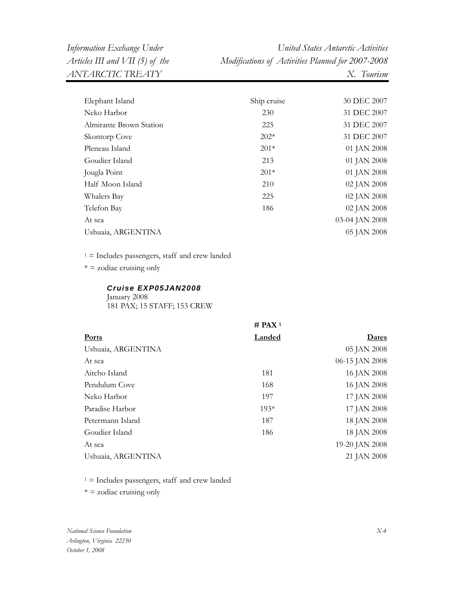*Information Exchange Under United States Antarctic Activities ANTARCTIC TREATY X. Tourism* 

*Articles III and VII (5) of the Modifications of Activities Planned for 2007-2008* 

| Elephant Island         | Ship cruise | 30 DEC 2007    |
|-------------------------|-------------|----------------|
| Neko Harbor             | 230         | 31 DEC 2007    |
| Almirante Brown Station | 225         | 31 DEC 2007    |
| Skontorp Cove           | $202*$      | 31 DEC 2007    |
| Pleneau Island          | $201*$      | 01 JAN 2008    |
| Goudier Island          | 213         | 01 JAN 2008    |
| Jougla Point            | $201*$      | 01 JAN 2008    |
| Half Moon Island        | 210         | 02 JAN 2008    |
| Whalers Bay             | 225         | 02 JAN 2008    |
| Telefon Bay             | 186         | 02 JAN 2008    |
| At sea                  |             | 03-04 JAN 2008 |
| Ushuaia, ARGENTINA      |             | 05 JAN 2008    |
|                         |             |                |

 $1 =$  Includes passengers, staff and crew landed

 $* =$  zodiac cruising only

#### *Cruise EXP05JAN2008*

January 2008 181 PAX; 15 STAFF; 153 CREW

|                    | $#$ PAX <sup>1</sup> |                |
|--------------------|----------------------|----------------|
| <b>Ports</b>       | Landed               | Dates          |
| Ushuaia, ARGENTINA |                      | 05 JAN 2008    |
| At sea             |                      | 06-15 JAN 2008 |
| Aitcho Island      | 181                  | 16 JAN 2008    |
| Pendulum Cove      | 168                  | 16 JAN 2008    |
| Neko Harbor        | 197                  | 17 JAN 2008    |
| Paradise Harbor    | $193*$               | 17 JAN 2008    |
| Petermann Island   | 187                  | 18 JAN 2008    |
| Goudier Island     | 186                  | 18 JAN 2008    |
| At sea             |                      | 19-20 JAN 2008 |
| Ushuaia, ARGENTINA |                      | 21 JAN 2008    |
|                    |                      |                |

 $1 =$  Includes passengers, staff and crew landed

 $* =$  zodiac cruising only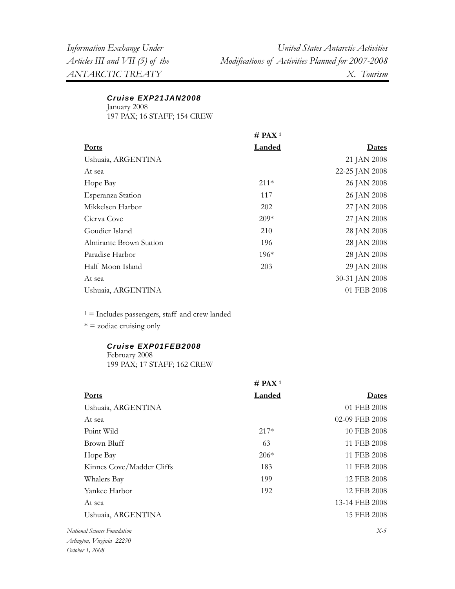#### *Cruise EXP21JAN2008*

January 2008 197 PAX; 16 STAFF; 154 CREW

|                         | $#$ PAX <sup>1</sup> |                |
|-------------------------|----------------------|----------------|
| <b>Ports</b>            | <b>Landed</b>        | Dates          |
| Ushuaia, ARGENTINA      |                      | 21 JAN 2008    |
| At sea                  |                      | 22-25 JAN 2008 |
| Hope Bay                | $211*$               | 26 JAN 2008    |
| Esperanza Station       | 117                  | 26 JAN 2008    |
| Mikkelsen Harbor        | 202                  | 27 JAN 2008    |
| Cierva Cove             | $209*$               | 27 JAN 2008    |
| Goudier Island          | 210                  | 28 JAN 2008    |
| Almirante Brown Station | 196                  | 28 JAN 2008    |
| Paradise Harbor         | $196*$               | 28 JAN 2008    |
| Half Moon Island        | 203                  | 29 JAN 2008    |
| At sea                  |                      | 30-31 JAN 2008 |
| Ushuaia, ARGENTINA      |                      | 01 FEB 2008    |

 $1 =$  Includes passengers, staff and crew landed

\* = zodiac cruising only

#### *Cruise EXP01FEB2008*

February 2008 199 PAX; 17 STAFF; 162 CREW

|                           | $#$ PAX <sup>1</sup> |                |
|---------------------------|----------------------|----------------|
| Ports                     | Landed               | Dates          |
| Ushuaia, ARGENTINA        |                      | 01 FEB 2008    |
| At sea                    |                      | 02-09 FEB 2008 |
| Point Wild                | $217*$               | 10 FEB 2008    |
| Brown Bluff               | 63                   | 11 FEB 2008    |
| Hope Bay                  | $206*$               | 11 FEB 2008    |
| Kinnes Cove/Madder Cliffs | 183                  | 11 FEB 2008    |
| Whalers Bay               | 199                  | 12 FEB 2008    |
| Yankee Harbor             | 192                  | 12 FEB 2008    |
| At sea                    |                      | 13-14 FEB 2008 |
| Ushuaia, ARGENTINA        |                      | 15 FEB 2008    |
| nal Science Foundation    |                      | $X-5$          |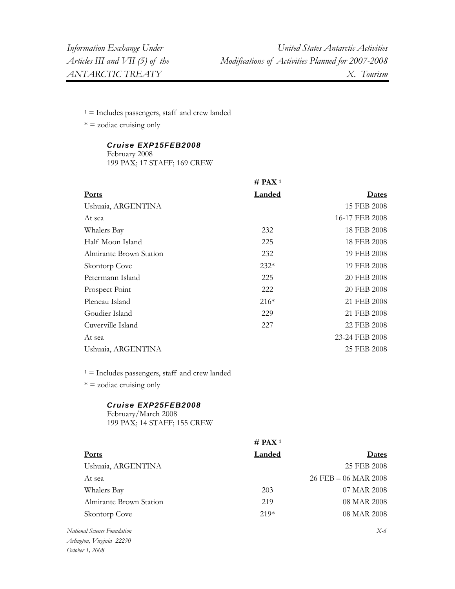$1 =$  Includes passengers, staff and crew landed

 $* =$  zodiac cruising only

## *Cruise EXP15FEB2008*

February 2008

199 PAX; 17 STAFF; 169 CREW

|                         | $#$ PAX <sup>1</sup> |                |
|-------------------------|----------------------|----------------|
| <b>Ports</b>            | <b>Landed</b>        | <u>Dates</u>   |
| Ushuaia, ARGENTINA      |                      | 15 FEB 2008    |
| At sea                  |                      | 16-17 FEB 2008 |
| Whalers Bay             | 232                  | 18 FEB 2008    |
| Half Moon Island        | 225                  | 18 FEB 2008    |
| Almirante Brown Station | 232                  | 19 FEB 2008    |
| Skontorp Cove           | $232*$               | 19 FEB 2008    |
| Petermann Island        | 225                  | 20 FEB 2008    |
| Prospect Point          | 222                  | 20 FEB 2008    |
| Pleneau Island          | $216*$               | 21 FEB 2008    |
| Goudier Island          | 229                  | 21 FEB 2008    |
| Cuverville Island       | 227                  | 22 FEB 2008    |
| At sea                  |                      | 23-24 FEB 2008 |
| Ushuaia, ARGENTINA      |                      | 25 FEB 2008    |

 $1 =$  Includes passengers, staff and crew landed

 $* =$  zodiac cruising only

#### *Cruise EXP25FEB2008*

February/March 2008 199 PAX; 14 STAFF; 155 CREW

|                                     | $#$ PAX <sup>1</sup> |                      |
|-------------------------------------|----------------------|----------------------|
| <b>Ports</b>                        | Landed               | Dates                |
| Ushuaia, ARGENTINA                  |                      | 25 FEB 2008          |
| At sea                              |                      | 26 FEB - 06 MAR 2008 |
| Whalers Bay                         | 203                  | 07 MAR 2008          |
| Almirante Brown Station             | 219                  | 08 MAR 2008          |
| Skontorp Cove                       | $219*$               | 08 MAR 2008          |
| National Science Foundation         |                      | $X-6$                |
| $\cdots$ $\cdots$ $\cdots$ $\cdots$ |                      |                      |

*Arlington, Virginia 22230 October 1, 2008*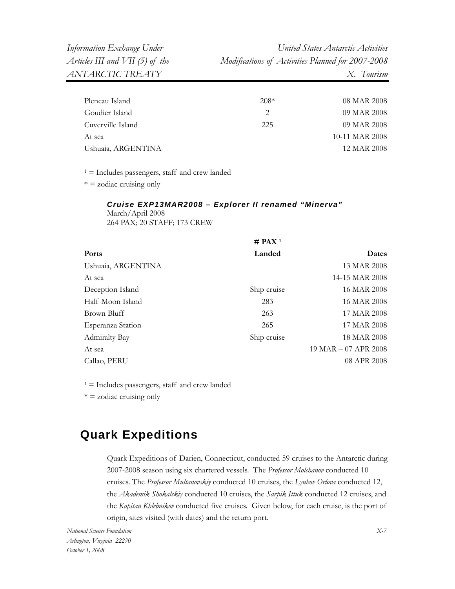| Pleneau Island     | $208*$                      | 08 MAR 2008    |
|--------------------|-----------------------------|----------------|
| Goudier Island     | $\mathcal{D}_{\mathcal{L}}$ | 09 MAR 2008    |
| Cuverville Island  | 225                         | 09 MAR 2008    |
| At sea             |                             | 10-11 MAR 2008 |
| Ushuaia, ARGENTINA |                             | 12 MAR 2008    |
|                    |                             |                |

 $1 =$  Includes passengers, staff and crew landed

 $* = z$ odiac cruising only

## *Cruise EXP13MAR2008 – Explorer II renamed "Minerva"*  March/April 2008

264 PAX; 20 STAFF; 173 CREW

|                      | $#$ PAX <sup>1</sup> |                      |
|----------------------|----------------------|----------------------|
| <b>Ports</b>         | Landed               | <b>Dates</b>         |
| Ushuaia, ARGENTINA   |                      | 13 MAR 2008          |
| At sea               |                      | 14-15 MAR 2008       |
| Deception Island     | Ship cruise          | 16 MAR 2008          |
| Half Moon Island     | 283                  | 16 MAR 2008          |
| Brown Bluff          | 263                  | 17 MAR 2008          |
| Esperanza Station    | 265                  | 17 MAR 2008          |
| <b>Admiralty Bay</b> | Ship cruise          | 18 MAR 2008          |
| At sea               |                      | 19 MAR - 07 APR 2008 |
| Callao, PERU         |                      | 08 APR 2008          |
|                      |                      |                      |

 $1 =$  Includes passengers, staff and crew landed

 $* = z$ odiac cruising only

## **Quark Expeditions**

Quark Expeditions of Darien, Connecticut, conducted 59 cruises to the Antarctic during 2007-2008 season using six chartered vessels. The *Professor Molchanov* conducted 10 cruises. The *Professor Multanovskiy* conducted 10 cruises, the *Lyubov Orlova* conducted 12, the *Akademik Shokalskiy* conducted 10 cruises, the *Sarpik Ittuk* conducted 12 cruises, and the *Kapitan Khlebnikov* conducted five cruises. Given below, for each cruise, is the port of origin, sites visited (with dates) and the return port.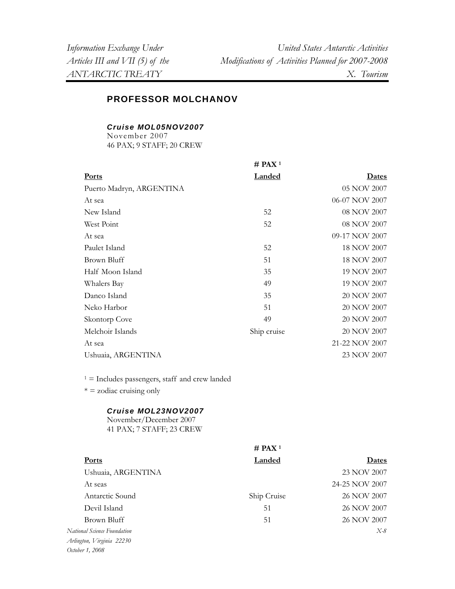## **PROFESSOR MOLCHANOV**

*Cruise MOL05NOV2007* 

November 2007 46 PAX; 9 STAFF; 20 CREW

|                          | $#$ PAX <sup>1</sup> |                |
|--------------------------|----------------------|----------------|
| <b>Ports</b>             | <b>Landed</b>        | <u>Dates</u>   |
| Puerto Madryn, ARGENTINA |                      | 05 NOV 2007    |
| At sea                   |                      | 06-07 NOV 2007 |
| New Island               | 52                   | 08 NOV 2007    |
| West Point               | 52                   | 08 NOV 2007    |
| At sea                   |                      | 09-17 NOV 2007 |
| Paulet Island            | 52                   | 18 NOV 2007    |
| Brown Bluff              | 51                   | 18 NOV 2007    |
| Half Moon Island         | 35                   | 19 NOV 2007    |
| Whalers Bay              | 49                   | 19 NOV 2007    |
| Danco Island             | 35                   | 20 NOV 2007    |
| Neko Harbor              | 51                   | 20 NOV 2007    |
| Skontorp Cove            | 49                   | 20 NOV 2007    |
| Melchoir Islands         | Ship cruise          | 20 NOV 2007    |
| At sea                   |                      | 21-22 NOV 2007 |
| Ushuaia, ARGENTINA       |                      | 23 NOV 2007    |

 $1 =$  Includes passengers, staff and crew landed

 $* =$  zodiac cruising only

#### *Cruise MOL23NOV2007*

November/December 2007 41 PAX; 7 STAFF; 23 CREW

|                             | # PAX <sup>1</sup> |                |
|-----------------------------|--------------------|----------------|
| <b>Ports</b>                | Landed             | Dates          |
| Ushuaia, ARGENTINA          |                    | 23 NOV 2007    |
| At seas                     |                    | 24-25 NOV 2007 |
| Antarctic Sound             | Ship Cruise        | 26 NOV 2007    |
| Devil Island                | 51                 | 26 NOV 2007    |
| Brown Bluff                 | 51                 | 26 NOV 2007    |
| National Science Foundation |                    | $X-8$          |
| Arlington, Virginia 22230   |                    |                |
| October 1, 2008             |                    |                |
|                             |                    |                |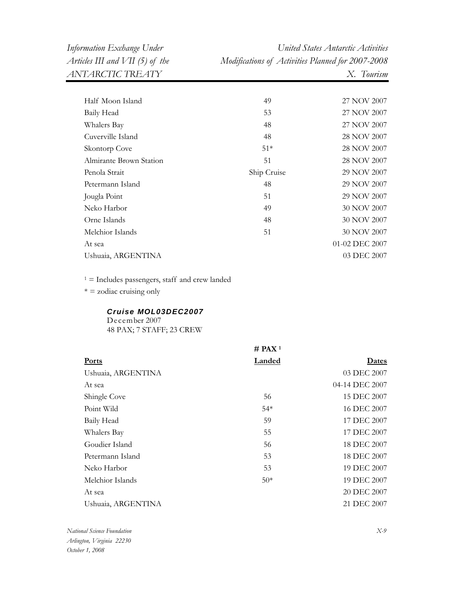*Information Exchange Under United States Antarctic Activities Articles III and VII (5) of the Modifications of Activities Planned for 2007-2008* 

| Half Moon Island        | 49          | 27 NOV 2007    |
|-------------------------|-------------|----------------|
| Baily Head              | 53          | 27 NOV 2007    |
| Whalers Bay             | 48          | 27 NOV 2007    |
| Cuverville Island       | 48          | 28 NOV 2007    |
| Skontorp Cove           | $51*$       | 28 NOV 2007    |
| Almirante Brown Station | 51          | 28 NOV 2007    |
| Penola Strait           | Ship Cruise | 29 NOV 2007    |
| Petermann Island        | 48          | 29 NOV 2007    |
| Jougla Point            | 51          | 29 NOV 2007    |
| Neko Harbor             | 49          | 30 NOV 2007    |
| Orne Islands            | 48          | 30 NOV 2007    |
| Melchior Islands        | 51          | 30 NOV 2007    |
| At sea                  |             | 01-02 DEC 2007 |
| Ushuaia, ARGENTINA      |             | 03 DEC 2007    |
|                         |             |                |

 $1 =$  Includes passengers, staff and crew landed

 $* = z$ odiac cruising only

#### *Cruise MOL03DEC2007*

December 2007 48 PAX; 7 STAFF; 23 CREW

|                    | # PAX <sup>1</sup> |                |
|--------------------|--------------------|----------------|
| <b>Ports</b>       | Landed             | Dates          |
| Ushuaia, ARGENTINA |                    | 03 DEC 2007    |
| At sea             |                    | 04-14 DEC 2007 |
| Shingle Cove       | 56                 | 15 DEC 2007    |
| Point Wild         | $54*$              | 16 DEC 2007    |
| Baily Head         | 59                 | 17 DEC 2007    |
| Whalers Bay        | 55                 | 17 DEC 2007    |
| Goudier Island     | 56                 | 18 DEC 2007    |
| Petermann Island   | 53                 | 18 DEC 2007    |
| Neko Harbor        | 53                 | 19 DEC 2007    |
| Melchior Islands   | $50*$              | 19 DEC 2007    |
| At sea             |                    | 20 DEC 2007    |
| Ushuaia, ARGENTINA |                    | 21 DEC 2007    |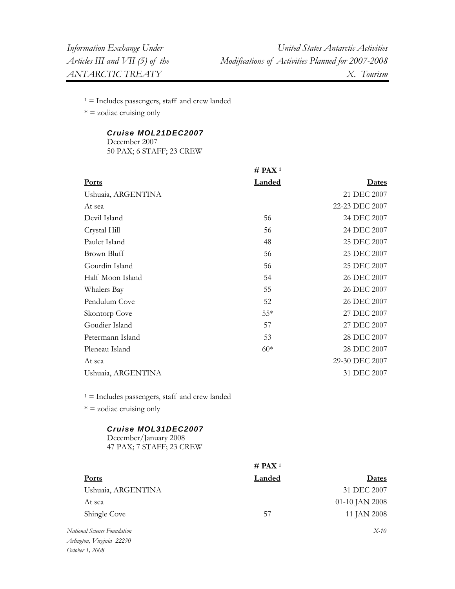$1 =$  Includes passengers, staff and crew landed

 $* =$  zodiac cruising only

#### *Cruise MOL21DEC2007*

December 2007 50 PAX; 6 STAFF; 23 CREW

|                    | $#$ PAX <sup>1</sup> |                |
|--------------------|----------------------|----------------|
| <b>Ports</b>       | <b>Landed</b>        | <b>Dates</b>   |
| Ushuaia, ARGENTINA |                      | 21 DEC 2007    |
| At sea             |                      | 22-23 DEC 2007 |
| Devil Island       | 56                   | 24 DEC 2007    |
| Crystal Hill       | 56                   | 24 DEC 2007    |
| Paulet Island      | 48                   | 25 DEC 2007    |
| Brown Bluff        | 56                   | 25 DEC 2007    |
| Gourdin Island     | 56                   | 25 DEC 2007    |
| Half Moon Island   | 54                   | 26 DEC 2007    |
| Whalers Bay        | 55                   | 26 DEC 2007    |
| Pendulum Cove      | 52                   | 26 DEC 2007    |
| Skontorp Cove      | $55*$                | 27 DEC 2007    |
| Goudier Island     | 57                   | 27 DEC 2007    |
| Petermann Island   | 53                   | 28 DEC 2007    |
| Pleneau Island     | $60*$                | 28 DEC 2007    |
| At sea             |                      | 29-30 DEC 2007 |
| Ushuaia, ARGENTINA |                      | 31 DEC 2007    |

 $1 =$  Includes passengers, staff and crew landed

 $* = z$ odiac cruising only

#### *Cruise MOL31DEC2007*

December/January 2008 47 PAX; 7 STAFF; 23 CREW

| Landed | Dates              |
|--------|--------------------|
|        | 31 DEC 2007        |
|        | 01-10 JAN 2008     |
| 57     | 11 JAN 2008        |
|        | $X-10$             |
|        |                    |
|        | # PAX <sup>1</sup> |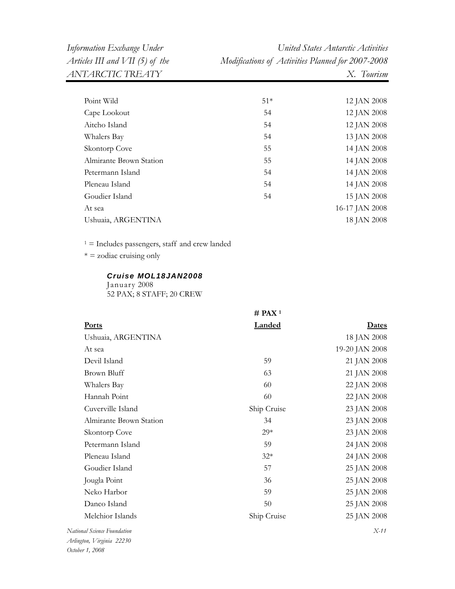*Information Exchange Under United States Antarctic Activities Articles III and VII (5) of the Modifications of Activities Planned for 2007-2008* 

| Point Wild              | $51*$ | 12 JAN 2008    |
|-------------------------|-------|----------------|
| Cape Lookout            | 54    | 12 JAN 2008    |
| Aitcho Island           | 54    | 12 JAN 2008    |
| Whalers Bay             | 54    | 13 JAN 2008    |
| Skontorp Cove           | 55    | 14 JAN 2008    |
| Almirante Brown Station | 55    | 14 JAN 2008    |
| Petermann Island        | 54    | 14 JAN 2008    |
| Pleneau Island          | 54    | 14 JAN 2008    |
| Goudier Island          | 54    | 15 JAN 2008    |
| At sea                  |       | 16-17 JAN 2008 |
| Ushuaia, ARGENTINA      |       | 18 JAN 2008    |
|                         |       |                |

 $1 =$  Includes passengers, staff and crew landed

 $* =$  zodiac cruising only

*Cruise MOL18JAN2008* 

January 2008 52 PAX; 8 STAFF; 20 CREW

|                         | $#$ PAX <sup>1</sup> |                |
|-------------------------|----------------------|----------------|
| <b>Ports</b>            | Landed               | <u>Dates</u>   |
| Ushuaia, ARGENTINA      |                      | 18 JAN 2008    |
| At sea                  |                      | 19-20 JAN 2008 |
| Devil Island            | 59                   | 21 JAN 2008    |
| <b>Brown Bluff</b>      | 63                   | 21 JAN 2008    |
| Whalers Bay             | 60                   | 22 JAN 2008    |
| Hannah Point            | 60                   | 22 JAN 2008    |
| Cuverville Island       | Ship Cruise          | 23 JAN 2008    |
| Almirante Brown Station | 34                   | 23 JAN 2008    |
| Skontorp Cove           | $29*$                | 23 JAN 2008    |
| Petermann Island        | 59                   | 24 JAN 2008    |
| Pleneau Island          | $32*$                | 24 JAN 2008    |
| Goudier Island          | 57                   | 25 JAN 2008    |
| Jougla Point            | 36                   | 25 JAN 2008    |
| Neko Harbor             | 59                   | 25 JAN 2008    |
| Danco Island            | 50                   | 25 JAN 2008    |
| Melchior Islands        | Ship Cruise          | 25 JAN 2008    |
| onal Science Foundation |                      | $X-11$         |

 $N$ ation *Arlington, Virginia 22230 October 1, 2008*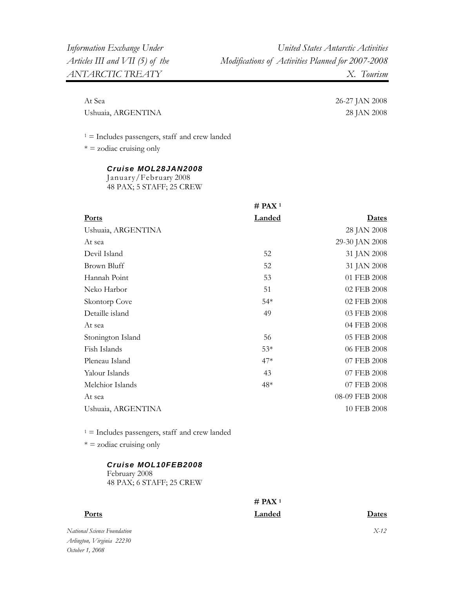At Sea 26-27 JAN 2008 Ushuaia, ARGENTINA 28 JAN 2008

 $1 =$  Includes passengers, staff and crew landed

 $* =$  zodiac cruising only

#### *Cruise MOL28JAN2008*

January/February 2008 48 PAX; 5 STAFF; 25 CREW

|                    | $#$ PAX <sup>1</sup> |                |
|--------------------|----------------------|----------------|
| <b>Ports</b>       | <b>Landed</b>        | <b>Dates</b>   |
| Ushuaia, ARGENTINA |                      | 28 JAN 2008    |
| At sea             |                      | 29-30 JAN 2008 |
| Devil Island       | 52                   | 31 JAN 2008    |
| Brown Bluff        | 52                   | 31 JAN 2008    |
| Hannah Point       | 53                   | 01 FEB 2008    |
| Neko Harbor        | 51                   | 02 FEB 2008    |
| Skontorp Cove      | $54*$                | 02 FEB 2008    |
| Detaille island    | 49                   | 03 FEB 2008    |
| At sea             |                      | 04 FEB 2008    |
| Stonington Island  | 56                   | 05 FEB 2008    |
| Fish Islands       | $53*$                | 06 FEB 2008    |
| Pleneau Island     | $47*$                | 07 FEB 2008    |
| Yalour Islands     | 43                   | 07 FEB 2008    |
| Melchior Islands   | $48*$                | 07 FEB 2008    |
| At sea             |                      | 08-09 FEB 2008 |
| Ushuaia, ARGENTINA |                      | 10 FEB 2008    |
|                    |                      |                |

 $1 =$  Includes passengers, staff and crew landed

 $* = z$ odiac cruising only

#### *Cruise MOL10FEB2008*

February 2008 48 PAX; 6 STAFF; 25 CREW

## **# PAX 1**

*National Science Foundation Arlington, Virginia 22230* 

*October 1, 2008* 

**Ports Landed Dates**

*X-12*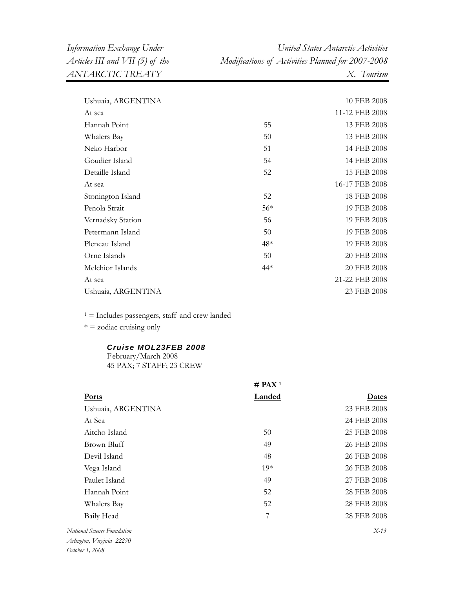*Information Exchange Under United States Antarctic Activities Articles III and VII (5) of the Modifications of Activities Planned for 2007-2008* 

| Ushuaia, ARGENTINA |       | 10 FEB 2008    |
|--------------------|-------|----------------|
| At sea             |       | 11-12 FEB 2008 |
| Hannah Point       | 55    | 13 FEB 2008    |
| Whalers Bay        | 50    | 13 FEB 2008    |
| Neko Harbor        | 51    | 14 FEB 2008    |
| Goudier Island     | 54    | 14 FEB 2008    |
| Detaille Island    | 52    | 15 FEB 2008    |
| At sea             |       | 16-17 FEB 2008 |
| Stonington Island  | 52    | 18 FEB 2008    |
| Penola Strait      | $56*$ | 19 FEB 2008    |
| Vernadsky Station  | 56    | 19 FEB 2008    |
| Petermann Island   | 50    | 19 FEB 2008    |
| Pleneau Island     | $48*$ | 19 FEB 2008    |
| Orne Islands       | 50    | 20 FEB 2008    |
| Melchior Islands   | 44*   | 20 FEB 2008    |
| At sea             |       | 21-22 FEB 2008 |
| Ushuaia, ARGENTINA |       | 23 FEB 2008    |

 $1 =$  Includes passengers, staff and crew landed

 $* = z$ odiac cruising only

## *Cruise MOL23FEB 2008*

February/March 2008 45 PAX; 7 STAFF; 23 CREW

|                             | $#$ PAX <sup>1</sup> |             |
|-----------------------------|----------------------|-------------|
| Ports                       | <b>Landed</b>        | Dates       |
| Ushuaia, ARGENTINA          |                      | 23 FEB 2008 |
| At Sea                      |                      | 24 FEB 2008 |
| Aitcho Island               | 50                   | 25 FEB 2008 |
| Brown Bluff                 | 49                   | 26 FEB 2008 |
| Devil Island                | 48                   | 26 FEB 2008 |
| Vega Island                 | $19*$                | 26 FEB 2008 |
| Paulet Island               | 49                   | 27 FEB 2008 |
| Hannah Point                | 52                   | 28 FEB 2008 |
| Whalers Bay                 | 52                   | 28 FEB 2008 |
| Baily Head                  | 7                    | 28 FEB 2008 |
| National Science Foundation |                      | $X-13$      |
|                             |                      |             |

*Arlington, Virginia 22230 October 1, 2008*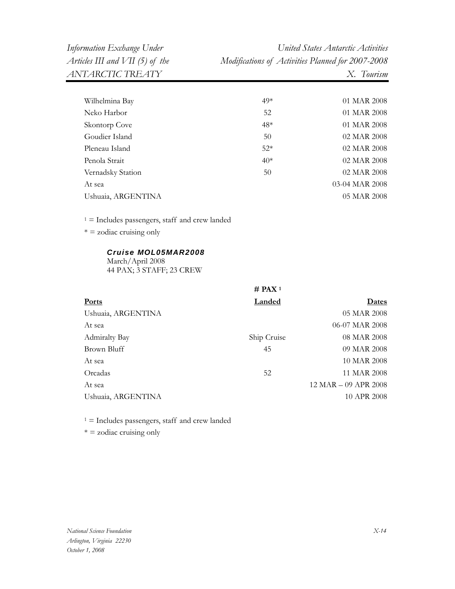| Wilhelmina Bay                                                      | 49*                | 01 MAR 2008          |
|---------------------------------------------------------------------|--------------------|----------------------|
| Neko Harbor                                                         | 52                 | 01 MAR 2008          |
| Skontorp Cove                                                       | 48*                | 01 MAR 2008          |
| Goudier Island                                                      | 50                 | 02 MAR 2008          |
| Pleneau Island                                                      | $52*$              | 02 MAR 2008          |
| Penola Strait                                                       | $40*$              | 02 MAR 2008          |
| Vernadsky Station                                                   | 50                 | 02 MAR 2008          |
| At sea                                                              |                    | 03-04 MAR 2008       |
| Ushuaia, ARGENTINA                                                  |                    | 05 MAR 2008          |
| $1 =$ Includes passengers, staff and crew landed                    |                    |                      |
| $* =$ zodiac cruising only                                          |                    |                      |
| Cruise MOL05MAR2008<br>March/April 2008<br>44 PAX; 3 STAFF; 23 CREW |                    |                      |
|                                                                     | # PAX <sup>1</sup> |                      |
| Ports                                                               | <b>Landed</b>      | <u>Dates</u>         |
| Ushuaia, ARGENTINA                                                  |                    | 05 MAR 2008          |
| At sea                                                              |                    | 06-07 MAR 2008       |
| <b>Admiralty Bay</b>                                                | Ship Cruise        | 08 MAR 2008          |
| <b>Brown Bluff</b>                                                  | 45                 | 09 MAR 2008          |
| At sea                                                              |                    | 10 MAR 2008          |
| Orcadas                                                             | 52                 | 11 MAR 2008          |
| At sea                                                              |                    | 12 MAR - 09 APR 2008 |
| Ushuaia, ARGENTINA                                                  |                    | 10 APR 2008          |

 $1 =$  Includes passengers, staff and crew landed

 $* =$  zodiac cruising only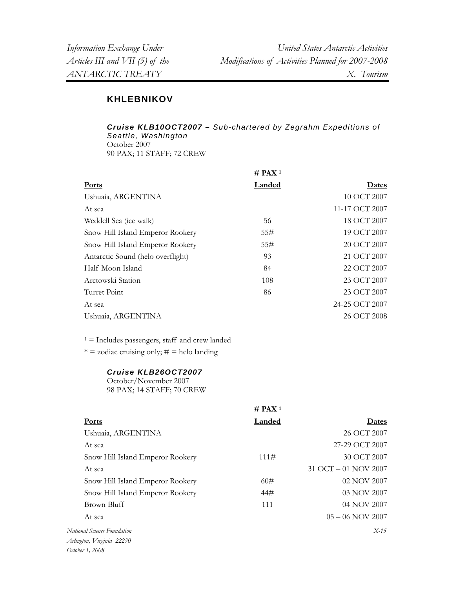## **KHLEBNIKOV**

*Cruise KLB10OCT2007 – Sub-chartered by Zegrahm Expeditions of Seattle, Washington*  October 2007 90 PAX; 11 STAFF; 72 CREW

|                                   | $#$ PAX <sup>1</sup> |                |
|-----------------------------------|----------------------|----------------|
| <b>Ports</b>                      | <b>Landed</b>        | Dates          |
| Ushuaia, ARGENTINA                |                      | 10 OCT 2007    |
| At sea                            |                      | 11-17 OCT 2007 |
| Weddell Sea (ice walk)            | 56                   | 18 OCT 2007    |
| Snow Hill Island Emperor Rookery  | 55#                  | 19 OCT 2007    |
| Snow Hill Island Emperor Rookery  | 55#                  | 20 OCT 2007    |
| Antarctic Sound (helo overflight) | 93                   | 21 OCT 2007    |
| Half Moon Island                  | 84                   | 22 OCT 2007    |
| Arctowski Station                 | 108                  | 23 OCT 2007    |
| Turret Point                      | 86                   | 23 OCT 2007    |
| At sea                            |                      | 24-25 OCT 2007 |
| Ushuaia, ARGENTINA                |                      | 26 OCT 2008    |

 $1 =$  Includes passengers, staff and crew landed

 $* = zodiac$  cruising only;  $# =$  helo landing

## *Cruise KLB26OCT2007*

October/November 2007 98 PAX; 14 STAFF; 70 CREW

|                                  | $#$ PAX <sup>1</sup> |                      |
|----------------------------------|----------------------|----------------------|
| <b>Ports</b>                     | Landed               | Dates                |
| Ushuaia, ARGENTINA               |                      | 26 OCT 2007          |
| At sea                           |                      | 27-29 OCT 2007       |
| Snow Hill Island Emperor Rookery | 111#                 | 30 OCT 2007          |
| At sea                           |                      | 31 OCT - 01 NOV 2007 |
| Snow Hill Island Emperor Rookery | 60#                  | 02 NOV 2007          |
| Snow Hill Island Emperor Rookery | 44#                  | 03 NOV 2007          |
| Brown Bluff                      | 111                  | 04 NOV 2007          |
| At sea                           |                      | $05 - 06$ NOV 2007   |
| National Science Foundation      |                      | $X-15$               |
| Arlington, Virginia 22230        |                      |                      |
| October 1, 2008                  |                      |                      |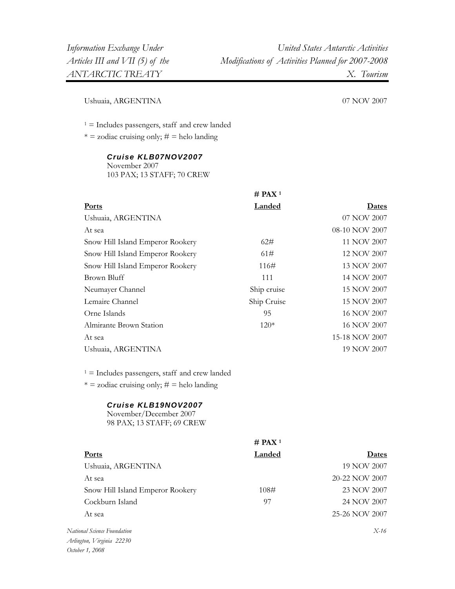**# PAX 1** 

Ushuaia, ARGENTINA 07 NOV 2007

 $1 =$  Includes passengers, staff and crew landed

 $* =$  zodiac cruising only;  $# =$  helo landing

## *Cruise KLB07NOV2007*

November 2007 103 PAX; 13 STAFF; 70 CREW

|                                                                                                     | Landed               | Dates          |
|-----------------------------------------------------------------------------------------------------|----------------------|----------------|
| Ushuaia, ARGENTINA                                                                                  |                      | 07 NOV 2007    |
| At sea                                                                                              |                      | 08-10 NOV 2007 |
| Snow Hill Island Emperor Rookery                                                                    | 62#                  | 11 NOV 2007    |
| Snow Hill Island Emperor Rookery                                                                    | 61#                  | 12 NOV 2007    |
| Snow Hill Island Emperor Rookery                                                                    | 116#                 | 13 NOV 2007    |
| <b>Brown Bluff</b>                                                                                  | 111                  | 14 NOV 2007    |
| Neumayer Channel                                                                                    | Ship cruise          | 15 NOV 2007    |
| Lemaire Channel                                                                                     | Ship Cruise          | 15 NOV 2007    |
| Orne Islands                                                                                        | 95                   | 16 NOV 2007    |
| Almirante Brown Station                                                                             | $120*$               | 16 NOV 2007    |
| At sea                                                                                              |                      | 15-18 NOV 2007 |
| Ushuaia, ARGENTINA                                                                                  |                      | 19 NOV 2007    |
| $1 =$ Includes passengers, staff and crew landed<br>$* =$ zodiac cruising only; $\# =$ helo landing |                      |                |
| Cruise KLB19NOV2007                                                                                 |                      |                |
| November/December 2007<br>98 PAX; 13 STAFF; 69 CREW                                                 |                      |                |
|                                                                                                     | $#$ PAX <sup>1</sup> |                |
| Ports                                                                                               | Landed               | Dates          |
| Ushuaia, ARGENTINA                                                                                  |                      | 19 NOV 2007    |
| At sea                                                                                              |                      | 20-22 NOV 2007 |
| Snow Hill Island Emperor Rookery                                                                    | 108#                 | 23 NOV 2007    |
| Cockburn Island                                                                                     | 97                   | 24 NOV 2007    |
| At sea                                                                                              |                      | 25-26 NOV 2007 |
| National Science Foundation<br>Arlington, Virginia 22230                                            |                      | $X-16$         |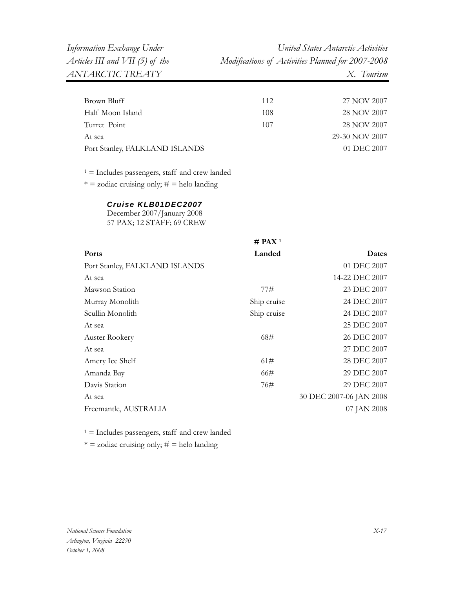| 112 | 27 NOV 2007    |
|-----|----------------|
| 108 | 28 NOV 2007    |
| 107 | 28 NOV 2007    |
|     | 29-30 NOV 2007 |
|     | 01 DEC 2007    |
|     |                |

1 = Includes passengers, staff and crew landed

 $* =$  zodiac cruising only;  $# =$  helo landing

#### *Cruise KLB01DEC2007*

December 2007/January 2008 57 PAX; 12 STAFF; 69 CREW

|                                | $#$ PAX <sup>1</sup> |                         |
|--------------------------------|----------------------|-------------------------|
| Ports                          | <b>Landed</b>        | <u>Dates</u>            |
| Port Stanley, FALKLAND ISLANDS |                      | 01 DEC 2007             |
| At sea                         |                      | 14-22 DEC 2007          |
| Mawson Station                 | 77#                  | 23 DEC 2007             |
| Murray Monolith                | Ship cruise          | 24 DEC 2007             |
| Scullin Monolith               | Ship cruise          | 24 DEC 2007             |
| At sea                         |                      | 25 DEC 2007             |
| Auster Rookery                 | 68#                  | 26 DEC 2007             |
| At sea                         |                      | 27 DEC 2007             |
| Amery Ice Shelf                | 61#                  | 28 DEC 2007             |
| Amanda Bay                     | 66#                  | 29 DEC 2007             |
| Davis Station                  | 76#                  | 29 DEC 2007             |
| At sea                         |                      | 30 DEC 2007-06 JAN 2008 |
| Freemantle, AUSTRALIA          |                      | 07 JAN 2008             |
|                                |                      |                         |

 $1 =$  Includes passengers, staff and crew landed  $* = zodiac$  cruising only;  $# =$  helo landing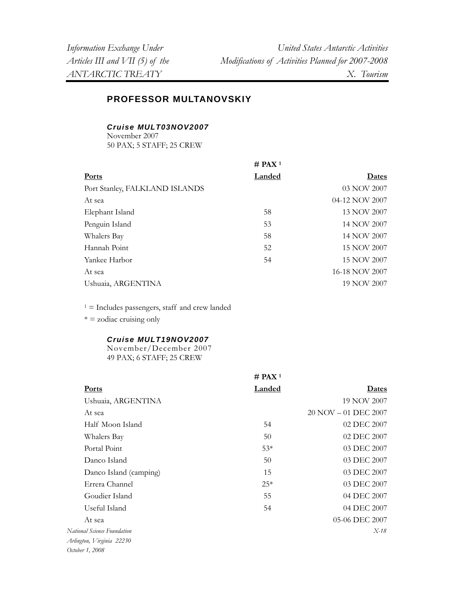## **PROFESSOR MULTANOVSKIY**

*Cruise MULT03NOV2007* 

November 2007 50 PAX; 5 STAFF; 25 CREW

|                                | $#$ PAX <sup>1</sup> |                |
|--------------------------------|----------------------|----------------|
| <b>Ports</b>                   | Landed               | Dates          |
| Port Stanley, FALKLAND ISLANDS |                      | 03 NOV 2007    |
| At sea                         |                      | 04-12 NOV 2007 |
| Elephant Island                | 58                   | 13 NOV 2007    |
| Penguin Island                 | 53                   | 14 NOV 2007    |
| Whalers Bay                    | 58                   | 14 NOV 2007    |
| Hannah Point                   | 52                   | 15 NOV 2007    |
| Yankee Harbor                  | 54                   | 15 NOV 2007    |
| At sea                         |                      | 16-18 NOV 2007 |
| Ushuaia, ARGENTINA             |                      | 19 NOV 2007    |

 $1 =$  Includes passengers, staff and crew landed

 $* = z$ odiac cruising only

#### *Cruise MULT19NOV2007*

November/December 2007 49 PAX; 6 STAFF; 25 CREW

|                             | # PAX <sup>1</sup> |                        |
|-----------------------------|--------------------|------------------------|
| <b>Ports</b>                | Landed             | Dates                  |
| Ushuaia, ARGENTINA          |                    | 19 NOV 2007            |
| At sea                      |                    | $20 NOV - 01 DEC 2007$ |
| Half Moon Island            | 54                 | 02 DEC 2007            |
| Whalers Bay                 | 50                 | 02 DEC 2007            |
| Portal Point                | $53*$              | 03 DEC 2007            |
| Danco Island                | 50                 | 03 DEC 2007            |
| Danco Island (camping)      | 15                 | 03 DEC 2007            |
| Errera Channel              | $25*$              | 03 DEC 2007            |
| Goudier Island              | 55                 | 04 DEC 2007            |
| Useful Island               | 54                 | 04 DEC 2007            |
| At sea                      |                    | 05-06 DEC 2007         |
| National Science Foundation |                    | $X-18$                 |
| Arlington, Virginia 22230   |                    |                        |
| October 1, 2008             |                    |                        |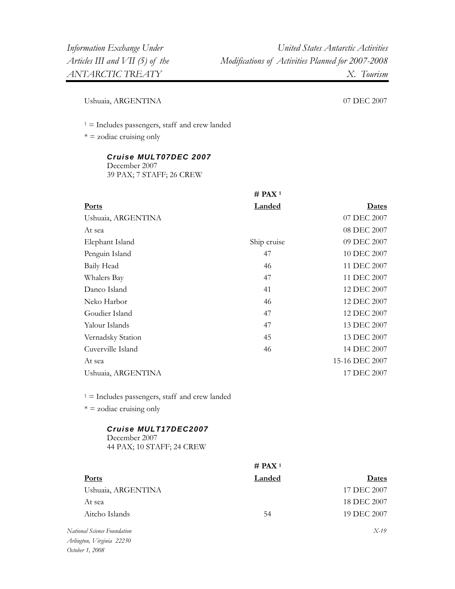Ushuaia, ARGENTINA 07 DEC 2007

 $1 =$  Includes passengers, staff and crew landed

 $* =$  zodiac cruising only

#### *Cruise MULT07DEC 2007*

December 2007 39 PAX; 7 STAFF; 26 CREW

|                    | $#$ PAX <sup>1</sup> |                |
|--------------------|----------------------|----------------|
| <b>Ports</b>       | <b>Landed</b>        | <b>Dates</b>   |
| Ushuaia, ARGENTINA |                      | 07 DEC 2007    |
| At sea             |                      | 08 DEC 2007    |
| Elephant Island    | Ship cruise          | 09 DEC 2007    |
| Penguin Island     | 47                   | 10 DEC 2007    |
| Baily Head         | 46                   | 11 DEC 2007    |
| Whalers Bay        | 47                   | 11 DEC 2007    |
| Danco Island       | 41                   | 12 DEC 2007    |
| Neko Harbor        | 46                   | 12 DEC 2007    |
| Goudier Island     | 47                   | 12 DEC 2007    |
| Yalour Islands     | 47                   | 13 DEC 2007    |
| Vernadsky Station  | 45                   | 13 DEC 2007    |
| Cuverville Island  | 46                   | 14 DEC 2007    |
| At sea             |                      | 15-16 DEC 2007 |
| Ushuaia, ARGENTINA |                      | 17 DEC 2007    |
|                    |                      |                |

 $1 =$  Includes passengers, staff and crew landed

 $* = z$ odiac cruising only

#### *Cruise MULT17DEC2007*

December 2007 44 PAX; 10 STAFF; 24 CREW

|                                     | # PAX <sup>1</sup> |             |
|-------------------------------------|--------------------|-------------|
| <b>Ports</b>                        | Landed             | Dates       |
| Ushuaia, ARGENTINA                  |                    | 17 DEC 2007 |
| At sea                              |                    | 18 DEC 2007 |
| Aitcho Islands                      | 54                 | 19 DEC 2007 |
| National Science Foundation         |                    | $X-19$      |
| $\cdots$ $\cdots$ $\cdots$ $\cdots$ |                    |             |

*Arlington, Virginia 22230 October 1, 2008*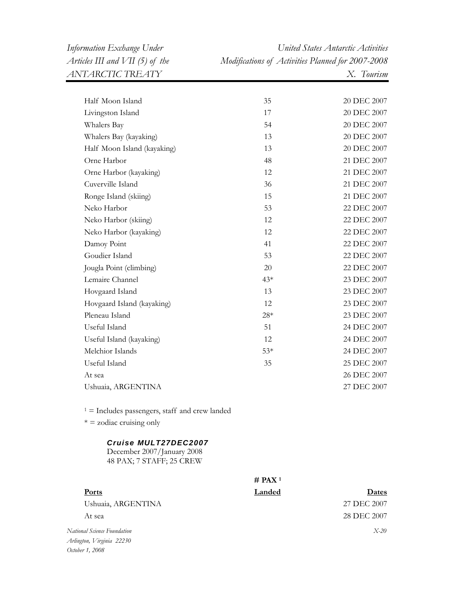| Half Moon Island                                                               | 35                   | 20 DEC 2007 |
|--------------------------------------------------------------------------------|----------------------|-------------|
| Livingston Island                                                              | 17                   | 20 DEC 2007 |
| Whalers Bay                                                                    | 54                   | 20 DEC 2007 |
| Whalers Bay (kayaking)                                                         | 13                   | 20 DEC 2007 |
| Half Moon Island (kayaking)                                                    | 13                   | 20 DEC 2007 |
| Orne Harbor                                                                    | 48                   | 21 DEC 2007 |
| Orne Harbor (kayaking)                                                         | 12                   | 21 DEC 2007 |
| Cuverville Island                                                              | 36                   | 21 DEC 2007 |
| Ronge Island (skiing)                                                          | 15                   | 21 DEC 2007 |
| Neko Harbor                                                                    | 53                   | 22 DEC 2007 |
| Neko Harbor (skiing)                                                           | 12                   | 22 DEC 2007 |
| Neko Harbor (kayaking)                                                         | 12                   | 22 DEC 2007 |
| Damoy Point                                                                    | 41                   | 22 DEC 2007 |
| Goudier Island                                                                 | 53                   | 22 DEC 2007 |
| Jougla Point (climbing)                                                        | 20                   | 22 DEC 2007 |
| Lemaire Channel                                                                | $43*$                | 23 DEC 2007 |
| Hovgaard Island                                                                | 13                   | 23 DEC 2007 |
| Hovgaard Island (kayaking)                                                     | 12                   | 23 DEC 2007 |
| Pleneau Island                                                                 | $28*$                | 23 DEC 2007 |
| Useful Island                                                                  | 51                   | 24 DEC 2007 |
| Useful Island (kayaking)                                                       | 12                   | 24 DEC 2007 |
| Melchior Islands                                                               | $53*$                | 24 DEC 2007 |
| Useful Island                                                                  | 35                   | 25 DEC 2007 |
| At sea                                                                         |                      | 26 DEC 2007 |
| Ushuaia, ARGENTINA                                                             |                      | 27 DEC 2007 |
| $1 =$ Includes passengers, staff and crew landed                               |                      |             |
| $* =$ zodiac cruising only                                                     |                      |             |
| Cruise MULT27DEC2007<br>December 2007/January 2008<br>48 PAX; 7 STAFF; 25 CREW |                      |             |
|                                                                                | $#$ PAX <sup>1</sup> |             |

| <b>Ports</b>                | Landed | Dates       |
|-----------------------------|--------|-------------|
| Ushuaia, ARGENTINA          |        | 27 DEC 2007 |
| At sea                      |        | 28 DEC 2007 |
| National Science Foundation |        | $X-20$      |
| Arlington, Virginia 22230   |        |             |
| October 1, 2008             |        |             |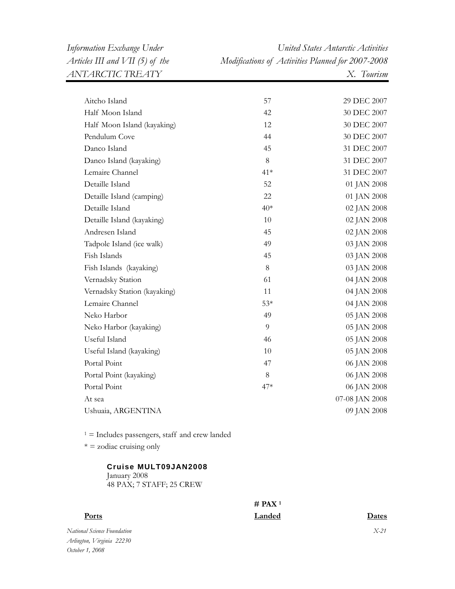| Aitcho Island                | 57    | 29 DEC 2007    |
|------------------------------|-------|----------------|
| Half Moon Island             | 42    | 30 DEC 2007    |
| Half Moon Island (kayaking)  | 12    | 30 DEC 2007    |
| Pendulum Cove                | 44    | 30 DEC 2007    |
| Danco Island                 | 45    | 31 DEC 2007    |
| Danco Island (kayaking)      | 8     | 31 DEC 2007    |
| Lemaire Channel              | $41*$ | 31 DEC 2007    |
| Detaille Island              | 52    | 01 JAN 2008    |
| Detaille Island (camping)    | 22    | 01 JAN 2008    |
| Detaille Island              | $40*$ | 02 JAN 2008    |
| Detaille Island (kayaking)   | 10    | 02 JAN 2008    |
| Andresen Island              | 45    | 02 JAN 2008    |
| Tadpole Island (ice walk)    | 49    | 03 JAN 2008    |
| Fish Islands                 | 45    | 03 JAN 2008    |
| Fish Islands (kayaking)      | 8     | 03 JAN 2008    |
| Vernadsky Station            | 61    | 04 JAN 2008    |
| Vernadsky Station (kayaking) | 11    | 04 JAN 2008    |
| Lemaire Channel              | $53*$ | 04 JAN 2008    |
| Neko Harbor                  | 49    | 05 JAN 2008    |
| Neko Harbor (kayaking)       | 9     | 05 JAN 2008    |
| Useful Island                | 46    | 05 JAN 2008    |
| Useful Island (kayaking)     | 10    | 05 JAN 2008    |
| Portal Point                 | 47    | 06 JAN 2008    |
| Portal Point (kayaking)      | 8     | 06 JAN 2008    |
| Portal Point                 | 47*   | 06 JAN 2008    |
| At sea                       |       | 07-08 JAN 2008 |
| Ushuaia, ARGENTINA           |       | 09 JAN 2008    |

 $1 =$  Includes passengers, staff and crew landed

 $* = z$ odiac cruising only

#### **Cruise MULT09JAN2008** January 2008

48 PAX; 7 STAFF; 25 CREW

## **# PAX 1**

| <u>Ports</u>                | Landed | Dates  |
|-----------------------------|--------|--------|
| National Science Foundation |        | $X-21$ |
| Arlington, Virginia 22230   |        |        |
| October 1, 2008             |        |        |

*X-21*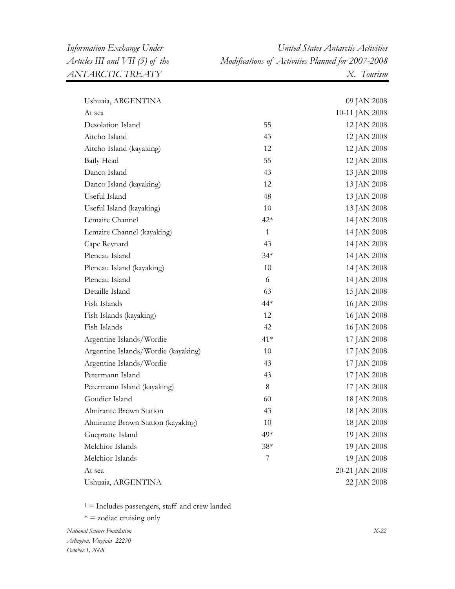*Information Exchange Under United States Antarctic Activities Articles III and VII (5) of the Modifications of Activities Planned for 2007-2008* 

| Ushuaia, ARGENTINA                  |       | 09 JAN 2008    |
|-------------------------------------|-------|----------------|
| At sea                              |       | 10-11 JAN 2008 |
| Desolation Island                   | 55    | 12 JAN 2008    |
| Aitcho Island                       | 43    | 12 JAN 2008    |
| Aitcho Island (kayaking)            | 12    | 12 JAN 2008    |
| Baily Head                          | 55    | 12 JAN 2008    |
| Danco Island                        | 43    | 13 JAN 2008    |
| Danco Island (kayaking)             | 12    | 13 JAN 2008    |
| Useful Island                       | 48    | 13 JAN 2008    |
| Useful Island (kayaking)            | 10    | 13 JAN 2008    |
| Lemaire Channel                     | $42*$ | 14 JAN 2008    |
| Lemaire Channel (kayaking)          | 1     | 14 JAN 2008    |
| Cape Reynard                        | 43    | 14 JAN 2008    |
| Pleneau Island                      | $34*$ | 14 JAN 2008    |
| Pleneau Island (kayaking)           | 10    | 14 JAN 2008    |
| Pleneau Island                      | 6     | 14 JAN 2008    |
| Detaille Island                     | 63    | 15 JAN 2008    |
| Fish Islands                        | 44*   | 16 JAN 2008    |
| Fish Islands (kayaking)             | 12    | 16 JAN 2008    |
| Fish Islands                        | 42    | 16 JAN 2008    |
| Argentine Islands/Wordie            | $41*$ | 17 JAN 2008    |
| Argentine Islands/Wordie (kayaking) | 10    | 17 JAN 2008    |
| Argentine Islands/Wordie            | 43    | 17 JAN 2008    |
| Petermann Island                    | 43    | 17 JAN 2008    |
| Petermann Island (kayaking)         | $8\,$ | 17 JAN 2008    |
| Goudier Island                      | 60    | 18 JAN 2008    |
| Almirante Brown Station             | 43    | 18 JAN 2008    |
| Almirante Brown Station (kayaking)  | 10    | 18 JAN 2008    |
| Guepratte Island                    | 49*   | 19 JAN 2008    |
| Melchior Islands                    | $38*$ | 19 JAN 2008    |
| Melchior Islands                    | 7     | 19 JAN 2008    |
| At sea                              |       | 20-21 JAN 2008 |
| Ushuaia, ARGENTINA                  |       | 22 JAN 2008    |

 $1 =$  Includes passengers, staff and crew landed

 $* =$  zodiac cruising only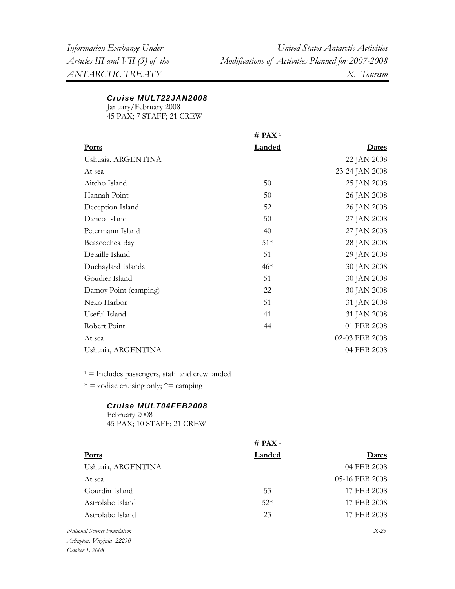#### *Cruise MULT22JAN2008*

January/February 2008

45 PAX; 7 STAFF; 21 CREW

|                       | $#$ PAX <sup>1</sup> |                |
|-----------------------|----------------------|----------------|
| <b>Ports</b>          | <b>Landed</b>        | <u>Dates</u>   |
| Ushuaia, ARGENTINA    |                      | 22 JAN 2008    |
| At sea                |                      | 23-24 JAN 2008 |
| Aitcho Island         | 50                   | 25 JAN 2008    |
| Hannah Point          | 50                   | 26 JAN 2008    |
| Deception Island      | 52                   | 26 JAN 2008    |
| Danco Island          | 50                   | 27 JAN 2008    |
| Petermann Island      | 40                   | 27 JAN 2008    |
| Beascochea Bay        | $51*$                | 28 JAN 2008    |
| Detaille Island       | 51                   | 29 JAN 2008    |
| Duchaylard Islands    | $46*$                | 30 JAN 2008    |
| Goudier Island        | 51                   | 30 JAN 2008    |
| Damoy Point (camping) | 22                   | 30 JAN 2008    |
| Neko Harbor           | 51                   | 31 JAN 2008    |
| Useful Island         | 41                   | 31 JAN 2008    |
| Robert Point          | 44                   | 01 FEB 2008    |
| At sea                |                      | 02-03 FEB 2008 |
| Ushuaia, ARGENTINA    |                      | 04 FEB 2008    |
|                       |                      |                |

 $1 =$  Includes passengers, staff and crew landed

 $* =$  zodiac cruising only;  $\hat{=}$  camping

#### *Cruise MULT04FEB2008*

February 2008 45 PAX; 10 STAFF; 21 CREW

|                             | $#$ PAX <sup>1</sup> |                |
|-----------------------------|----------------------|----------------|
| <b>Ports</b>                | Landed               | Dates          |
| Ushuaia, ARGENTINA          |                      | 04 FEB 2008    |
| At sea                      |                      | 05-16 FEB 2008 |
| Gourdin Island              | 53                   | 17 FEB 2008    |
| Astrolabe Island            | $52*$                | 17 FEB 2008    |
| Astrolabe Island            | 23                   | 17 FEB 2008    |
| National Science Foundation |                      | $X-23$         |
| $A P$ , $I P$ , $22.20$     |                      |                |

*Arlington, Virginia 22230 October 1, 2008*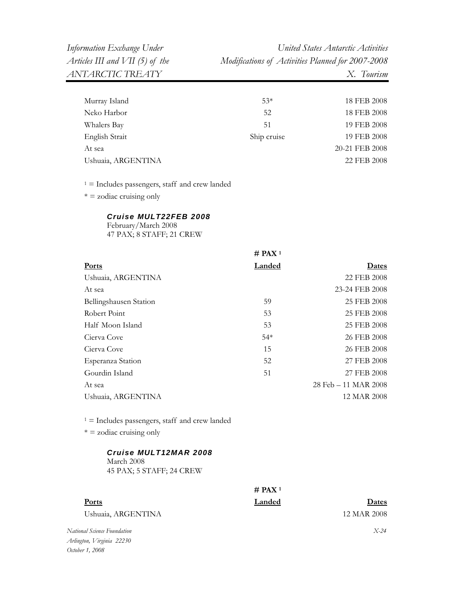| Murray Island      | $53*$       | 18 FEB 2008    |
|--------------------|-------------|----------------|
| Neko Harbor        | 52          | 18 FEB 2008    |
| Whalers Bay        | 51          | 19 FEB 2008    |
| English Strait     | Ship cruise | 19 FEB 2008    |
| At sea             |             | 20-21 FEB 2008 |
| Ushuaia, ARGENTINA |             | 22 FEB 2008    |
|                    |             |                |

 $1 =$  Includes passengers, staff and crew landed

 $* = z$ odiac cruising only

#### *Cruise MULT22FEB 2008*

February/March 2008 47 PAX; 8 STAFF; 21 CREW

|                        | $#$ PAX <sup>1</sup> |                      |
|------------------------|----------------------|----------------------|
| <b>Ports</b>           | <b>Landed</b>        | Dates                |
| Ushuaia, ARGENTINA     |                      | 22 FEB 2008          |
| At sea                 |                      | 23-24 FEB 2008       |
| Bellingshausen Station | 59                   | 25 FEB 2008          |
| Robert Point           | 53                   | 25 FEB 2008          |
| Half Moon Island       | 53                   | 25 FEB 2008          |
| Cierva Cove            | $54*$                | 26 FEB 2008          |
| Cierva Cove            | 15                   | 26 FEB 2008          |
| Esperanza Station      | 52                   | 27 FEB 2008          |
| Gourdin Island         | 51                   | 27 FEB 2008          |
| At sea                 |                      | 28 Feb – 11 MAR 2008 |
| Ushuaia, ARGENTINA     |                      | 12 MAR 2008          |
|                        |                      |                      |

 $1 =$  Includes passengers, staff and crew landed

 $* = z$ odiac cruising only

#### *Cruise MULT12MAR 2008*

March 2008 45 PAX; 5 STAFF; 24 CREW

## **# PAX 1**

**Ports Landed Dates**

Ushuaia, ARGENTINA 12 MAR 2008

*National Science Foundation Arlington, Virginia 22230 October 1, 2008* 

*X-24*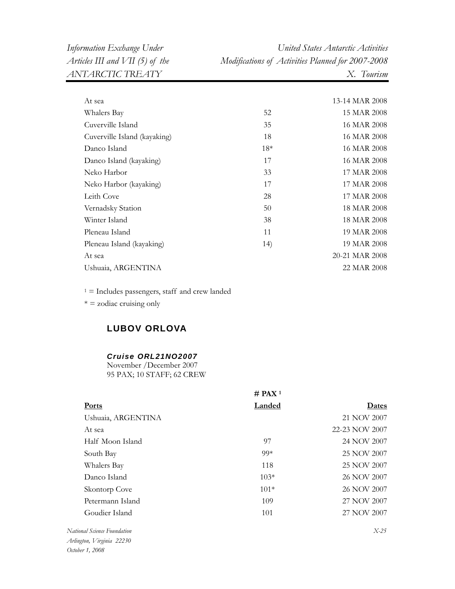*Information Exchange Under United States Antarctic Activities Articles III and VII (5) of the Modifications of Activities Planned for 2007-2008* 

| At sea                       |       | 13-14 MAR 2008 |
|------------------------------|-------|----------------|
| Whalers Bay                  | 52    | 15 MAR 2008    |
| Cuverville Island            | 35    | 16 MAR 2008    |
| Cuverville Island (kayaking) | 18    | 16 MAR 2008    |
| Danco Island                 | $18*$ | 16 MAR 2008    |
| Danco Island (kayaking)      | 17    | 16 MAR 2008    |
| Neko Harbor                  | 33    | 17 MAR 2008    |
| Neko Harbor (kayaking)       | 17    | 17 MAR 2008    |
| Leith Cove                   | 28    | 17 MAR 2008    |
| Vernadsky Station            | 50    | 18 MAR 2008    |
| Winter Island                | 38    | 18 MAR 2008    |
| Pleneau Island               | 11    | 19 MAR 2008    |
| Pleneau Island (kayaking)    | 14)   | 19 MAR 2008    |
| At sea                       |       | 20-21 MAR 2008 |
| Ushuaia, ARGENTINA           |       | 22 MAR 2008    |
|                              |       |                |

 $1 =$  Includes passengers, staff and crew landed

 $* =$  zodiac cruising only

## **LUBOV ORLOVA**

#### *Cruise ORL21NO2007*

November /December 2007 95 PAX; 10 STAFF; 62 CREW

|                    | # PAX <sup>1</sup> |                |  |
|--------------------|--------------------|----------------|--|
| <b>Ports</b>       | <b>Landed</b>      | Dates          |  |
| Ushuaia, ARGENTINA |                    | 21 NOV 2007    |  |
| At sea             |                    | 22-23 NOV 2007 |  |
| Half Moon Island   | 97                 | 24 NOV 2007    |  |
| South Bay          | $99*$              | 25 NOV 2007    |  |
| Whalers Bay        | 118                | 25 NOV 2007    |  |
| Danco Island       | $103*$             | 26 NOV 2007    |  |
| Skontorp Cove      | $101*$             | 26 NOV 2007    |  |
| Petermann Island   | 109                | 27 NOV 2007    |  |
| Goudier Island     | 101                | 27 NOV 2007    |  |
| $\cdots$ $\cdots$  |                    | $  -$          |  |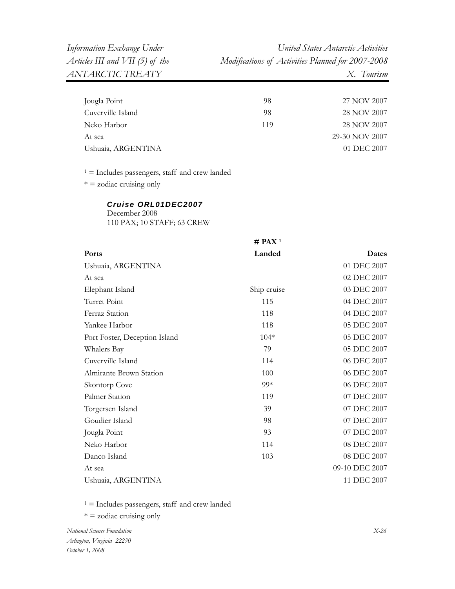| Jougla Point       | 98  | 27 NOV 2007    |
|--------------------|-----|----------------|
| Cuverville Island  | 98  | 28 NOV 2007    |
| Neko Harbor        | 119 | 28 NOV 2007    |
| At sea             |     | 29-30 NOV 2007 |
| Ushuaia, ARGENTINA |     | 01 DEC 2007    |
|                    |     |                |

1 = Includes passengers, staff and crew landed

 $* = z$ odiac cruising only

#### *Cruise ORL01DEC2007*

December 2008 110 PAX; 10 STAFF; 63 CREW

|                               | $#$ PAX <sup>1</sup> |                |
|-------------------------------|----------------------|----------------|
| <b>Ports</b>                  | <b>Landed</b>        | Dates          |
| Ushuaia, ARGENTINA            |                      | 01 DEC 2007    |
| At sea                        |                      | 02 DEC 2007    |
| Elephant Island               | Ship cruise          | 03 DEC 2007    |
| Turret Point                  | 115                  | 04 DEC 2007    |
| Ferraz Station                | 118                  | 04 DEC 2007    |
| Yankee Harbor                 | 118                  | 05 DEC 2007    |
| Port Foster, Deception Island | $104*$               | 05 DEC 2007    |
| Whalers Bay                   | 79                   | 05 DEC 2007    |
| Cuverville Island             | 114                  | 06 DEC 2007    |
| Almirante Brown Station       | 100                  | 06 DEC 2007    |
| Skontorp Cove                 | 99*                  | 06 DEC 2007    |
| Palmer Station                | 119                  | 07 DEC 2007    |
| Torgersen Island              | 39                   | 07 DEC 2007    |
| Goudier Island                | 98                   | 07 DEC 2007    |
| Jougla Point                  | 93                   | 07 DEC 2007    |
| Neko Harbor                   | 114                  | 08 DEC 2007    |
| Danco Island                  | 103                  | 08 DEC 2007    |
| At sea                        |                      | 09-10 DEC 2007 |
| Ushuaia, ARGENTINA            |                      | 11 DEC 2007    |

 $1 =$  Includes passengers, staff and crew landed

\* = zodiac cruising only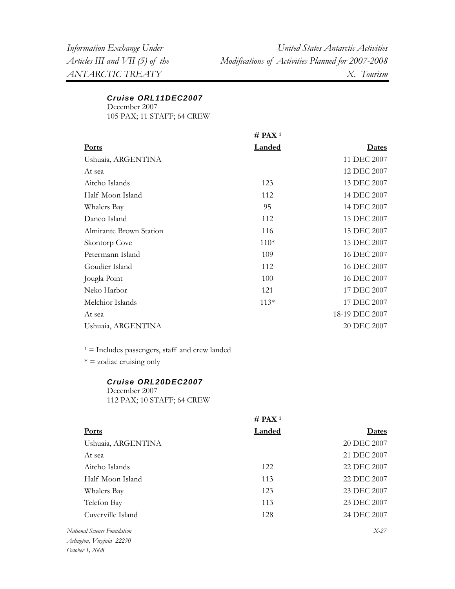## *Cruise ORL11DEC2007*

December 2007

105 PAX; 11 STAFF; 64 CREW

|                         | $#$ PAX <sup>1</sup> |                |
|-------------------------|----------------------|----------------|
| Ports                   | <b>Landed</b>        | <b>Dates</b>   |
| Ushuaia, ARGENTINA      |                      | 11 DEC 2007    |
| At sea                  |                      | 12 DEC 2007    |
| Aitcho Islands          | 123                  | 13 DEC 2007    |
| Half Moon Island        | 112                  | 14 DEC 2007    |
| Whalers Bay             | 95                   | 14 DEC 2007    |
| Danco Island            | 112                  | 15 DEC 2007    |
| Almirante Brown Station | 116                  | 15 DEC 2007    |
| Skontorp Cove           | $110*$               | 15 DEC 2007    |
| Petermann Island        | 109                  | 16 DEC 2007    |
| Goudier Island          | 112                  | 16 DEC 2007    |
| Jougla Point            | 100                  | 16 DEC 2007    |
| Neko Harbor             | 121                  | 17 DEC 2007    |
| Melchior Islands        | $113*$               | 17 DEC 2007    |
| At sea                  |                      | 18-19 DEC 2007 |
| Ushuaia, ARGENTINA      |                      | 20 DEC 2007    |
|                         |                      |                |

 $1 =$  Includes passengers, staff and crew landed

 $* = z$ odiac cruising only

#### *Cruise ORL20DEC2007*

December 2007 112 PAX; 10 STAFF; 64 CREW

|                             | $#$ PAX <sup>1</sup> |             |
|-----------------------------|----------------------|-------------|
| <b>Ports</b>                | Landed               | Dates       |
| Ushuaia, ARGENTINA          |                      | 20 DEC 2007 |
| At sea                      |                      | 21 DEC 2007 |
| Aitcho Islands              | 12.2                 | 22 DEC 2007 |
| Half Moon Island            | 113                  | 22 DEC 2007 |
| Whalers Bay                 | 123                  | 23 DEC 2007 |
| Telefon Bay                 | 113                  | 23 DEC 2007 |
| Cuverville Island           | 128                  | 24 DEC 2007 |
| National Science Foundation |                      | $X-27$      |

*Arlington, Virginia 22230 October 1, 2008*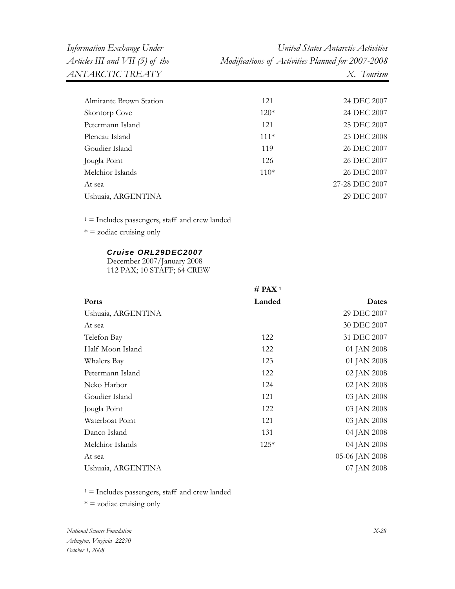| Almirante Brown Station | 121    | 24 DEC 2007    |
|-------------------------|--------|----------------|
| Skontorp Cove           | $120*$ | 24 DEC 2007    |
| Petermann Island        | 121    | 25 DEC 2007    |
| Pleneau Island          | $111*$ | 25 DEC 2008    |
| Goudier Island          | 119    | 26 DEC 2007    |
| Jougla Point            | 126    | 26 DEC 2007    |
| Melchior Islands        | $110*$ | 26 DEC 2007    |
| At sea                  |        | 27-28 DEC 2007 |
| Ushuaia, ARGENTINA      |        | 29 DEC 2007    |
|                         |        |                |

1 = Includes passengers, staff and crew landed

 $* = z$ odiac cruising only

#### *Cruise ORL29DEC2007*

December 2007/January 2008 112 PAX; 10 STAFF; 64 CREW

|                    | $#$ PAX <sup>1</sup> |                |
|--------------------|----------------------|----------------|
| <b>Ports</b>       | <b>Landed</b>        | <u>Dates</u>   |
| Ushuaia, ARGENTINA |                      | 29 DEC 2007    |
| At sea             |                      | 30 DEC 2007    |
| Telefon Bay        | 122                  | 31 DEC 2007    |
| Half Moon Island   | 122                  | 01 JAN 2008    |
| Whalers Bay        | 123                  | 01 JAN 2008    |
| Petermann Island   | 122                  | 02 JAN 2008    |
| Neko Harbor        | 124                  | 02 JAN 2008    |
| Goudier Island     | 121                  | 03 JAN 2008    |
| Jougla Point       | 122                  | 03 JAN 2008    |
| Waterboat Point    | 121                  | 03 JAN 2008    |
| Danco Island       | 131                  | 04 JAN 2008    |
| Melchior Islands   | $125*$               | 04 JAN 2008    |
| At sea             |                      | 05-06 JAN 2008 |
| Ushuaia, ARGENTINA |                      | 07 JAN 2008    |

 $1 =$  Includes passengers, staff and crew landed

 $* =$  zodiac cruising only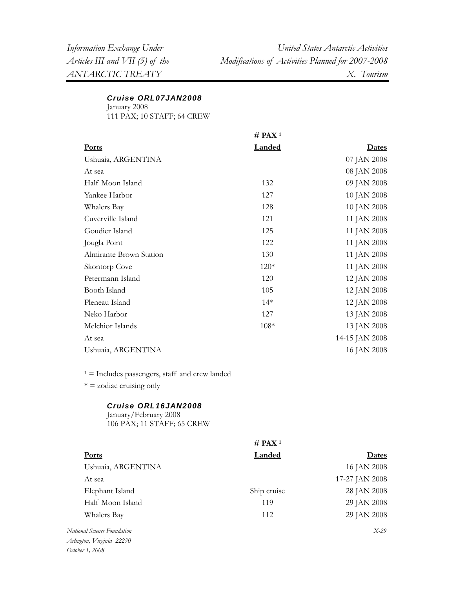#### *Cruise ORL07JAN2008*

January 2008

111 PAX; 10 STAFF; 64 CREW

|                         | $#$ PAX <sup>1</sup> |                |
|-------------------------|----------------------|----------------|
| <b>Ports</b>            | <b>Landed</b>        | <u>Dates</u>   |
| Ushuaia, ARGENTINA      |                      | 07 JAN 2008    |
| At sea                  |                      | 08 JAN 2008    |
| Half Moon Island        | 132                  | 09 JAN 2008    |
| Yankee Harbor           | 127                  | 10 JAN 2008    |
| Whalers Bay             | 128                  | 10 JAN 2008    |
| Cuverville Island       | 121                  | 11 JAN 2008    |
| Goudier Island          | 125                  | 11 JAN 2008    |
| Jougla Point            | 122                  | 11 JAN 2008    |
| Almirante Brown Station | 130                  | 11 JAN 2008    |
| Skontorp Cove           | $120*$               | 11 JAN 2008    |
| Petermann Island        | 120                  | 12 JAN 2008    |
| Booth Island            | 105                  | 12 JAN 2008    |
| Pleneau Island          | $14*$                | 12 JAN 2008    |
| Neko Harbor             | 127                  | 13 JAN 2008    |
| Melchior Islands        | $108*$               | 13 JAN 2008    |
| At sea                  |                      | 14-15 JAN 2008 |
| Ushuaia, ARGENTINA      |                      | 16 JAN 2008    |
|                         |                      |                |

 $1 =$  Includes passengers, staff and crew landed

 $* =$  zodiac cruising only

#### *Cruise ORL16JAN2008*

January/February 2008 106 PAX; 11 STAFF; 65 CREW

|                             | $#$ PAX <sup>1</sup> |                |
|-----------------------------|----------------------|----------------|
| <b>Ports</b>                | <b>Landed</b>        | <b>Dates</b>   |
| Ushuaia, ARGENTINA          |                      | 16 JAN 2008    |
| At sea                      |                      | 17-27 JAN 2008 |
| Elephant Island             | Ship cruise          | 28 JAN 2008    |
| Half Moon Island            | 119                  | 29 JAN 2008    |
| Whalers Bay                 | 112                  | 29 JAN 2008    |
| National Science Foundation |                      | $X-29$         |
| Arlington, Virginia 22230   |                      |                |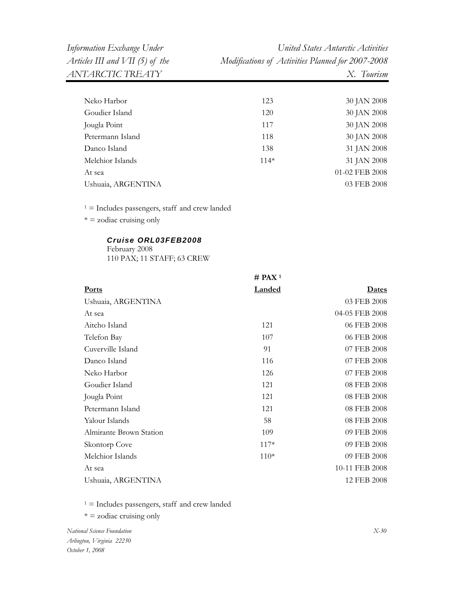*Information Exchange Under United States Antarctic Activities Articles III and VII (5) of the Modifications of Activities Planned for 2007-2008* 

| 123    | 30 JAN 2008    |
|--------|----------------|
| 120    | 30 JAN 2008    |
| 117    | 30 JAN 2008    |
| 118    | 30 JAN 2008    |
| 138    | 31 JAN 2008    |
| $114*$ | 31 JAN 2008    |
|        | 01-02 FEB 2008 |
|        | 03 FEB 2008    |
|        |                |

 $1 =$  Includes passengers, staff and crew landed

\* = zodiac cruising only

#### *Cruise ORL03FEB2008*

February 2008 110 PAX; 11 STAFF; 63 CREW

|                         | $#$ PAX <sup>1</sup> |                |
|-------------------------|----------------------|----------------|
| <b>Ports</b>            | <b>Landed</b>        | <b>Dates</b>   |
| Ushuaia, ARGENTINA      |                      | 03 FEB 2008    |
| At sea                  |                      | 04-05 FEB 2008 |
| Aitcho Island           | 121                  | 06 FEB 2008    |
| Telefon Bay             | 107                  | 06 FEB 2008    |
| Cuverville Island       | 91                   | 07 FEB 2008    |
| Danco Island            | 116                  | 07 FEB 2008    |
| Neko Harbor             | 126                  | 07 FEB 2008    |
| Goudier Island          | 121                  | 08 FEB 2008    |
| Jougla Point            | 121                  | 08 FEB 2008    |
| Petermann Island        | 121                  | 08 FEB 2008    |
| Yalour Islands          | 58                   | 08 FEB 2008    |
| Almirante Brown Station | 109                  | 09 FEB 2008    |
| Skontorp Cove           | $117*$               | 09 FEB 2008    |
| Melchior Islands        | $110*$               | 09 FEB 2008    |
| At sea                  |                      | 10-11 FEB 2008 |
| Ushuaia, ARGENTINA      |                      | 12 FEB 2008    |

 $1 =$  Includes passengers, staff and crew landed

\* = zodiac cruising only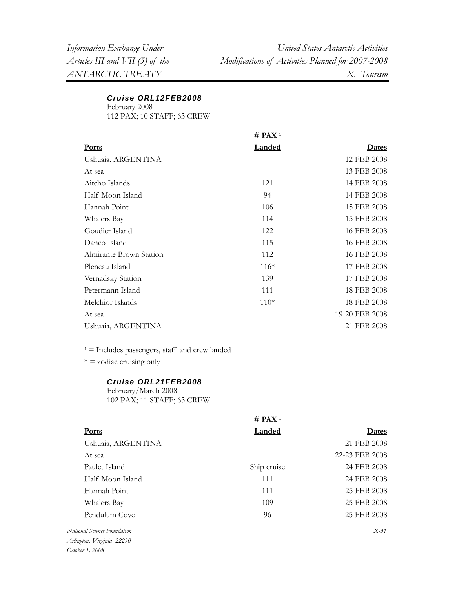### *Cruise ORL12FEB2008*

February 2008 112 PAX; 10 STAFF; 63 CREW

**# PAX 1 Ports Landed Dates** Ushuaia, ARGENTINA At sea 12 FEB 2008 13 FEB 2008 Aitcho Islands 121 14 FEB 2008 Half Moon Island 14 FEB 2008 Hannah Point 106 15 FEB 2008 Whalers Bay Goudier Island 114 122 15 FEB 2008 16 FEB 2008 Danco Island 115 16 FEB 2008 Almirante Brown Station 112 16 FEB 2008 Pleneau Island 116<sup>\*</sup> 17 FEB 2008 Vernadsky Station Petermann Island 139 111 17 FEB 2008 18 FEB 2008 Melchior Islands 110<sup>\*</sup> 110<sup>\*</sup> 18 FEB 2008 At sea 19-20 FEB 2008 Ushuaia, ARGENTINA 21 FEB 2008

 $1 =$  Includes passengers, staff and crew landed

 $* = z$ odiac cruising only

#### *Cruise ORL21FEB2008*

February/March 2008 102 PAX; 11 STAFF; 63 CREW

|                                   | # PAX <sup>1</sup> |                |
|-----------------------------------|--------------------|----------------|
| <b>Ports</b>                      | Landed             | Dates          |
| Ushuaia, ARGENTINA                |                    | 21 FEB 2008    |
| At sea                            |                    | 22-23 FEB 2008 |
| Paulet Island                     | Ship cruise        | 24 FEB 2008    |
| Half Moon Island                  | 111                | 24 FEB 2008    |
| Hannah Point                      | 111                | 25 FEB 2008    |
| Whalers Bay                       | 109                | 25 FEB 2008    |
| Pendulum Cove                     | 96                 | 25 FEB 2008    |
| National Science Foundation       |                    | $X-31$         |
| $\Delta$ aliastea IZiasiais 22220 |                    |                |

*Arlington, Virginia 22230 October 1, 2008*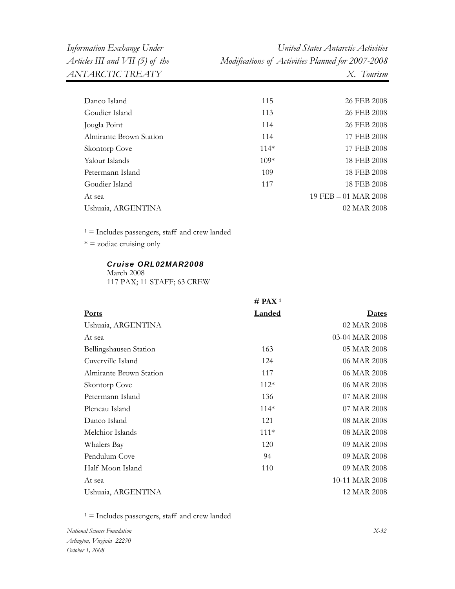*ANTARCTIC TREATY X. Tourism* 

*Information Exchange Under United States Antarctic Activities Articles III and VII (5) of the Modifications of Activities Planned for 2007-2008* 

| Danco Island            | 115    | 26 FEB 2008          |
|-------------------------|--------|----------------------|
| Goudier Island          | 113    | 26 FEB 2008          |
| Jougla Point            | 114    | 26 FEB 2008          |
| Almirante Brown Station | 114    | 17 FEB 2008          |
| Skontorp Cove           | $114*$ | 17 FEB 2008          |
| Yalour Islands          | $109*$ | 18 FEB 2008          |
| Petermann Island        | 109    | 18 FEB 2008          |
| Goudier Island          | 117    | 18 FEB 2008          |
| At sea                  |        | 19 FEB - 01 MAR 2008 |
| Ushuaia, ARGENTINA      |        | 02 MAR 2008          |
|                         |        |                      |

 $1 =$  Includes passengers, staff and crew landed

 $* =$  zodiac cruising only

### *Cruise ORL02MAR2008*

March 2008 117 PAX; 11 STAFF; 63 CREW

|                         | $#$ PAX <sup>1</sup> |                |
|-------------------------|----------------------|----------------|
| <b>Ports</b>            | <b>Landed</b>        | <b>Dates</b>   |
| Ushuaia, ARGENTINA      |                      | 02 MAR 2008    |
| At sea                  |                      | 03-04 MAR 2008 |
| Bellingshausen Station  | 163                  | 05 MAR 2008    |
| Cuverville Island       | 124                  | 06 MAR 2008    |
| Almirante Brown Station | 117                  | 06 MAR 2008    |
| Skontorp Cove           | $112*$               | 06 MAR 2008    |
| Petermann Island        | 136                  | 07 MAR 2008    |
| Pleneau Island          | $114*$               | 07 MAR 2008    |
| Danco Island            | 121                  | 08 MAR 2008    |
| Melchior Islands        | $111*$               | 08 MAR 2008    |
| Whalers Bay             | 120                  | 09 MAR 2008    |
| Pendulum Cove           | 94                   | 09 MAR 2008    |
| Half Moon Island        | 110                  | 09 MAR 2008    |
| At sea                  |                      | 10-11 MAR 2008 |
| Ushuaia, ARGENTINA      |                      | 12 MAR 2008    |

 $1 =$  Includes passengers, staff and crew landed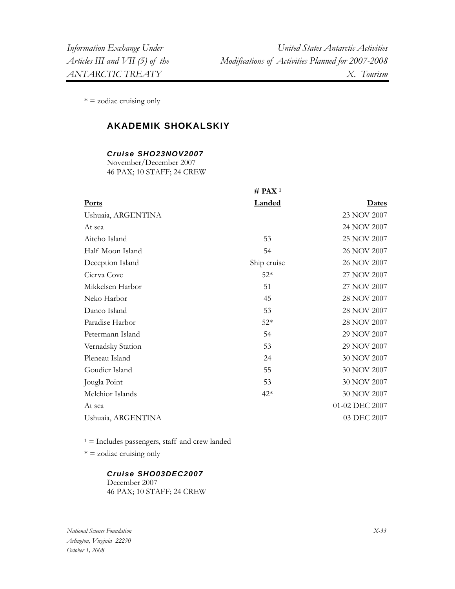$* = z$ odiac cruising only

## **AKADEMIK SHOKALSKIY**

#### *Cruise SHO23NOV2007*

November/December 2007 46 PAX; 10 STAFF; 24 CREW

| <b>Landed</b> | <b>Dates</b>         |
|---------------|----------------------|
|               | 23 NOV 2007          |
|               | 24 NOV 2007          |
| 53            | 25 NOV 2007          |
| 54            | 26 NOV 2007          |
| Ship cruise   | 26 NOV 2007          |
| $52*$         | 27 NOV 2007          |
| 51            | 27 NOV 2007          |
| 45            | 28 NOV 2007          |
| 53            | 28 NOV 2007          |
| $52*$         | 28 NOV 2007          |
| 54            | 29 NOV 2007          |
| 53            | 29 NOV 2007          |
| 24            | 30 NOV 2007          |
| 55            | 30 NOV 2007          |
| 53            | 30 NOV 2007          |
| $42*$         | 30 NOV 2007          |
|               | 01-02 DEC 2007       |
|               | 03 DEC 2007          |
|               | $#$ PAX <sup>1</sup> |

 $1 =$  Includes passengers, staff and crew landed

 $* = z$ odiac cruising only

#### *Cruise SHO03DEC2007*

December 2007 46 PAX; 10 STAFF; 24 CREW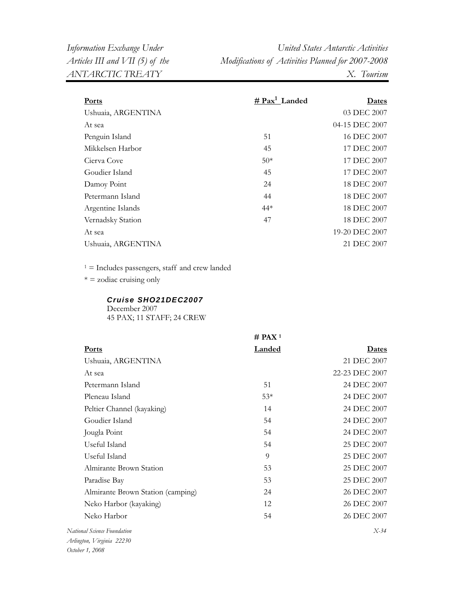| <b>Ports</b>       | # $\text{Pax}^1$ Landed | Dates          |
|--------------------|-------------------------|----------------|
| Ushuaia, ARGENTINA |                         | 03 DEC 2007    |
| At sea             |                         | 04-15 DEC 2007 |
| Penguin Island     | 51                      | 16 DEC 2007    |
| Mikkelsen Harbor   | 45                      | 17 DEC 2007    |
| Cierva Cove        | $50*$                   | 17 DEC 2007    |
| Goudier Island     | 45                      | 17 DEC 2007    |
| Damoy Point        | 24                      | 18 DEC 2007    |
| Petermann Island   | 44                      | 18 DEC 2007    |
| Argentine Islands  | $44*$                   | 18 DEC 2007    |
| Vernadsky Station  | 47                      | 18 DEC 2007    |
| At sea             |                         | 19-20 DEC 2007 |
| Ushuaia, ARGENTINA |                         | 21 DEC 2007    |
|                    |                         |                |

 $^{\rm 1}$  = Includes passengers, staff and crew landed

 $* =$  zodiac cruising only

#### *Cruise SHO21DEC2007*

December 2007 45 PAX; 11 STAFF; 24 CREW

|                                   | $#$ PAX <sup>1</sup> |                |
|-----------------------------------|----------------------|----------------|
| Ports                             | <b>Landed</b>        | <u>Dates</u>   |
| Ushuaia, ARGENTINA                |                      | 21 DEC 2007    |
| At sea                            |                      | 22-23 DEC 2007 |
| Petermann Island                  | 51                   | 24 DEC 2007    |
| Pleneau Island                    | $53*$                | 24 DEC 2007    |
| Peltier Channel (kayaking)        | 14                   | 24 DEC 2007    |
| Goudier Island                    | 54                   | 24 DEC 2007    |
| Jougla Point                      | 54                   | 24 DEC 2007    |
| Useful Island                     | 54                   | 25 DEC 2007    |
| Useful Island                     | 9                    | 25 DEC 2007    |
| Almirante Brown Station           | 53                   | 25 DEC 2007    |
| Paradise Bay                      | 53                   | 25 DEC 2007    |
| Almirante Brown Station (camping) | 24                   | 26 DEC 2007    |
| Neko Harbor (kayaking)            | 12                   | 26 DEC 2007    |
| Neko Harbor                       | 54                   | 26 DEC 2007    |
| National Science Foundation       |                      | $X-34$         |
| Arlington, Virginia 22230         |                      |                |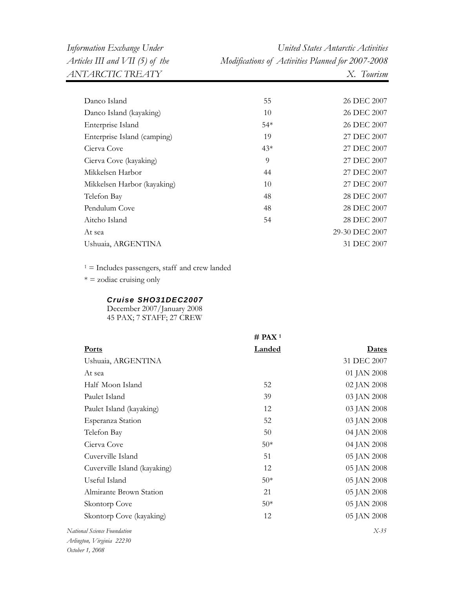| Danco Island                | 55    | 26 DEC 2007    |
|-----------------------------|-------|----------------|
| Danco Island (kayaking)     | 10    | 26 DEC 2007    |
| Enterprise Island           | $54*$ | 26 DEC 2007    |
| Enterprise Island (camping) | 19    | 27 DEC 2007    |
| Cierva Cove                 | $43*$ | 27 DEC 2007    |
| Cierva Cove (kayaking)      | 9     | 27 DEC 2007    |
| Mikkelsen Harbor            | 44    | 27 DEC 2007    |
| Mikkelsen Harbor (kayaking) | 10    | 27 DEC 2007    |
| Telefon Bay                 | 48    | 28 DEC 2007    |
| Pendulum Cove               | 48    | 28 DEC 2007    |
| Aitcho Island               | 54    | 28 DEC 2007    |
| At sea                      |       | 29-30 DEC 2007 |
| Ushuaia, ARGENTINA          |       | 31 DEC 2007    |
|                             |       |                |

 $1$  = Includes passengers, staff and crew landed

 $* =$  zodiac cruising only

#### *Cruise SHO31DEC2007*

December 2007/January 2008 45 PAX; 7 STAFF; 27 CREW

|                              | $#$ PAX <sup>1</sup> |              |
|------------------------------|----------------------|--------------|
| Ports                        | <b>Landed</b>        | <u>Dates</u> |
| Ushuaia, ARGENTINA           |                      | 31 DEC 2007  |
| At sea                       |                      | 01 JAN 2008  |
| Half Moon Island             | 52                   | 02 JAN 2008  |
| Paulet Island                | 39                   | 03 JAN 2008  |
| Paulet Island (kayaking)     | 12                   | 03 JAN 2008  |
| Esperanza Station            | 52                   | 03 JAN 2008  |
| Telefon Bay                  | 50                   | 04 JAN 2008  |
| Cierva Cove                  | $50*$                | 04 JAN 2008  |
| Cuverville Island            | 51                   | 05 JAN 2008  |
| Cuverville Island (kayaking) | 12                   | 05 JAN 2008  |
| Useful Island                | $50*$                | 05 JAN 2008  |
| Almirante Brown Station      | 21                   | 05 JAN 2008  |
| Skontorp Cove                | $50*$                | 05 JAN 2008  |
| Skontorp Cove (kayaking)     | 12                   | 05 JAN 2008  |
| National Science Foundation  |                      | $X-35$       |
| Arlington, Virginia 22230    |                      |              |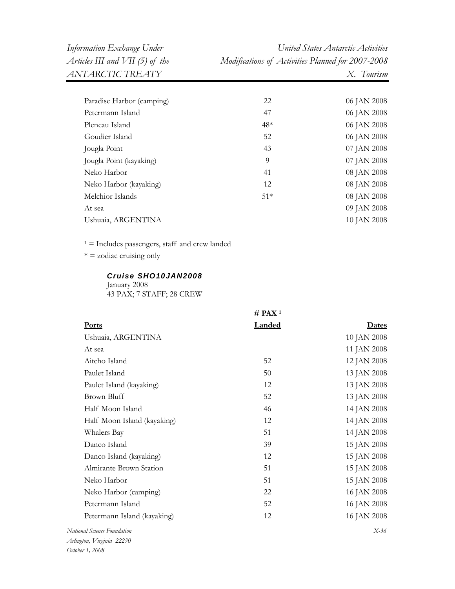| Paradise Harbor (camping) | 22    | 06 JAN 2008 |
|---------------------------|-------|-------------|
| Petermann Island          | 47    | 06 JAN 2008 |
| Pleneau Island            | $48*$ | 06 JAN 2008 |
| Goudier Island            | 52    | 06 JAN 2008 |
| Jougla Point              | 43    | 07 JAN 2008 |
| Jougla Point (kayaking)   | 9     | 07 JAN 2008 |
| Neko Harbor               | 41    | 08 JAN 2008 |
| Neko Harbor (kayaking)    | 12    | 08 JAN 2008 |
| Melchior Islands          | $51*$ | 08 JAN 2008 |
| At sea                    |       | 09 JAN 2008 |
| Ushuaia, ARGENTINA        |       | 10 JAN 2008 |
|                           |       |             |

 $1 =$  Includes passengers, staff and crew landed

 $* =$  zodiac cruising only

#### *Cruise SHO10JAN2008*

January 2008 43 PAX; 7 STAFF; 28 CREW

|                             | $#$ PAX <sup>1</sup> |              |
|-----------------------------|----------------------|--------------|
| <b>Ports</b>                | Landed               | <b>Dates</b> |
| Ushuaia, ARGENTINA          |                      | 10 JAN 2008  |
| At sea                      |                      | 11 JAN 2008  |
| Aitcho Island               | 52                   | 12 JAN 2008  |
| Paulet Island               | 50                   | 13 JAN 2008  |
| Paulet Island (kayaking)    | 12                   | 13 JAN 2008  |
| Brown Bluff                 | 52                   | 13 JAN 2008  |
| Half Moon Island            | 46                   | 14 JAN 2008  |
| Half Moon Island (kayaking) | 12                   | 14 JAN 2008  |
| Whalers Bay                 | 51                   | 14 JAN 2008  |
| Danco Island                | 39                   | 15 JAN 2008  |
| Danco Island (kayaking)     | 12                   | 15 JAN 2008  |
| Almirante Brown Station     | 51                   | 15 JAN 2008  |
| Neko Harbor                 | 51                   | 15 JAN 2008  |
| Neko Harbor (camping)       | 22                   | 16 JAN 2008  |
| Petermann Island            | 52                   | 16 JAN 2008  |
| Petermann Island (kayaking) | 12                   | 16 JAN 2008  |
| National Science Foundation |                      | $X-36$       |
| Arlington, Virginia 22230   |                      |              |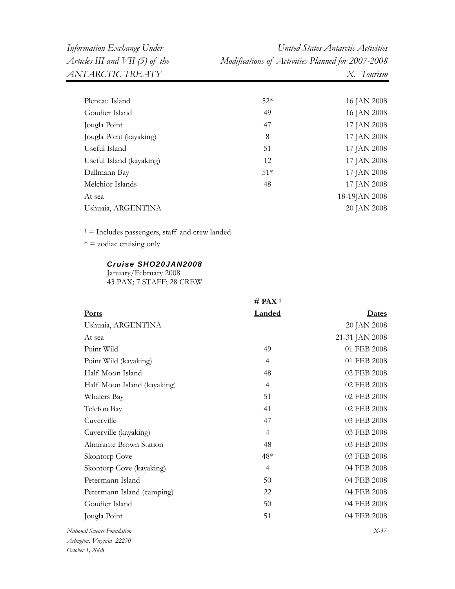| Pleneau Island           | $52*$ | 16 JAN 2008   |
|--------------------------|-------|---------------|
| Goudier Island           | 49    | 16 JAN 2008   |
| Jougla Point             | 47    | 17 JAN 2008   |
| Jougla Point (kayaking)  | 8     | 17 JAN 2008   |
| Useful Island            | 51    | 17 JAN 2008   |
| Useful Island (kayaking) | 12    | 17 JAN 2008   |
| Dallmann Bay             | $51*$ | 17 JAN 2008   |
| Melchior Islands         | 48    | 17 JAN 2008   |
| At sea                   |       | 18-19JAN 2008 |
| Ushuaia, ARGENTINA       |       | 20 JAN 2008   |

 $* =$  zodiac cruising only

#### *Cruise SHO20JAN2008*

January/February 2008 43 PAX; 7 STAFF; 28 CREW

|                             | $#$ PAX <sup>1</sup> |                |
|-----------------------------|----------------------|----------------|
| <b>Ports</b>                | Landed               | Dates          |
| Ushuaia, ARGENTINA          |                      | 20 JAN 2008    |
| At sea                      |                      | 21-31 JAN 2008 |
| Point Wild                  | 49                   | 01 FEB 2008    |
| Point Wild (kayaking)       | $\overline{4}$       | 01 FEB 2008    |
| Half Moon Island            | 48                   | 02 FEB 2008    |
| Half Moon Island (kayaking) | $\overline{4}$       | 02 FEB 2008    |
| Whalers Bay                 | 51                   | 02 FEB 2008    |
| Telefon Bay                 | 41                   | 02 FEB 2008    |
| Cuverville                  | 47                   | 03 FEB 2008    |
| Cuverville (kayaking)       | 4                    | 03 FEB 2008    |
| Almirante Brown Station     | 48                   | 03 FEB 2008    |
| Skontorp Cove               | $48*$                | 03 FEB 2008    |
| Skontorp Cove (kayaking)    | $\overline{4}$       | 04 FEB 2008    |
| Petermann Island            | 50                   | 04 FEB 2008    |
| Petermann Island (camping)  | 22                   | 04 FEB 2008    |
| Goudier Island              | 50                   | 04 FEB 2008    |
| Jougla Point                | 51                   | 04 FEB 2008    |
| National Science Foundation |                      | $X-37$         |
|                             |                      |                |

*Arlington, Virginia 22230 October 1, 2008*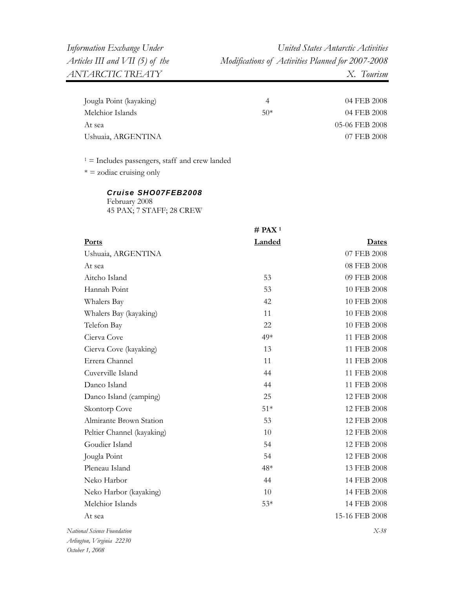| Jougla Point (kayaking) |       | 04 FEB 2008    |
|-------------------------|-------|----------------|
| Melchior Islands        | $50*$ | 04 FEB 2008    |
| At sea                  |       | 05-06 FEB 2008 |
| Ushuaia, ARGENTINA      |       | 07 FEB 2008    |

 $* =$  zodiac cruising only

#### *Cruise SHO07FEB2008* February 2008

45 PAX; 7 STAFF; 28 CREW

|                             | $#$ PAX <sup>1</sup> |                |
|-----------------------------|----------------------|----------------|
| <b>Ports</b>                | Landed               | <u>Dates</u>   |
| Ushuaia, ARGENTINA          |                      | 07 FEB 2008    |
| At sea                      |                      | 08 FEB 2008    |
| Aitcho Island               | 53                   | 09 FEB 2008    |
| Hannah Point                | 53                   | 10 FEB 2008    |
| Whalers Bay                 | 42                   | 10 FEB 2008    |
| Whalers Bay (kayaking)      | 11                   | 10 FEB 2008    |
| Telefon Bay                 | 22                   | 10 FEB 2008    |
| Cierva Cove                 | 49*                  | 11 FEB 2008    |
| Cierva Cove (kayaking)      | 13                   | 11 FEB 2008    |
| Errera Channel              | 11                   | 11 FEB 2008    |
| Cuverville Island           | 44                   | 11 FEB 2008    |
| Danco Island                | 44                   | 11 FEB 2008    |
| Danco Island (camping)      | 25                   | 12 FEB 2008    |
| Skontorp Cove               | $51*$                | 12 FEB 2008    |
| Almirante Brown Station     | 53                   | 12 FEB 2008    |
| Peltier Channel (kayaking)  | 10                   | 12 FEB 2008    |
| Goudier Island              | 54                   | 12 FEB 2008    |
| Jougla Point                | 54                   | 12 FEB 2008    |
| Pleneau Island              | $48*$                | 13 FEB 2008    |
| Neko Harbor                 | 44                   | 14 FEB 2008    |
| Neko Harbor (kayaking)      | 10                   | 14 FEB 2008    |
| Melchior Islands            | $53*$                | 14 FEB 2008    |
| At sea                      |                      | 15-16 FEB 2008 |
| National Science Foundation |                      | $X-38$         |
| Arlington, Virginia 22230   |                      |                |

*October 1, 2008*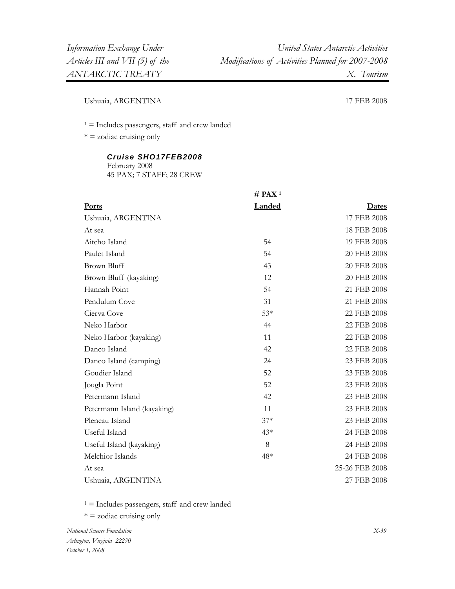Ushuaia, ARGENTINA 17 FEB 2008

1 = Includes passengers, staff and crew landed

 $* =$  zodiac cruising only

#### *Cruise SHO17FEB2008*

February 2008 45 PAX; 7 STAFF; 28 CREW

|                             | $#$ PAX <sup>1</sup> |                |
|-----------------------------|----------------------|----------------|
| Ports                       | <b>Landed</b>        | Dates          |
| Ushuaia, ARGENTINA          |                      | 17 FEB 2008    |
| At sea                      |                      | 18 FEB 2008    |
| Aitcho Island               | 54                   | 19 FEB 2008    |
| Paulet Island               | 54                   | 20 FEB 2008    |
| <b>Brown Bluff</b>          | 43                   | 20 FEB 2008    |
| Brown Bluff (kayaking)      | 12                   | 20 FEB 2008    |
| Hannah Point                | 54                   | 21 FEB 2008    |
| Pendulum Cove               | 31                   | 21 FEB 2008    |
| Cierva Cove                 | $53*$                | 22 FEB 2008    |
| Neko Harbor                 | 44                   | 22 FEB 2008    |
| Neko Harbor (kayaking)      | 11                   | 22 FEB 2008    |
| Danco Island                | 42                   | 22 FEB 2008    |
| Danco Island (camping)      | 24                   | 23 FEB 2008    |
| Goudier Island              | 52                   | 23 FEB 2008    |
| Jougla Point                | 52                   | 23 FEB 2008    |
| Petermann Island            | 42                   | 23 FEB 2008    |
| Petermann Island (kayaking) | 11                   | 23 FEB 2008    |
| Pleneau Island              | $37*$                | 23 FEB 2008    |
| Useful Island               | $43*$                | 24 FEB 2008    |
| Useful Island (kayaking)    | 8                    | 24 FEB 2008    |
| Melchior Islands            | 48*                  | 24 FEB 2008    |
| At sea                      |                      | 25-26 FEB 2008 |
| Ushuaia, ARGENTINA          |                      | 27 FEB 2008    |

 $1 =$  Includes passengers, staff and crew landed

\* = zodiac cruising only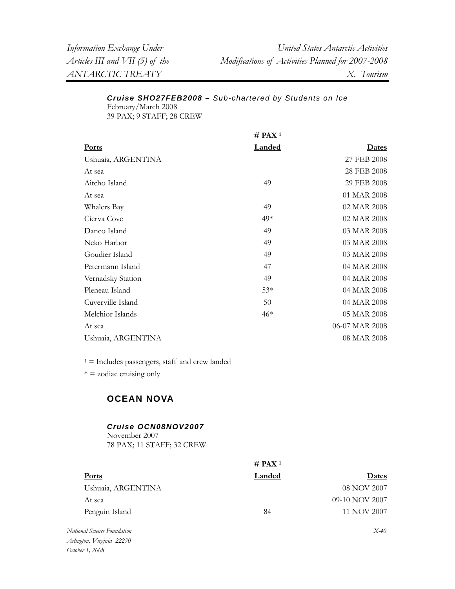| Information Exchange Under      | United States Antarctic Activities                |
|---------------------------------|---------------------------------------------------|
| Articles III and VII (5) of the | Modifications of Activities Planned for 2007-2008 |
| ANTARCTIC TREATY                | X. Tourism                                        |

## *Cruise SHO27FEB2008 – Sub-chartered by Students on Ice*  February/March 2008

39 PAX; 9 STAFF; 28 CREW

|                    | $#$ PAX <sup>1</sup> |                |
|--------------------|----------------------|----------------|
| <b>Ports</b>       | <b>Landed</b>        | Dates          |
| Ushuaia, ARGENTINA |                      | 27 FEB 2008    |
| At sea             |                      | 28 FEB 2008    |
| Aitcho Island      | 49                   | 29 FEB 2008    |
| At sea             |                      | 01 MAR 2008    |
| Whalers Bay        | 49                   | 02 MAR 2008    |
| Cierva Cove        | $49*$                | 02 MAR 2008    |
| Danco Island       | 49                   | 03 MAR 2008    |
| Neko Harbor        | 49                   | 03 MAR 2008    |
| Goudier Island     | 49                   | 03 MAR 2008    |
| Petermann Island   | 47                   | 04 MAR 2008    |
| Vernadsky Station  | 49                   | 04 MAR 2008    |
| Pleneau Island     | $53*$                | 04 MAR 2008    |
| Cuverville Island  | 50                   | 04 MAR 2008    |
| Melchior Islands   | $46*$                | 05 MAR 2008    |
| At sea             |                      | 06-07 MAR 2008 |
| Ushuaia, ARGENTINA |                      | 08 MAR 2008    |

 $1 =$  Includes passengers, staff and crew landed

\* = zodiac cruising only

# **OCEAN NOVA**

# *Cruise OCN08NOV2007*

November 2007 78 PAX; 11 STAFF; 32 CREW

|                         | # PAX <sup>1</sup> |                    |
|-------------------------|--------------------|--------------------|
| <b>Ports</b>            | Landed             | <b>Dates</b>       |
| Ushuaia, ARGENTINA      |                    | 08 NOV 2007        |
| At sea                  |                    | 09-10 NOV 2007     |
| Penguin Island          | 84                 | 11 NOV 2007        |
| $\cdots$ , and $\cdots$ |                    | $T \times 10^{-7}$ |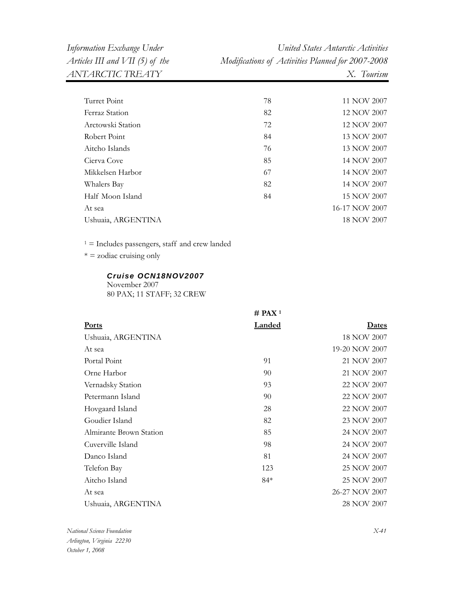| Information Exchange Under      | United States Antarctic Activities                |
|---------------------------------|---------------------------------------------------|
| Articles III and VII (5) of the | Modifications of Activities Planned for 2007-2008 |
| ANTARCTIC TREATY                | X. Tourism                                        |

| Turret Point       | 78 | 11 NOV 2007    |
|--------------------|----|----------------|
| Ferraz Station     | 82 | 12 NOV 2007    |
| Arctowski Station  | 72 | 12 NOV 2007    |
| Robert Point       | 84 | 13 NOV 2007    |
| Aitcho Islands     | 76 | 13 NOV 2007    |
| Cierva Cove        | 85 | 14 NOV 2007    |
| Mikkelsen Harbor   | 67 | 14 NOV 2007    |
| Whalers Bay        | 82 | 14 NOV 2007    |
| Half Moon Island   | 84 | 15 NOV 2007    |
| At sea             |    | 16-17 NOV 2007 |
| Ushuaia, ARGENTINA |    | 18 NOV 2007    |
|                    |    |                |

 $* =$  zodiac cruising only

#### *Cruise OCN18NOV2007*

November 2007

80 PAX; 11 STAFF; 32 CREW

|                         | $#$ PAX <sup>1</sup> |                |
|-------------------------|----------------------|----------------|
| <b>Ports</b>            | <b>Landed</b>        | <b>Dates</b>   |
| Ushuaia, ARGENTINA      |                      | 18 NOV 2007    |
| At sea                  |                      | 19-20 NOV 2007 |
| Portal Point            | 91                   | 21 NOV 2007    |
| Orne Harbor             | 90                   | 21 NOV 2007    |
| Vernadsky Station       | 93                   | 22 NOV 2007    |
| Petermann Island        | 90                   | 22 NOV 2007    |
| Hovgaard Island         | 28                   | 22 NOV 2007    |
| Goudier Island          | 82                   | 23 NOV 2007    |
| Almirante Brown Station | 85                   | 24 NOV 2007    |
| Cuverville Island       | 98                   | 24 NOV 2007    |
| Danco Island            | 81                   | 24 NOV 2007    |
| Telefon Bay             | 123                  | 25 NOV 2007    |
| Aitcho Island           | $84*$                | 25 NOV 2007    |
| At sea                  |                      | 26-27 NOV 2007 |
| Ushuaia, ARGENTINA      |                      | 28 NOV 2007    |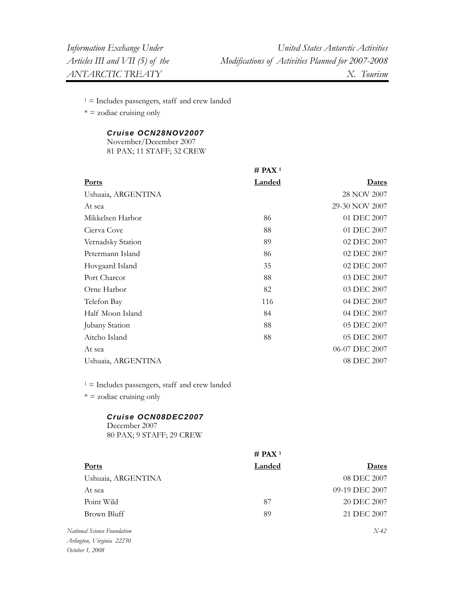$* =$  zodiac cruising only

## *Cruise OCN28NOV2007*

November/December 2007 81 PAX; 11 STAFF; 32 CREW

|                    | $#$ PAX <sup>1</sup> |                |
|--------------------|----------------------|----------------|
| <b>Ports</b>       | <b>Landed</b>        | Dates          |
| Ushuaia, ARGENTINA |                      | 28 NOV 2007    |
| At sea             |                      | 29-30 NOV 2007 |
| Mikkelsen Harbor   | 86                   | 01 DEC 2007    |
| Cierva Cove        | 88                   | 01 DEC 2007    |
| Vernadsky Station  | 89                   | 02 DEC 2007    |
| Petermann Island   | 86                   | 02 DEC 2007    |
| Hovgaard Island    | 35                   | 02 DEC 2007    |
| Port Charcot       | 88                   | 03 DEC 2007    |
| Orne Harbor        | 82                   | 03 DEC 2007    |
| Telefon Bay        | 116                  | 04 DEC 2007    |
| Half Moon Island   | 84                   | 04 DEC 2007    |
| Jubany Station     | 88                   | 05 DEC 2007    |
| Aitcho Island      | 88                   | 05 DEC 2007    |
| At sea             |                      | 06-07 DEC 2007 |
| Ushuaia, ARGENTINA |                      | 08 DEC 2007    |
|                    |                      |                |

 $1 =$  Includes passengers, staff and crew landed

 $* = z$ odiac cruising only

#### *Cruise OCN08DEC2007*

December 2007 80 PAX; 9 STAFF; 29 CREW

|                             | $#$ PAX <sup>1</sup> |                |
|-----------------------------|----------------------|----------------|
| <b>Ports</b>                | Landed               | Dates          |
| Ushuaia, ARGENTINA          |                      | 08 DEC 2007    |
| At sea                      |                      | 09-19 DEC 2007 |
| Point Wild                  | 87                   | 20 DEC 2007    |
| Brown Bluff                 | 89                   | 21 DEC 2007    |
| National Science Foundation |                      | $X-42$         |

*Arlington, Virginia 22230 October 1, 2008*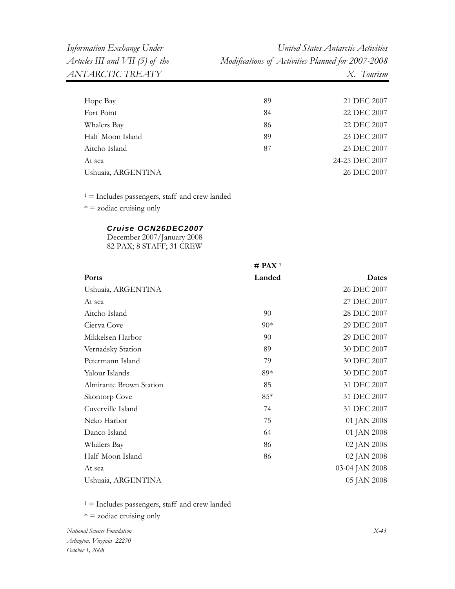| Hope Bay           | 89 | 21 DEC 2007    |
|--------------------|----|----------------|
| Fort Point         | 84 | 22 DEC 2007    |
| Whalers Bay        | 86 | 22 DEC 2007    |
| Half Moon Island   | 89 | 23 DEC 2007    |
| Aitcho Island      | 87 | 23 DEC 2007    |
| At sea             |    | 24-25 DEC 2007 |
| Ushuaia, ARGENTINA |    | 26 DEC 2007    |
|                    |    |                |

 $1 =$  Includes passengers, staff and crew landed

 $* =$  zodiac cruising only

#### *Cruise OCN26DEC2007*

December 2007/January 2008 82 PAX; 8 STAFF; 31 CREW

|                         | $#$ PAX <sup>1</sup> |                |
|-------------------------|----------------------|----------------|
| <b>Ports</b>            | <b>Landed</b>        | <u>Dates</u>   |
| Ushuaia, ARGENTINA      |                      | 26 DEC 2007    |
| At sea                  |                      | 27 DEC 2007    |
| Aitcho Island           | 90                   | 28 DEC 2007    |
| Cierva Cove             | $90*$                | 29 DEC 2007    |
| Mikkelsen Harbor        | 90                   | 29 DEC 2007    |
| Vernadsky Station       | 89                   | 30 DEC 2007    |
| Petermann Island        | 79                   | 30 DEC 2007    |
| Yalour Islands          | 89*                  | 30 DEC 2007    |
| Almirante Brown Station | 85                   | 31 DEC 2007    |
| Skontorp Cove           | $85*$                | 31 DEC 2007    |
| Cuverville Island       | 74                   | 31 DEC 2007    |
| Neko Harbor             | 75                   | 01 JAN 2008    |
| Danco Island            | 64                   | 01 JAN 2008    |
| Whalers Bay             | 86                   | 02 JAN 2008    |
| Half Moon Island        | 86                   | 02 JAN 2008    |
| At sea                  |                      | 03-04 JAN 2008 |
| Ushuaia, ARGENTINA      |                      | 05 JAN 2008    |

 $1 =$  Includes passengers, staff and crew landed

\* = zodiac cruising only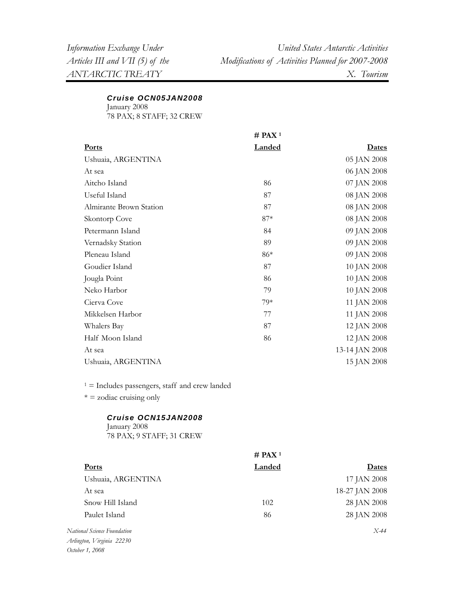#### *Cruise OCN05JAN2008*

January 2008 78 PAX; 8 STAFF; 32 CREW

|                         | $#$ PAX <sup>1</sup> |                |
|-------------------------|----------------------|----------------|
| <b>Ports</b>            | <b>Landed</b>        | <b>Dates</b>   |
| Ushuaia, ARGENTINA      |                      | 05 JAN 2008    |
| At sea                  |                      | 06 JAN 2008    |
| Aitcho Island           | 86                   | 07 JAN 2008    |
| Useful Island           | 87                   | 08 JAN 2008    |
| Almirante Brown Station | 87                   | 08 JAN 2008    |
| Skontorp Cove           | $87*$                | 08 JAN 2008    |
| Petermann Island        | 84                   | 09 JAN 2008    |
| Vernadsky Station       | 89                   | 09 JAN 2008    |
| Pleneau Island          | 86*                  | 09 JAN 2008    |
| Goudier Island          | 87                   | 10 JAN 2008    |
| Jougla Point            | 86                   | 10 JAN 2008    |
| Neko Harbor             | 79                   | 10 JAN 2008    |
| Cierva Cove             | $79*$                | 11 JAN 2008    |
| Mikkelsen Harbor        | 77                   | 11 JAN 2008    |
| Whalers Bay             | 87                   | 12 JAN 2008    |
| Half Moon Island        | 86                   | 12 JAN 2008    |
| At sea                  |                      | 13-14 JAN 2008 |
| Ushuaia, ARGENTINA      |                      | 15 JAN 2008    |

 $1 =$  Includes passengers, staff and crew landed

 $* =$  zodiac cruising only

### *Cruise OCN15JAN2008*

January 2008 78 PAX; 9 STAFF; 31 CREW

|                                                       | # PAX <sup>1</sup> |                |
|-------------------------------------------------------|--------------------|----------------|
| <b>Ports</b>                                          | Landed             | <b>Dates</b>   |
| Ushuaia, ARGENTINA                                    |                    | 17 JAN 2008    |
| At sea                                                |                    | 18-27 JAN 2008 |
| Snow Hill Island                                      | 102                | 28 JAN 2008    |
| Paulet Island                                         | 86                 | 28 JAN 2008    |
| National Science Foundation                           |                    | $X-44$         |
| $A_1, B_2, \ldots, A_n$ $\in$ $A_1, A_2, \ldots, A_n$ |                    |                |

*Arlington, Virginia 22230 October 1, 2008*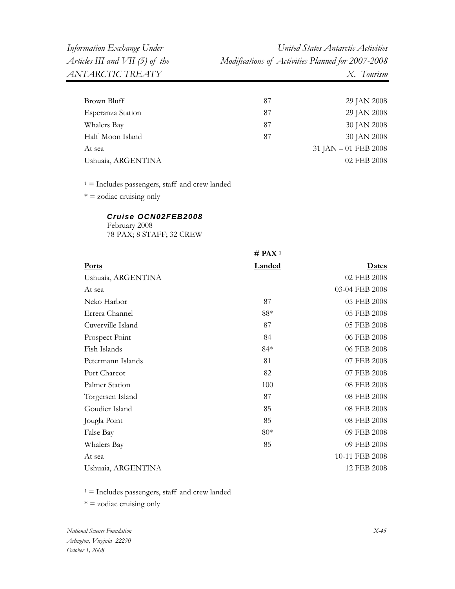| 87 | 29 JAN 2008          |
|----|----------------------|
| 87 | 29 JAN 2008          |
| 87 | 30 JAN 2008          |
| 87 | 30 JAN 2008          |
|    | 31 JAN - 01 FEB 2008 |
|    | 02 FEB 2008          |
|    |                      |

 $1 =$  Includes passengers, staff and crew landed

 $* = z$ odiac cruising only

## *Cruise OCN02FEB2008*

February 2008 78 PAX; 8 STAFF; 32 CREW

|                    | $#$ PAX <sup>1</sup> |                |
|--------------------|----------------------|----------------|
| <b>Ports</b>       | <b>Landed</b>        | <u>Dates</u>   |
| Ushuaia, ARGENTINA |                      | 02 FEB 2008    |
| At sea             |                      | 03-04 FEB 2008 |
| Neko Harbor        | 87                   | 05 FEB 2008    |
| Errera Channel     | $88*$                | 05 FEB 2008    |
| Cuverville Island  | 87                   | 05 FEB 2008    |
| Prospect Point     | 84                   | 06 FEB 2008    |
| Fish Islands       | $84*$                | 06 FEB 2008    |
| Petermann Islands  | 81                   | 07 FEB 2008    |
| Port Charcot       | 82                   | 07 FEB 2008    |
| Palmer Station     | 100                  | 08 FEB 2008    |
| Torgersen Island   | 87                   | 08 FEB 2008    |
| Goudier Island     | 85                   | 08 FEB 2008    |
| Jougla Point       | 85                   | 08 FEB 2008    |
| False Bay          | $80*$                | 09 FEB 2008    |
| Whalers Bay        | 85                   | 09 FEB 2008    |
| At sea             |                      | 10-11 FEB 2008 |
| Ushuaia, ARGENTINA |                      | 12 FEB 2008    |

 $1 =$  Includes passengers, staff and crew landed

 $* =$  zodiac cruising only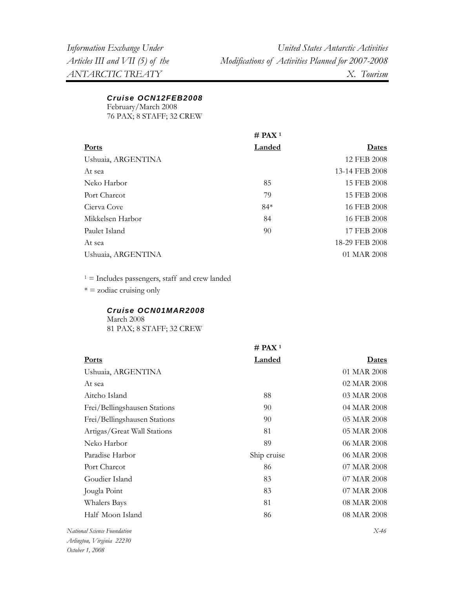*Cruise OCN12FEB2008*

February/March 2008

76 PAX; 8 STAFF; 32 CREW

|                    | # PAX <sup>1</sup> |                |
|--------------------|--------------------|----------------|
| Ports              | Landed             | Dates          |
| Ushuaia, ARGENTINA |                    | 12 FEB 2008    |
| At sea             |                    | 13-14 FEB 2008 |
| Neko Harbor        | 85                 | 15 FEB 2008    |
| Port Charcot       | 79                 | 15 FEB 2008    |
| Cierva Cove        | $84*$              | 16 FEB 2008    |
| Mikkelsen Harbor   | 84                 | 16 FEB 2008    |
| Paulet Island      | 90                 | 17 FEB 2008    |
| At sea             |                    | 18-29 FEB 2008 |
| Ushuaia, ARGENTINA |                    | 01 MAR 2008    |

1 = Includes passengers, staff and crew landed

 $* =$  zodiac cruising only

## *Cruise OCN01MAR2008*

March 2008 81 PAX; 8 STAFF; 32 CREW

|                              | $#$ PAX <sup>1</sup> |             |
|------------------------------|----------------------|-------------|
| <b>Ports</b>                 | <b>Landed</b>        | Dates       |
| Ushuaia, ARGENTINA           |                      | 01 MAR 2008 |
| At sea                       |                      | 02 MAR 2008 |
| Aitcho Island                | 88                   | 03 MAR 2008 |
| Frei/Bellingshausen Stations | 90                   | 04 MAR 2008 |
| Frei/Bellingshausen Stations | 90                   | 05 MAR 2008 |
| Artigas/Great Wall Stations  | 81                   | 05 MAR 2008 |
| Neko Harbor                  | 89                   | 06 MAR 2008 |
| Paradise Harbor              | Ship cruise          | 06 MAR 2008 |
| Port Charcot                 | 86                   | 07 MAR 2008 |
| Goudier Island               | 83                   | 07 MAR 2008 |
| Jougla Point                 | 83                   | 07 MAR 2008 |
| Whalers Bays                 | 81                   | 08 MAR 2008 |
| Half Moon Island             | 86                   | 08 MAR 2008 |
|                              |                      |             |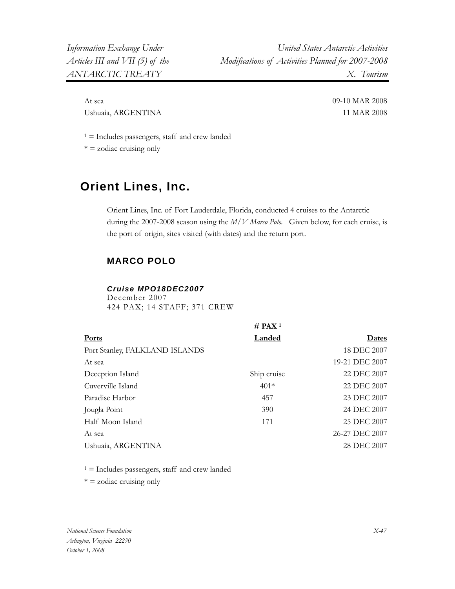At sea 09-10 MAR 2008 Ushuaia, ARGENTINA 11 MAR 2008

 $1 =$  Includes passengers, staff and crew landed

 $* = z$ odiac cruising only

# **Orient Lines, Inc.**

Orient Lines, Inc. of Fort Lauderdale, Florida, conducted 4 cruises to the Antarctic during the 2007-2008 season using the *M/V Marco Polo.* Given below, for each cruise, is the port of origin, sites visited (with dates) and the return port.

# **MARCO POLO**

#### *Cruise MPO18DEC2007*

December 2007 424 PAX; 14 STAFF; 371 CREW

|                                | $#$ PAX <sup>1</sup> |                |
|--------------------------------|----------------------|----------------|
| <b>Ports</b>                   | Landed               | Dates          |
| Port Stanley, FALKLAND ISLANDS |                      | 18 DEC 2007    |
| At sea                         |                      | 19-21 DEC 2007 |
| Deception Island               | Ship cruise          | 22 DEC 2007    |
| Cuverville Island              | $401*$               | 22 DEC 2007    |
| Paradise Harbor                | 457                  | 23 DEC 2007    |
| Jougla Point                   | 390                  | 24 DEC 2007    |
| Half Moon Island               | 171                  | 25 DEC 2007    |
| At sea                         |                      | 26-27 DEC 2007 |
| Ushuaia, ARGENTINA             |                      | 28 DEC 2007    |

 $1 =$  Includes passengers, staff and crew landed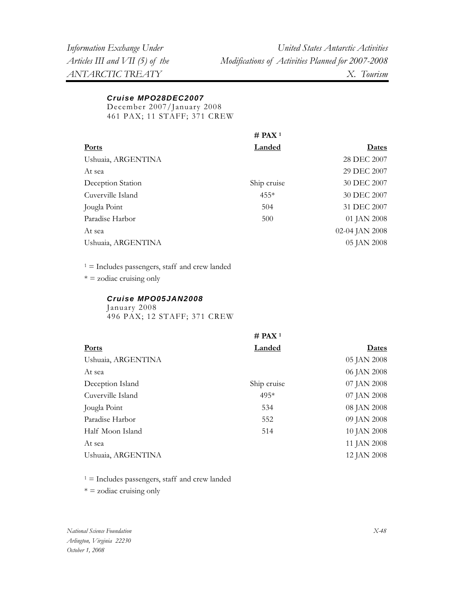## *Cruise MPO28DEC2007*

December 2007/January 2008 461 PAX; 11 STAFF; 371 CREW

|                    | # PAX <sup>1</sup> |                |
|--------------------|--------------------|----------------|
| Ports              | Landed             | Dates          |
| Ushuaia, ARGENTINA |                    | 28 DEC 2007    |
| At sea             |                    | 29 DEC 2007    |
| Deception Station  | Ship cruise        | 30 DEC 2007    |
| Cuverville Island  | $455*$             | 30 DEC 2007    |
| Jougla Point       | 504                | 31 DEC 2007    |
| Paradise Harbor    | 500                | 01 JAN 2008    |
| At sea             |                    | 02-04 JAN 2008 |
| Ushuaia, ARGENTINA |                    | 05 JAN 2008    |

 $1 =$  Includes passengers, staff and crew landed

 $* =$  zodiac cruising only

## *Cruise MPO05JAN2008*

January 2008 496 PAX; 12 STAFF; 371 CREW

|                    | $#$ PAX <sup>1</sup> |              |
|--------------------|----------------------|--------------|
| <b>Ports</b>       | <b>Landed</b>        | <u>Dates</u> |
| Ushuaia, ARGENTINA |                      | 05 JAN 2008  |
| At sea             |                      | 06 JAN 2008  |
| Deception Island   | Ship cruise          | 07 JAN 2008  |
| Cuverville Island  | $495*$               | 07 JAN 2008  |
| Jougla Point       | 534                  | 08 JAN 2008  |
| Paradise Harbor    | 552                  | 09 JAN 2008  |
| Half Moon Island   | 514                  | 10 JAN 2008  |
| At sea             |                      | 11 JAN 2008  |
| Ushuaia, ARGENTINA |                      | 12 JAN 2008  |

 $1 =$  Includes passengers, staff and crew landed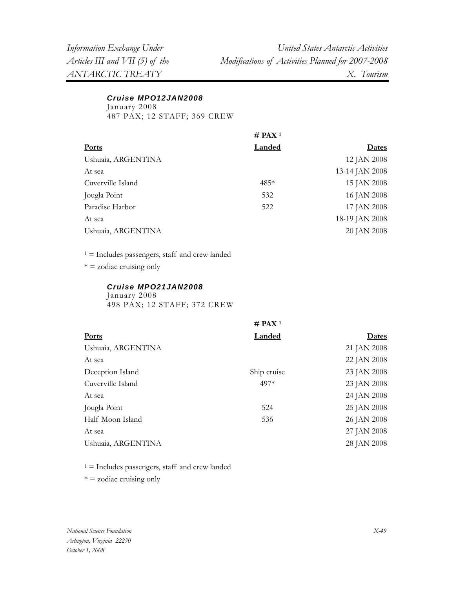# *Cruise MPO12JAN2008*

January 2008

487 PAX; 12 STAFF; 369 CREW

|                    | # PAX <sup>1</sup> |                |
|--------------------|--------------------|----------------|
| <b>Ports</b>       | Landed             | <b>Dates</b>   |
| Ushuaia, ARGENTINA |                    | 12 JAN 2008    |
| At sea             |                    | 13-14 JAN 2008 |
| Cuverville Island  | $485*$             | 15 JAN 2008    |
| Jougla Point       | 532                | 16 JAN 2008    |
| Paradise Harbor    | 522                | 17 JAN 2008    |
| At sea             |                    | 18-19 JAN 2008 |
| Ushuaia, ARGENTINA |                    | 20 JAN 2008    |
|                    |                    |                |

 $1 =$  Includes passengers, staff and crew landed

 $* = z$ odiac cruising only

#### *Cruise MPO21JAN2008*

January 2008 498 PAX; 12 STAFF; 372 CREW

|                    | # PAX <sup>1</sup> |              |
|--------------------|--------------------|--------------|
| <b>Ports</b>       | <b>Landed</b>      | <u>Dates</u> |
| Ushuaia, ARGENTINA |                    | 21 JAN 2008  |
| At sea             |                    | 22 JAN 2008  |
| Deception Island   | Ship cruise        | 23 JAN 2008  |
| Cuverville Island  | 497*               | 23 JAN 2008  |
| At sea             |                    | 24 JAN 2008  |
| Jougla Point       | 524                | 25 JAN 2008  |
| Half Moon Island   | 536                | 26 JAN 2008  |
| At sea             |                    | 27 JAN 2008  |
| Ushuaia, ARGENTINA |                    | 28 JAN 2008  |
|                    |                    |              |

 $1 =$  Includes passengers, staff and crew landed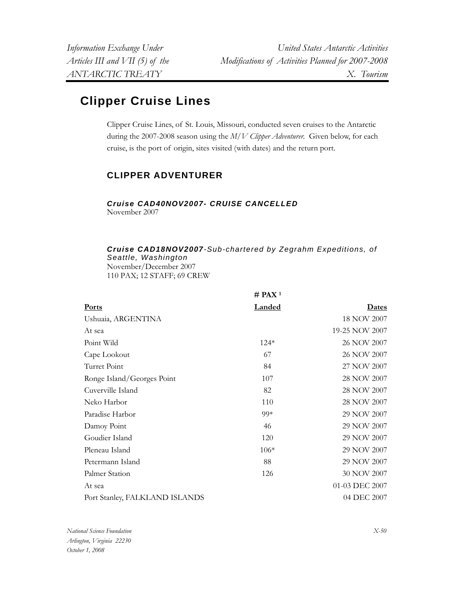# **Clipper Cruise Lines**

Clipper Cruise Lines, of St. Louis, Missouri, conducted seven cruises to the Antarctic during the 2007-2008 season using the *M/V Clipper Adventurer.* Given below, for each cruise, is the port of origin, sites visited (with dates) and the return port.

# **CLIPPER ADVENTURER**

# *Cruise CAD40NOV2007- CRUISE CANCELLED*

November 2007

# *Cruise CAD18NOV2007-Sub-chartered by Zegrahm Expeditions, of Seattle, Washington*  November/December 2007

110 PAX; 12 STAFF; 69 CREW

|                                | $#$ PAX <sup>1</sup> |                |
|--------------------------------|----------------------|----------------|
| <b>Ports</b>                   | <b>Landed</b>        | <u>Dates</u>   |
| Ushuaia, ARGENTINA             |                      | 18 NOV 2007    |
| At sea                         |                      | 19-25 NOV 2007 |
| Point Wild                     | $124*$               | 26 NOV 2007    |
| Cape Lookout                   | 67                   | 26 NOV 2007    |
| Turret Point                   | 84                   | 27 NOV 2007    |
| Ronge Island/Georges Point     | 107                  | 28 NOV 2007    |
| Cuverville Island              | 82                   | 28 NOV 2007    |
| Neko Harbor                    | 110                  | 28 NOV 2007    |
| Paradise Harbor                | $99*$                | 29 NOV 2007    |
| Damoy Point                    | 46                   | 29 NOV 2007    |
| Goudier Island                 | 120                  | 29 NOV 2007    |
| Pleneau Island                 | $106*$               | 29 NOV 2007    |
| Petermann Island               | 88                   | 29 NOV 2007    |
| Palmer Station                 | 126                  | 30 NOV 2007    |
| At sea                         |                      | 01-03 DEC 2007 |
| Port Stanley, FALKLAND ISLANDS |                      | 04 DEC 2007    |
|                                |                      |                |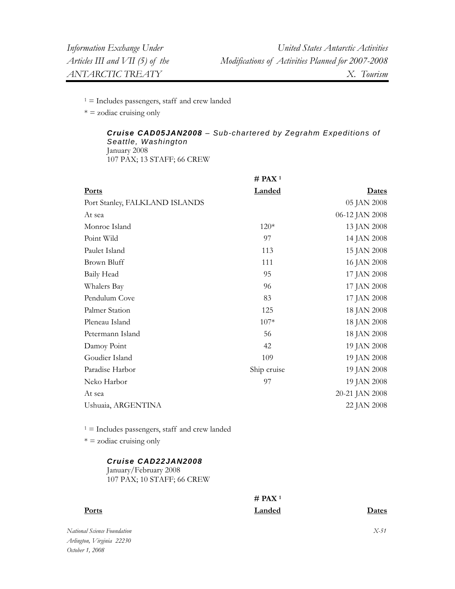$* = z$ odiac cruising only

#### *Cruise CAD05JAN2008 – Sub-chartered by Zegrahm Expeditions of Seattle, Washington*  January 2008 107 PAX; 13 STAFF; 66 CREW

|                                | $#$ PAX <sup>1</sup> |                |
|--------------------------------|----------------------|----------------|
| <b>Ports</b>                   | <b>Landed</b>        | Dates          |
| Port Stanley, FALKLAND ISLANDS |                      | 05 JAN 2008    |
| At sea                         |                      | 06-12 JAN 2008 |
| Monroe Island                  | $120*$               | 13 JAN 2008    |
| Point Wild                     | 97                   | 14 JAN 2008    |
| Paulet Island                  | 113                  | 15 JAN 2008    |
| Brown Bluff                    | 111                  | 16 JAN 2008    |
| Baily Head                     | 95                   | 17 JAN 2008    |
| Whalers Bay                    | 96                   | 17 JAN 2008    |
| Pendulum Cove                  | 83                   | 17 JAN 2008    |
| Palmer Station                 | 125                  | 18 JAN 2008    |
| Pleneau Island                 | $107*$               | 18 JAN 2008    |
| Petermann Island               | 56                   | 18 JAN 2008    |
| Damoy Point                    | 42                   | 19 JAN 2008    |
| Goudier Island                 | 109                  | 19 JAN 2008    |
| Paradise Harbor                | Ship cruise          | 19 JAN 2008    |
| Neko Harbor                    | 97                   | 19 JAN 2008    |
| At sea                         |                      | 20-21 JAN 2008 |
| Ushuaia, ARGENTINA             |                      | 22 JAN 2008    |
|                                |                      |                |

 $1 =$  Includes passengers, staff and crew landed

 $* = z$ odiac cruising only

#### *Cruise CAD22JAN2008*

January/February 2008 107 PAX; 10 STAFF; 66 CREW

> **# PAX 1 Landed Dates**

*National Science Foundation Arlington, Virginia 22230 October 1, 2008* 

**Ports**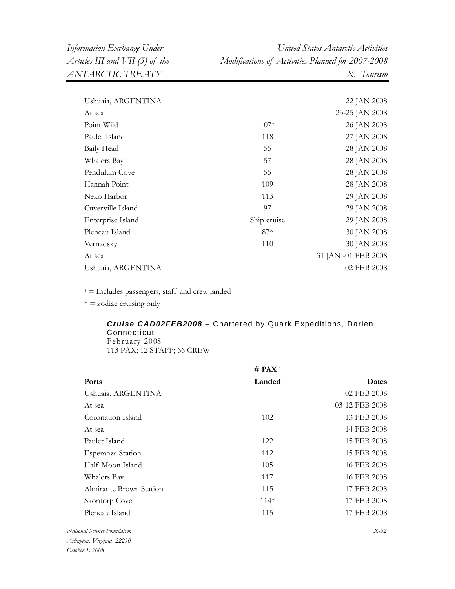| Ushuaia, ARGENTINA |             | 22 JAN 2008         |
|--------------------|-------------|---------------------|
| At sea             |             | 23-25 JAN 2008      |
| Point Wild         | $107*$      | 26 JAN 2008         |
| Paulet Island      | 118         | 27 JAN 2008         |
| Baily Head         | 55          | 28 JAN 2008         |
| Whalers Bay        | 57          | 28 JAN 2008         |
| Pendulum Cove      | 55          | 28 JAN 2008         |
| Hannah Point       | 109         | 28 JAN 2008         |
| Neko Harbor        | 113         | 29 JAN 2008         |
| Cuverville Island  | 97          | 29 JAN 2008         |
| Enterprise Island  | Ship cruise | 29 JAN 2008         |
| Pleneau Island     | $87*$       | 30 JAN 2008         |
| Vernadsky          | 110         | 30 JAN 2008         |
| At sea             |             | 31 JAN -01 FEB 2008 |
| Ushuaia, ARGENTINA |             | 02 FEB 2008         |
|                    |             |                     |

 $* =$  zodiac cruising only

# *Cruise CAD02FEB2008* – Chartered by Quark Expeditions, Darien, Connecticut February 2008

113 PAX; 12 STAFF; 66 CREW

|                           | # PAX <sup>1</sup> |                  |
|---------------------------|--------------------|------------------|
| <b>Ports</b>              | Landed             | <b>Dates</b>     |
| Ushuaia, ARGENTINA        |                    | 02 FEB 2008      |
| At sea                    |                    | 03-12 FEB 2008   |
| Coronation Island         | 102                | 13 FEB 2008      |
| At sea                    |                    | 14 FEB 2008      |
| Paulet Island             | 122                | 15 FEB 2008      |
| Esperanza Station         | 112                | 15 FEB 2008      |
| Half Moon Island          | 105                | 16 FEB 2008      |
| Whalers Bay               | 117                | 16 FEB 2008      |
| Almirante Brown Station   | 115                | 17 FEB 2008      |
| Skontorp Cove             | $114*$             | 17 FEB 2008      |
| Pleneau Island            | 115                | 17 FEB 2008      |
| anal Caisness Escundation |                    | $V$ $\epsilon$ 2 |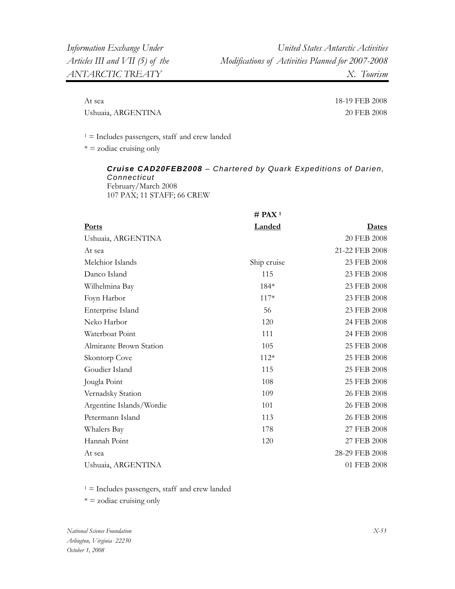At sea 18-19 FEB 2008 Ushuaia, ARGENTINA 20 FEB 2008

 $1 =$  Includes passengers, staff and crew landed

 $* =$  zodiac cruising only

*Cruise CAD20FEB2008 – Chartered by Quark Expeditions of Darien, Connecticut* February/March 2008 107 PAX; 11 STAFF; 66 CREW

|                          | # PAX $1$     |                |
|--------------------------|---------------|----------------|
| <b>Ports</b>             | <b>Landed</b> | <u>Dates</u>   |
| Ushuaia, ARGENTINA       |               | 20 FEB 2008    |
| At sea                   |               | 21-22 FEB 2008 |
| Melchior Islands         | Ship cruise   | 23 FEB 2008    |
| Danco Island             | 115           | 23 FEB 2008    |
| Wilhelmina Bay           | $184*$        | 23 FEB 2008    |
| Foyn Harbor              | $117*$        | 23 FEB 2008    |
| Enterprise Island        | 56            | 23 FEB 2008    |
| Neko Harbor              | 120           | 24 FEB 2008    |
| Waterboat Point          | 111           | 24 FEB 2008    |
| Almirante Brown Station  | 105           | 25 FEB 2008    |
| Skontorp Cove            | $112*$        | 25 FEB 2008    |
| Goudier Island           | 115           | 25 FEB 2008    |
| Jougla Point             | 108           | 25 FEB 2008    |
| Vernadsky Station        | 109           | 26 FEB 2008    |
| Argentine Islands/Wordie | 101           | 26 FEB 2008    |
| Petermann Island         | 113           | 26 FEB 2008    |
| Whalers Bay              | 178           | 27 FEB 2008    |
| Hannah Point             | 120           | 27 FEB 2008    |
| At sea                   |               | 28-29 FEB 2008 |
| Ushuaia, ARGENTINA       |               | 01 FEB 2008    |

 $1 =$  Includes passengers, staff and crew landed

 $* =$  zodiac cruising only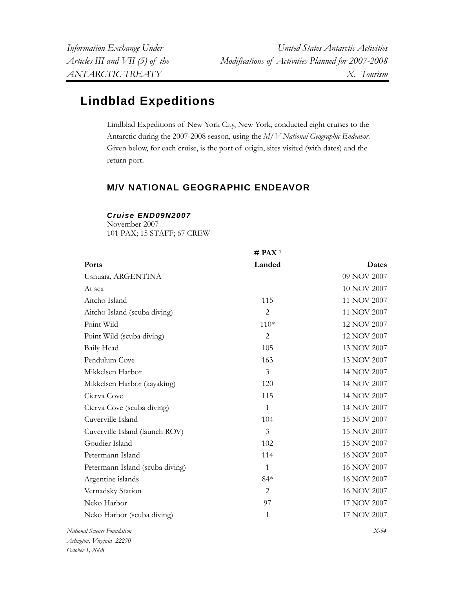# **Lindblad Expeditions**

Lindblad Expeditions of New York City, New York, conducted eight cruises to the Antarctic during the 2007-2008 season, using the *M/V National Geographic Endeavor*. Given below, for each cruise, is the port of origin, sites visited (with dates) and the return port.

# **M/V NATIONAL GEOGRAPHIC ENDEAVOR**

# *Cruise END09N2007*

November 2007 101 PAX; 15 STAFF; 67 CREW

|                                 | # PAX <sup>1</sup> |             |
|---------------------------------|--------------------|-------------|
| Ports                           | Landed             | Dates       |
| Ushuaia, ARGENTINA              |                    | 09 NOV 2007 |
| At sea                          |                    | 10 NOV 2007 |
| Aitcho Island                   | 115                | 11 NOV 2007 |
| Aitcho Island (scuba diving)    | $\overline{2}$     | 11 NOV 2007 |
| Point Wild                      | $110*$             | 12 NOV 2007 |
| Point Wild (scuba diving)       | 2                  | 12 NOV 2007 |
| Baily Head                      | 105                | 13 NOV 2007 |
| Pendulum Cove                   | 163                | 13 NOV 2007 |
| Mikkelsen Harbor                | 3                  | 14 NOV 2007 |
| Mikkelsen Harbor (kayaking)     | 120                | 14 NOV 2007 |
| Cierva Cove                     | 115                | 14 NOV 2007 |
| Cierva Cove (scuba diving)      | $\mathbf{1}$       | 14 NOV 2007 |
| Cuverville Island               | 104                | 15 NOV 2007 |
| Cuverville Island (launch ROV)  | $\mathfrak{Z}$     | 15 NOV 2007 |
| Goudier Island                  | 102                | 15 NOV 2007 |
| Petermann Island                | 114                | 16 NOV 2007 |
| Petermann Island (scuba diving) | $\mathbf{1}$       | 16 NOV 2007 |
| Argentine islands               | $84*$              | 16 NOV 2007 |
| Vernadsky Station               | $\overline{2}$     | 16 NOV 2007 |
| Neko Harbor                     | 97                 | 17 NOV 2007 |
| Neko Harbor (scuba diving)      | $\mathbf{1}$       | 17 NOV 2007 |
| $\sim$                          |                    | $ -$        |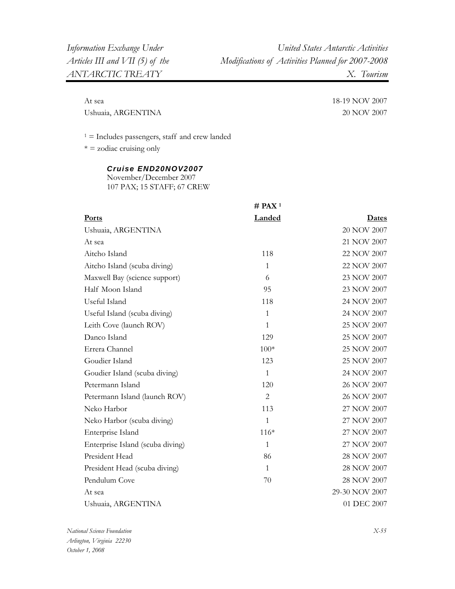Ushuaia, ARGENTINA 20 NOV 2007

At sea 18-19 NOV 2007

 $1 =$  Includes passengers, staff and crew landed

 $* =$  zodiac cruising only

#### *Cruise END20NOV2007*

November/December 2007 107 PAX; 15 STAFF; 67 CREW

|                                  | $#$ PAX <sup>1</sup> |                |
|----------------------------------|----------------------|----------------|
| Ports                            | Landed               | <u>Dates</u>   |
| Ushuaia, ARGENTINA               |                      | 20 NOV 2007    |
| At sea                           |                      | 21 NOV 2007    |
| Aitcho Island                    | 118                  | 22 NOV 2007    |
| Aitcho Island (scuba diving)     | $\mathbf{1}$         | 22 NOV 2007    |
| Maxwell Bay (science support)    | 6                    | 23 NOV 2007    |
| Half Moon Island                 | 95                   | 23 NOV 2007    |
| Useful Island                    | 118                  | 24 NOV 2007    |
| Useful Island (scuba diving)     | 1                    | 24 NOV 2007    |
| Leith Cove (launch ROV)          | $\mathbf{1}$         | 25 NOV 2007    |
| Danco Island                     | 129                  | 25 NOV 2007    |
| Errera Channel                   | $100*$               | 25 NOV 2007    |
| Goudier Island                   | 123                  | 25 NOV 2007    |
| Goudier Island (scuba diving)    | $\mathbf{1}$         | 24 NOV 2007    |
| Petermann Island                 | 120                  | 26 NOV 2007    |
| Petermann Island (launch ROV)    | $\overline{2}$       | 26 NOV 2007    |
| Neko Harbor                      | 113                  | 27 NOV 2007    |
| Neko Harbor (scuba diving)       | 1                    | 27 NOV 2007    |
| Enterprise Island                | $116*$               | 27 NOV 2007    |
| Enterprise Island (scuba diving) | $\mathbf{1}$         | 27 NOV 2007    |
| President Head                   | 86                   | 28 NOV 2007    |
| President Head (scuba diving)    | $\mathbf{1}$         | 28 NOV 2007    |
| Pendulum Cove                    | 70                   | 28 NOV 2007    |
| At sea                           |                      | 29-30 NOV 2007 |
| Ushuaia, ARGENTINA               |                      | 01 DEC 2007    |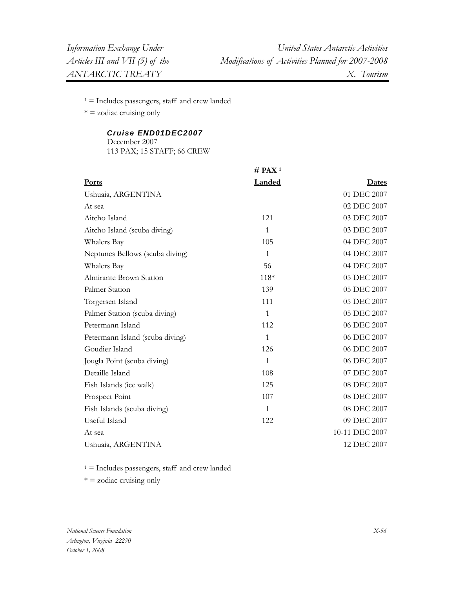$* =$  zodiac cruising only

# *Cruise END01DEC2007*

December 2007 113 PAX; 15 STAFF; 66 CREW

|                                 | $#$ PAX <sup>1</sup> |                |
|---------------------------------|----------------------|----------------|
| <b>Ports</b>                    | <b>Landed</b>        | Dates          |
| Ushuaia, ARGENTINA              |                      | 01 DEC 2007    |
| At sea                          |                      | 02 DEC 2007    |
| Aitcho Island                   | 121                  | 03 DEC 2007    |
| Aitcho Island (scuba diving)    | 1                    | 03 DEC 2007    |
| Whalers Bay                     | 105                  | 04 DEC 2007    |
| Neptunes Bellows (scuba diving) | 1                    | 04 DEC 2007    |
| Whalers Bay                     | 56                   | 04 DEC 2007    |
| Almirante Brown Station         | 118*                 | 05 DEC 2007    |
| Palmer Station                  | 139                  | 05 DEC 2007    |
| Torgersen Island                | 111                  | 05 DEC 2007    |
| Palmer Station (scuba diving)   | 1                    | 05 DEC 2007    |
| Petermann Island                | 112                  | 06 DEC 2007    |
| Petermann Island (scuba diving) | 1                    | 06 DEC 2007    |
| Goudier Island                  | 126                  | 06 DEC 2007    |
| Jougla Point (scuba diving)     | 1                    | 06 DEC 2007    |
| Detaille Island                 | 108                  | 07 DEC 2007    |
| Fish Islands (ice walk)         | 125                  | 08 DEC 2007    |
| Prospect Point                  | 107                  | 08 DEC 2007    |
| Fish Islands (scuba diving)     | 1                    | 08 DEC 2007    |
| Useful Island                   | 122                  | 09 DEC 2007    |
| At sea                          |                      | 10-11 DEC 2007 |
| Ushuaia, ARGENTINA              |                      | 12 DEC 2007    |

 $1 =$  Includes passengers, staff and crew landed

 $* = z$ odiac cruising only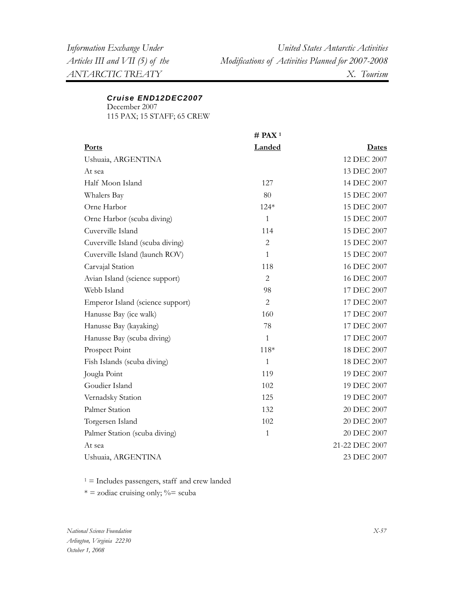## *Cruise END12DEC2007*

December 2007 115 PAX; 15 STAFF; 65 CREW

**# PAX 1 Ports Landed Dates** Ushuaia, ARGENTINA 12 DEC 2007 At sea 13 DEC 2007 Half Moon Island 127 14 DEC 2007 Whalers Bay Orne Harbor 80 124\* 15 DEC 2007 15 DEC 2007 Orne Harbor (scuba diving) Cuverville Island 1 114 15 DEC 2007 15 DEC 2007 Cuverville Island (scuba diving) Cuverville Island (launch ROV) Carvajal Station Avian Island (science support) Webb Island 2 1 118 2 98 15 DEC 2007 15 DEC 2007 16 DEC 2007 16 DEC 2007 17 DEC 2007 Emperor Island (science support) Hanusse Bay (ice walk) Hanusse Bay (kayaking) Hanusse Bay (scuba diving) Prospect Point Fish Islands (scuba diving) Jougla Point Goudier Island 2 160 78 1 118\* 1 119 102 17 DEC 2007 17 DEC 2007 17 DEC 2007 17 DEC 2007 18 DEC 2007 18 DEC 2007 19 DEC 2007 19 DEC 2007 Vernadsky Station Palmer Station 125 132 19 DEC 2007 20 DEC 2007 Torgersen Island Palmer Station (scuba diving) At sea 102 1 20 DEC 2007 20 DEC 2007 21-22 DEC 2007 Ushuaia, ARGENTINA 23 DEC 2007

 $1 =$  Includes passengers, staff and crew landed

 $* =$  zodiac cruising only;  $\% =$  scuba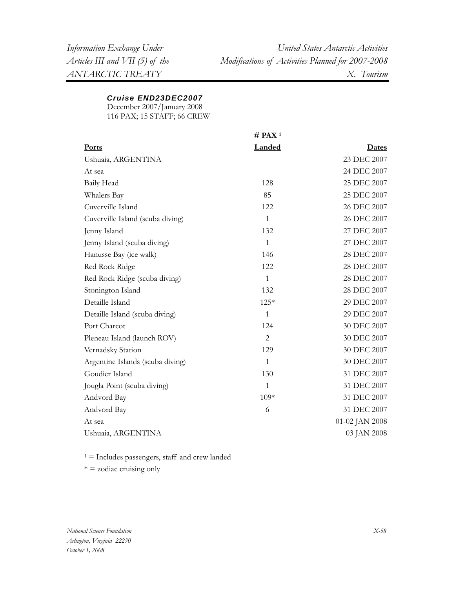# *Cruise END23DEC2007*

December 2007/January 2008 116 PAX; 15 STAFF; 66 CREW

|                                  | $#$ PAX <sup>1</sup> |                |
|----------------------------------|----------------------|----------------|
| Ports                            | Landed               | <u>Dates</u>   |
| Ushuaia, ARGENTINA               |                      | 23 DEC 2007    |
| At sea                           |                      | 24 DEC 2007    |
| Baily Head                       | 128                  | 25 DEC 2007    |
| Whalers Bay                      | 85                   | 25 DEC 2007    |
| Cuverville Island                | 122                  | 26 DEC 2007    |
| Cuverville Island (scuba diving) | $\mathbf{1}$         | 26 DEC 2007    |
| Jenny Island                     | 132                  | 27 DEC 2007    |
| Jenny Island (scuba diving)      | $\mathbf{1}$         | 27 DEC 2007    |
| Hanusse Bay (ice walk)           | 146                  | 28 DEC 2007    |
| Red Rock Ridge                   | 122                  | 28 DEC 2007    |
| Red Rock Ridge (scuba diving)    | $\mathbf{1}$         | 28 DEC 2007    |
| Stonington Island                | 132                  | 28 DEC 2007    |
| Detaille Island                  | 125*                 | 29 DEC 2007    |
| Detaille Island (scuba diving)   | $\mathbf{1}$         | 29 DEC 2007    |
| Port Charcot                     | 124                  | 30 DEC 2007    |
| Pleneau Island (launch ROV)      | $\overline{2}$       | 30 DEC 2007    |
| Vernadsky Station                | 129                  | 30 DEC 2007    |
| Argentine Islands (scuba diving) | $\mathbf{1}$         | 30 DEC 2007    |
| Goudier Island                   | 130                  | 31 DEC 2007    |
| Jougla Point (scuba diving)      | $\mathbf{1}$         | 31 DEC 2007    |
| Andvord Bay                      | $109*$               | 31 DEC 2007    |
| Andvord Bay                      | 6                    | 31 DEC 2007    |
| At sea                           |                      | 01-02 JAN 2008 |
| Ushuaia, ARGENTINA               |                      | 03 JAN 2008    |

 $1 =$  Includes passengers, staff and crew landed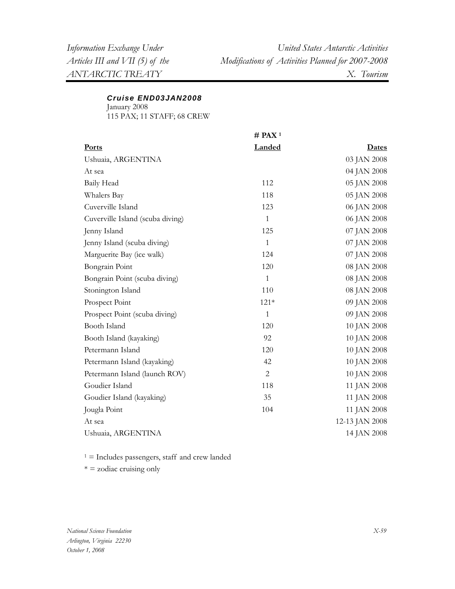## *Cruise END03JAN2008*

January 2008 115 PAX; 11 STAFF; 68 CREW

|                                  | $#$ PAX <sup>1</sup> |                |
|----------------------------------|----------------------|----------------|
| <b>Ports</b>                     | Landed               | <b>Dates</b>   |
| Ushuaia, ARGENTINA               |                      | 03 JAN 2008    |
| At sea                           |                      | 04 JAN 2008    |
| Baily Head                       | 112                  | 05 JAN 2008    |
| Whalers Bay                      | 118                  | 05 JAN 2008    |
| Cuverville Island                | 123                  | 06 JAN 2008    |
| Cuverville Island (scuba diving) | $\mathbf{1}$         | 06 JAN 2008    |
| Jenny Island                     | 125                  | 07 JAN 2008    |
| Jenny Island (scuba diving)      | $\mathbf{1}$         | 07 JAN 2008    |
| Marguerite Bay (ice walk)        | 124                  | 07 JAN 2008    |
| Bongrain Point                   | 120                  | 08 JAN 2008    |
| Bongrain Point (scuba diving)    | $\mathbf{1}$         | 08 JAN 2008    |
| Stonington Island                | 110                  | 08 JAN 2008    |
| Prospect Point                   | $121*$               | 09 JAN 2008    |
| Prospect Point (scuba diving)    | $\mathbf{1}$         | 09 JAN 2008    |
| Booth Island                     | 120                  | 10 JAN 2008    |
| Booth Island (kayaking)          | 92                   | 10 JAN 2008    |
| Petermann Island                 | 120                  | 10 JAN 2008    |
| Petermann Island (kayaking)      | 42                   | 10 JAN 2008    |
| Petermann Island (launch ROV)    | $\overline{2}$       | 10 JAN 2008    |
| Goudier Island                   | 118                  | 11 JAN 2008    |
| Goudier Island (kayaking)        | 35                   | 11 JAN 2008    |
| Jougla Point                     | 104                  | 11 JAN 2008    |
| At sea                           |                      | 12-13 JAN 2008 |
| Ushuaia, ARGENTINA               |                      | 14 JAN 2008    |

 $1 =$  Includes passengers, staff and crew landed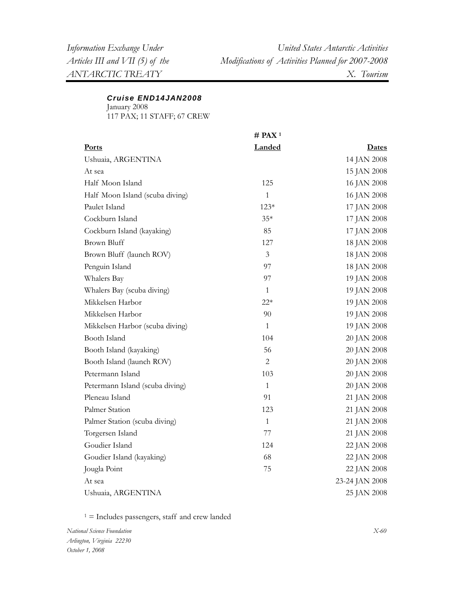# *Cruise END14JAN2008*

January 2008 117 PAX; 11 STAFF; 67 CREW

|                                 | $#$ PAX <sup>1</sup> |                |
|---------------------------------|----------------------|----------------|
| <b>Ports</b>                    | Landed               | <u>Dates</u>   |
| Ushuaia, ARGENTINA              |                      | 14 JAN 2008    |
| At sea                          |                      | 15 JAN 2008    |
| Half Moon Island                | 125                  | 16 JAN 2008    |
| Half Moon Island (scuba diving) | $\mathbf{1}$         | 16 JAN 2008    |
| Paulet Island                   | $123*$               | 17 JAN 2008    |
| Cockburn Island                 | $35*$                | 17 JAN 2008    |
| Cockburn Island (kayaking)      | 85                   | 17 JAN 2008    |
| <b>Brown Bluff</b>              | 127                  | 18 JAN 2008    |
| Brown Bluff (launch ROV)        | 3                    | 18 JAN 2008    |
| Penguin Island                  | 97                   | 18 JAN 2008    |
| Whalers Bay                     | 97                   | 19 JAN 2008    |
| Whalers Bay (scuba diving)      | $\mathbf{1}$         | 19 JAN 2008    |
| Mikkelsen Harbor                | $22*$                | 19 JAN 2008    |
| Mikkelsen Harbor                | 90                   | 19 JAN 2008    |
| Mikkelsen Harbor (scuba diving) | $\mathbf{1}$         | 19 JAN 2008    |
| Booth Island                    | 104                  | 20 JAN 2008    |
| Booth Island (kayaking)         | 56                   | 20 JAN 2008    |
| Booth Island (launch ROV)       | 2                    | 20 JAN 2008    |
| Petermann Island                | 103                  | 20 JAN 2008    |
| Petermann Island (scuba diving) | $\mathbf{1}$         | 20 JAN 2008    |
| Pleneau Island                  | 91                   | 21 JAN 2008    |
| Palmer Station                  | 123                  | 21 JAN 2008    |
| Palmer Station (scuba diving)   | $\mathbf{1}$         | 21 JAN 2008    |
| Torgersen Island                | 77                   | 21 JAN 2008    |
| Goudier Island                  | 124                  | 22 JAN 2008    |
| Goudier Island (kayaking)       | 68                   | 22 JAN 2008    |
| Jougla Point                    | 75                   | 22 JAN 2008    |
| At sea                          |                      | 23-24 JAN 2008 |
| Ushuaia, ARGENTINA              |                      | 25 JAN 2008    |

 $1 =$  Includes passengers, staff and crew landed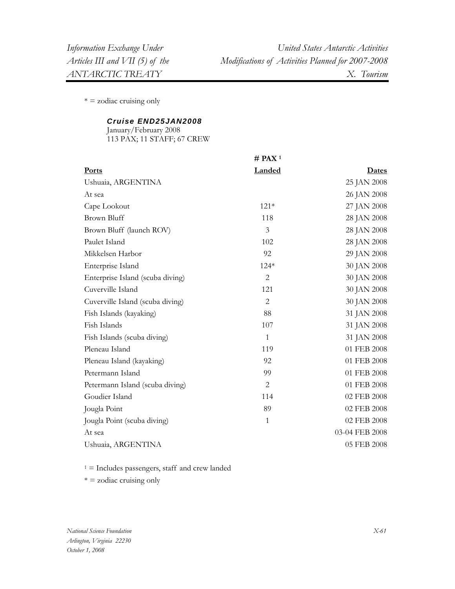$* = z$ odiac cruising only

## *Cruise END25JAN2008*

January/February 2008 113 PAX; 11 STAFF; 67 CREW

|                                  | $#$ PAX <sup>1</sup> |                |
|----------------------------------|----------------------|----------------|
| Ports                            | Landed               | <b>Dates</b>   |
| Ushuaia, ARGENTINA               |                      | 25 JAN 2008    |
| At sea                           |                      | 26 JAN 2008    |
| Cape Lookout                     | $121*$               | 27 JAN 2008    |
| <b>Brown Bluff</b>               | 118                  | 28 JAN 2008    |
| Brown Bluff (launch ROV)         | $\mathfrak{Z}$       | 28 JAN 2008    |
| Paulet Island                    | 102                  | 28 JAN 2008    |
| Mikkelsen Harbor                 | 92                   | 29 JAN 2008    |
| Enterprise Island                | $124*$               | 30 JAN 2008    |
| Enterprise Island (scuba diving) | $\overline{2}$       | 30 JAN 2008    |
| Cuverville Island                | 121                  | 30 JAN 2008    |
| Cuverville Island (scuba diving) | $\overline{2}$       | 30 JAN 2008    |
| Fish Islands (kayaking)          | 88                   | 31 JAN 2008    |
| Fish Islands                     | 107                  | 31 JAN 2008    |
| Fish Islands (scuba diving)      | $\mathbf{1}$         | 31 JAN 2008    |
| Pleneau Island                   | 119                  | 01 FEB 2008    |
| Pleneau Island (kayaking)        | 92                   | 01 FEB 2008    |
| Petermann Island                 | 99                   | 01 FEB 2008    |
| Petermann Island (scuba diving)  | $\overline{2}$       | 01 FEB 2008    |
| Goudier Island                   | 114                  | 02 FEB 2008    |
| Jougla Point                     | 89                   | 02 FEB 2008    |
| Jougla Point (scuba diving)      | $\mathbf{1}$         | 02 FEB 2008    |
| At sea                           |                      | 03-04 FEB 2008 |
| Ushuaia, ARGENTINA               |                      | 05 FEB 2008    |

 $1 =$  Includes passengers, staff and crew landed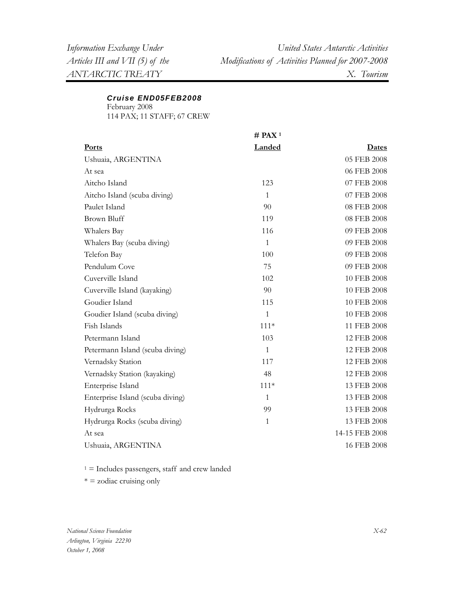# *Cruise END05FEB2008*

February 2008

114 PAX; 11 STAFF; 67 CREW

|                                  | $#$ PAX <sup>1</sup> |                |
|----------------------------------|----------------------|----------------|
| Ports                            | Landed               | <u>Dates</u>   |
| Ushuaia, ARGENTINA               |                      | 05 FEB 2008    |
| At sea                           |                      | 06 FEB 2008    |
| Aitcho Island                    | 123                  | 07 FEB 2008    |
| Aitcho Island (scuba diving)     | $\mathbf{1}$         | 07 FEB 2008    |
| Paulet Island                    | 90                   | 08 FEB 2008    |
| <b>Brown Bluff</b>               | 119                  | 08 FEB 2008    |
| Whalers Bay                      | 116                  | 09 FEB 2008    |
| Whalers Bay (scuba diving)       | $\mathbf{1}$         | 09 FEB 2008    |
| Telefon Bay                      | 100                  | 09 FEB 2008    |
| Pendulum Cove                    | 75                   | 09 FEB 2008    |
| Cuverville Island                | 102                  | 10 FEB 2008    |
| Cuverville Island (kayaking)     | 90                   | 10 FEB 2008    |
| Goudier Island                   | 115                  | 10 FEB 2008    |
| Goudier Island (scuba diving)    | $\mathbf{1}$         | 10 FEB 2008    |
| Fish Islands                     | $111*$               | 11 FEB 2008    |
| Petermann Island                 | 103                  | 12 FEB 2008    |
| Petermann Island (scuba diving)  | 1                    | 12 FEB 2008    |
| Vernadsky Station                | 117                  | 12 FEB 2008    |
| Vernadsky Station (kayaking)     | 48                   | 12 FEB 2008    |
| Enterprise Island                | $111*$               | 13 FEB 2008    |
| Enterprise Island (scuba diving) | $\mathbf{1}$         | 13 FEB 2008    |
| Hydrurga Rocks                   | 99                   | 13 FEB 2008    |
| Hydrurga Rocks (scuba diving)    | $\mathbf{1}$         | 13 FEB 2008    |
| At sea                           |                      | 14-15 FEB 2008 |
| Ushuaia, ARGENTINA               |                      | 16 FEB 2008    |

 $1 =$  Includes passengers, staff and crew landed

\* = zodiac cruising only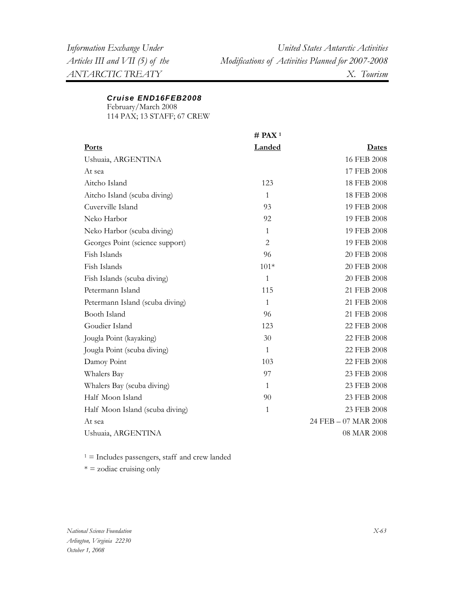#### *Cruise END16FEB2008*

February/March 2008

114 PAX; 13 STAFF; 67 CREW

|                                 | $#$ PAX <sup>1</sup> |                      |
|---------------------------------|----------------------|----------------------|
| <b>Ports</b>                    | <b>Landed</b>        | Dates                |
| Ushuaia, ARGENTINA              |                      | 16 FEB 2008          |
| At sea                          |                      | 17 FEB 2008          |
| Aitcho Island                   | 123                  | 18 FEB 2008          |
| Aitcho Island (scuba diving)    | $\mathbf{1}$         | 18 FEB 2008          |
| Cuverville Island               | 93                   | 19 FEB 2008          |
| Neko Harbor                     | 92                   | 19 FEB 2008          |
| Neko Harbor (scuba diving)      | $\mathbf{1}$         | 19 FEB 2008          |
| Georges Point (science support) | 2                    | 19 FEB 2008          |
| Fish Islands                    | 96                   | 20 FEB 2008          |
| Fish Islands                    | $101*$               | 20 FEB 2008          |
| Fish Islands (scuba diving)     | 1                    | 20 FEB 2008          |
| Petermann Island                | 115                  | 21 FEB 2008          |
| Petermann Island (scuba diving) | $\mathbf{1}$         | 21 FEB 2008          |
| Booth Island                    | 96                   | 21 FEB 2008          |
| Goudier Island                  | 123                  | 22 FEB 2008          |
| Jougla Point (kayaking)         | 30                   | 22 FEB 2008          |
| Jougla Point (scuba diving)     | $\mathbf{1}$         | 22 FEB 2008          |
| Damoy Point                     | 103                  | 22 FEB 2008          |
| Whalers Bay                     | 97                   | 23 FEB 2008          |
| Whalers Bay (scuba diving)      | $\mathbf{1}$         | 23 FEB 2008          |
| Half Moon Island                | 90                   | 23 FEB 2008          |
| Half Moon Island (scuba diving) | $\mathbf{1}$         | 23 FEB 2008          |
| At sea                          |                      | 24 FEB - 07 MAR 2008 |
| Ushuaia, ARGENTINA              |                      | 08 MAR 2008          |

 $1 =$  Includes passengers, staff and crew landed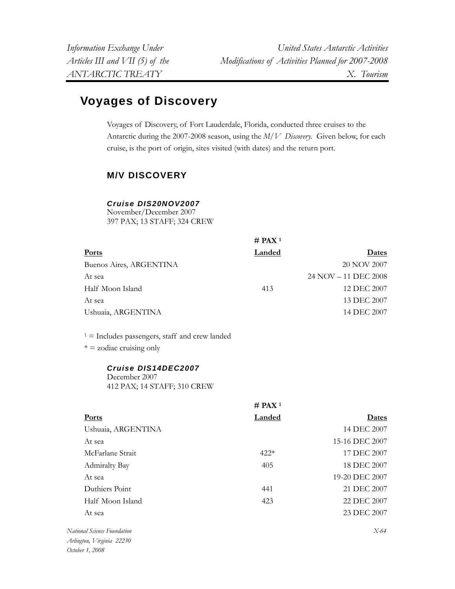# **Voyages of Discovery**

Voyages of Discovery, of Fort Lauderdale, Florida, conducted three cruises to the Antarctic during the 2007-2008 season, using the *M/V Discovery.* Given below, for each cruise, is the port of origin, sites visited (with dates) and the return port.

# **M/V DISCOVERY**

# *Cruise DIS20NOV2007*

November/December 2007 397 PAX; 13 STAFF; 324 CREW

|                         | $#$ PAX <sup>1</sup> |                      |
|-------------------------|----------------------|----------------------|
| Ports                   | Landed               | Dates                |
| Buenos Aires, ARGENTINA |                      | 20 NOV 2007          |
| At sea                  |                      | 24 NOV – 11 DEC 2008 |
| Half Moon Island        | 413                  | 12 DEC 2007          |
| At sea                  |                      | 13 DEC 2007          |
| Ushuaia, ARGENTINA      |                      | 14 DEC 2007          |

 $1 =$  Includes passengers, staff and crew landed

 $* = z$ odiac cruising only

#### *Cruise DIS14DEC2007*  December 2007

412 PAX; 14 STAFF; 310 CREW

|                             | $#$ PAX <sup>1</sup> |                |
|-----------------------------|----------------------|----------------|
| <b>Ports</b>                | <b>Landed</b>        | Dates          |
| Ushuaia, ARGENTINA          |                      | 14 DEC 2007    |
| At sea                      |                      | 15-16 DEC 2007 |
| McFarlane Strait            | $422*$               | 17 DEC 2007    |
| <b>Admiralty Bay</b>        | 405                  | 18 DEC 2007    |
| At sea                      |                      | 19-20 DEC 2007 |
| Duthiers Point              | 441                  | 21 DEC 2007    |
| Half Moon Island            | 423                  | 22 DEC 2007    |
| At sea                      |                      | 23 DEC 2007    |
| National Science Foundation |                      | $X-64$         |
| Arlington, Virginia 22230   |                      |                |

*October 1, 2008*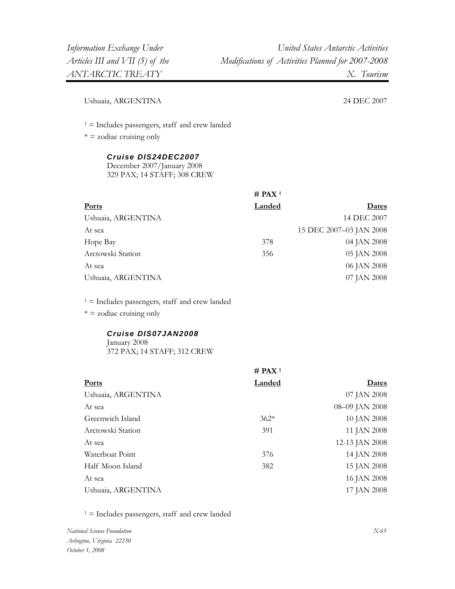Ushuaia, ARGENTINA 24 DEC 2007

 $1 =$  Includes passengers, staff and crew landed

 $* =$  zodiac cruising only

# *Cruise DIS24DEC2007*

December 2007/January 2008 329 PAX; 14 STAFF; 308 CREW

|                    | # PAX <sup>1</sup> |                         |
|--------------------|--------------------|-------------------------|
| Ports              | Landed             | <u>Dates</u>            |
| Ushuaia, ARGENTINA |                    | 14 DEC 2007             |
| At sea             |                    | 15 DEC 2007-03 JAN 2008 |
| Hope Bay           | 378                | 04 JAN 2008             |
| Arctowski Station  | 356                | 05 JAN 2008             |
| At sea             |                    | 06 JAN 2008             |
| Ushuaia, ARGENTINA |                    | 07 JAN 2008             |

 $1 =$  Includes passengers, staff and crew landed

 $* = z$ odiac cruising only

#### *Cruise DIS07JAN2008*  January 2008 372 PAX; 14 STAFF; 312 CREW

|                    | # PAX <sup>1</sup> |                |
|--------------------|--------------------|----------------|
| Ports              | Landed             | Dates          |
| Ushuaia, ARGENTINA |                    | 07 JAN 2008    |
| At sea             |                    | 08-09 JAN 2008 |
| Greenwich Island   | $362*$             | 10 JAN 2008    |
| Arctowski Station  | 391                | 11 JAN 2008    |
| At sea             |                    | 12-13 JAN 2008 |
| Waterboat Point    | 376                | 14 JAN 2008    |
| Half Moon Island   | 382                | 15 JAN 2008    |
| At sea             |                    | 16 JAN 2008    |
| Ushuaia, ARGENTINA |                    | 17 JAN 2008    |
|                    |                    |                |

 $1 =$  Includes passengers, staff and crew landed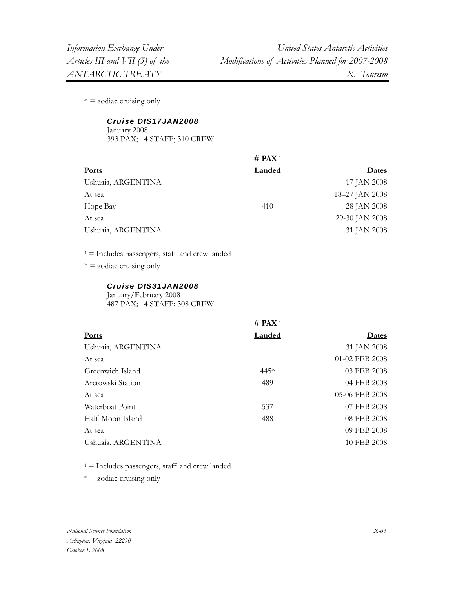$* = z$ odiac cruising only

#### *Cruise DIS17JAN2008*

January 2008 393 PAX; 14 STAFF; 310 CREW

|                    | # PAX <sup>1</sup> |                |
|--------------------|--------------------|----------------|
| <b>Ports</b>       | Landed             | <b>Dates</b>   |
| Ushuaia, ARGENTINA |                    | 17 JAN 2008    |
| At sea             |                    | 18-27 JAN 2008 |
| Hope Bay           | 410                | 28 JAN 2008    |
| At sea             |                    | 29-30 JAN 2008 |
| Ushuaia, ARGENTINA |                    | 31 JAN 2008    |
|                    |                    |                |

 $1 =$  Includes passengers, staff and crew landed

 $* =$  zodiac cruising only

#### *Cruise DIS31JAN2008*

January/February 2008 487 PAX; 14 STAFF; 308 CREW

|                    | $#$ PAX <sup>1</sup> |                |
|--------------------|----------------------|----------------|
| Ports              | Landed               | Dates          |
| Ushuaia, ARGENTINA |                      | 31 JAN 2008    |
| At sea             |                      | 01-02 FEB 2008 |
| Greenwich Island   | $445*$               | 03 FEB 2008    |
| Arctowski Station  | 489                  | 04 FEB 2008    |
| At sea             |                      | 05-06 FEB 2008 |
| Waterboat Point    | 537                  | 07 FEB 2008    |
| Half Moon Island   | 488                  | 08 FEB 2008    |
| At sea             |                      | 09 FEB 2008    |
| Ushuaia, ARGENTINA |                      | 10 FEB 2008    |
|                    |                      |                |

 $1 =$  Includes passengers, staff and crew landed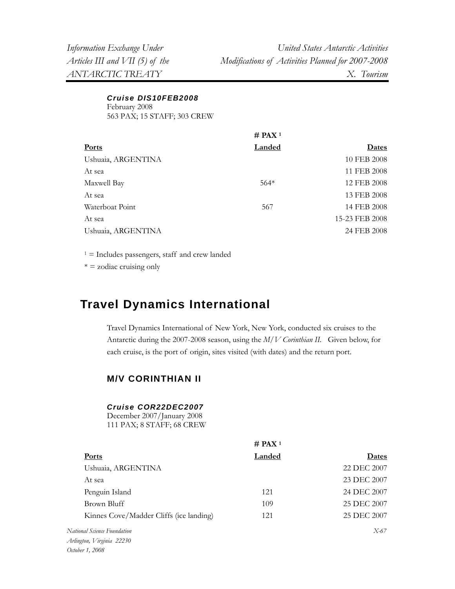> *Cruise DIS10FEB2008*  February 2008 563 PAX; 15 STAFF; 303 CREW

|                    | $#$ PAX <sup>1</sup> |                |
|--------------------|----------------------|----------------|
| Ports              | <b>Landed</b>        | Dates          |
| Ushuaia, ARGENTINA |                      | 10 FEB 2008    |
| At sea             |                      | 11 FEB 2008    |
| Maxwell Bay        | $564*$               | 12 FEB 2008    |
| At sea             |                      | 13 FEB 2008    |
| Waterboat Point    | 567                  | 14 FEB 2008    |
| At sea             |                      | 15-23 FEB 2008 |
| Ushuaia, ARGENTINA |                      | 24 FEB 2008    |

 $1 =$  Includes passengers, staff and crew landed

 $* = z$ odiac cruising only

# **Travel Dynamics International**

Travel Dynamics International of New York, New York, conducted six cruises to the Antarctic during the 2007-2008 season, using the *M/V Corinthian II.* Given below, for each cruise, is the port of origin, sites visited (with dates) and the return port.

*H* **A P P** 

# **M/V CORINTHIAN II**

#### *Cruise COR22DEC2007*

December 2007/January 2008 111 PAX; 8 STAFF; 68 CREW

|                                         | $#$ PAX <sup>1</sup> |              |
|-----------------------------------------|----------------------|--------------|
| <b>Ports</b>                            | Landed               | <b>Dates</b> |
| Ushuaia, ARGENTINA                      |                      | 22 DEC 2007  |
| At sea                                  |                      | 23 DEC 2007  |
| Penguin Island                          | 121                  | 24 DEC 2007  |
| Brown Bluff                             | 109                  | 25 DEC 2007  |
| Kinnes Cove/Madder Cliffs (ice landing) | 121                  | 25 DEC 2007  |
| National Science Foundation             |                      | $X-67$       |
| Arlington, Virginia 22230               |                      |              |

*October 1, 2008*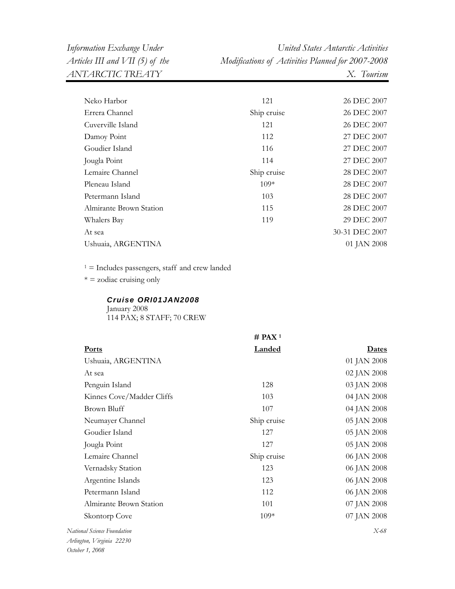| Neko Harbor             | 121         | 26 DEC 2007    |
|-------------------------|-------------|----------------|
| Errera Channel          | Ship cruise | 26 DEC 2007    |
| Cuverville Island       | 121         | 26 DEC 2007    |
| Damoy Point             | 112         | 27 DEC 2007    |
| Goudier Island          | 116         | 27 DEC 2007    |
| Jougla Point            | 114         | 27 DEC 2007    |
| Lemaire Channel         | Ship cruise | 28 DEC 2007    |
| Pleneau Island          | $109*$      | 28 DEC 2007    |
| Petermann Island        | 103         | 28 DEC 2007    |
| Almirante Brown Station | 115         | 28 DEC 2007    |
| Whalers Bay             | 119         | 29 DEC 2007    |
| At sea                  |             | 30-31 DEC 2007 |
| Ushuaia, ARGENTINA      |             | 01 JAN 2008    |
|                         |             |                |

 $1$  = Includes passengers, staff and crew landed

 $* =$  zodiac cruising only

#### *Cruise ORI01JAN2008*

January 2008 114 PAX; 8 STAFF; 70 CREW

|                             | $#$ PAX <sup>1</sup> |             |
|-----------------------------|----------------------|-------------|
| Ports                       | <b>Landed</b>        | Dates       |
| Ushuaia, ARGENTINA          |                      | 01 JAN 2008 |
| At sea                      |                      | 02 JAN 2008 |
| Penguin Island              | 128                  | 03 JAN 2008 |
| Kinnes Cove/Madder Cliffs   | 103                  | 04 JAN 2008 |
| Brown Bluff                 | 107                  | 04 JAN 2008 |
| Neumayer Channel            | Ship cruise          | 05 JAN 2008 |
| Goudier Island              | 127                  | 05 JAN 2008 |
| Jougla Point                | 127                  | 05 JAN 2008 |
| Lemaire Channel             | Ship cruise          | 06 JAN 2008 |
| Vernadsky Station           | 123                  | 06 JAN 2008 |
| Argentine Islands           | 123                  | 06 JAN 2008 |
| Petermann Island            | 112                  | 06 JAN 2008 |
| Almirante Brown Station     | 101                  | 07 JAN 2008 |
| Skontorp Cove               | $109*$               | 07 JAN 2008 |
| National Science Foundation |                      | $X-68$      |
| Arlington, Virginia 22230   |                      |             |

*October 1, 2008*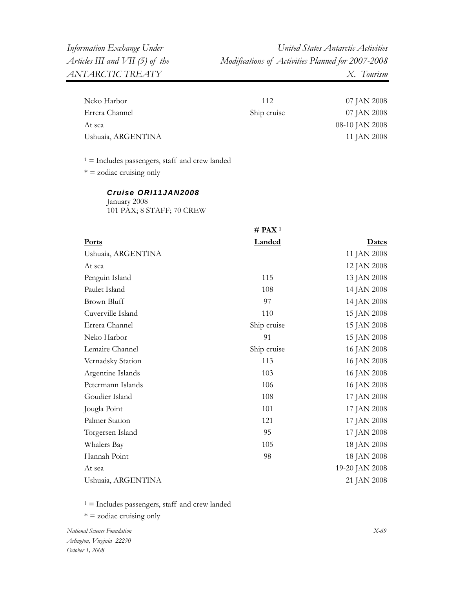| Neko Harbor        | 112         | 07 JAN 2008    |
|--------------------|-------------|----------------|
| Errera Channel     | Ship cruise | 07 JAN 2008    |
| At sea             |             | 08-10 JAN 2008 |
| Ushuaia, ARGENTINA |             | 11 JAN 2008    |

 $1 =$  Includes passengers, staff and crew landed

 $* = z$ odiac cruising only

#### *Cruise ORI11JAN2008*  January 2008 101 PAX; 8 STAFF; 70 CREW

**# PAX 1 Ports Landed Dates** Ushuaia, ARGENTINA 11 JAN 2008 At sea 12 JAN 2008 Penguin Island Paulet Island 115 108 13 JAN 2008 14 JAN 2008 Brown Bluff 14 JAN 2008 Cuverville Island 110 15 JAN 2008 Errera Channel Neko Harbor Ship cruise 91 15 JAN 2008 15 JAN 2008 Lemaire Channel Vernadsky Station Argentine Islands Petermann Islands Ship cruise 113 103 106 16 JAN 2008 16 JAN 2008 16 JAN 2008 16 JAN 2008 Goudier Island 108 17 JAN 2008 Jougla Point Palmer Station 101 121 17 JAN 2008 17 JAN 2008 Torgersen Island Whalers Bay Hannah Point 95 105 98 17 JAN 2008 18 JAN 2008 18 JAN 2008 At sea 19-20 JAN 2008 Ushuaia, ARGENTINA 21 JAN 2008

 $1 =$  Includes passengers, staff and crew landed

 $* = z$ odiac cruising only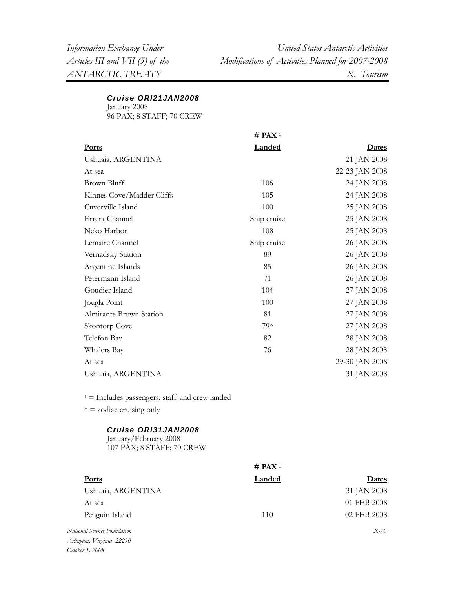#### *Cruise ORI21JAN2008*

January 2008 96 PAX; 8 STAFF; 70 CREW

|                                                  | $#$ PAX <sup>1</sup> |                |
|--------------------------------------------------|----------------------|----------------|
| Ports                                            | <b>Landed</b>        | <b>Dates</b>   |
| Ushuaia, ARGENTINA                               |                      | 21 JAN 2008    |
| At sea                                           |                      | 22-23 JAN 2008 |
| <b>Brown Bluff</b>                               | 106                  | 24 JAN 2008    |
| Kinnes Cove/Madder Cliffs                        | 105                  | 24 JAN 2008    |
| Cuverville Island                                | 100                  | 25 JAN 2008    |
| Errera Channel                                   | Ship cruise          | 25 JAN 2008    |
| Neko Harbor                                      | 108                  | 25 JAN 2008    |
| Lemaire Channel                                  | Ship cruise          | 26 JAN 2008    |
| Vernadsky Station                                | 89                   | 26 JAN 2008    |
| Argentine Islands                                | 85                   | 26 JAN 2008    |
| Petermann Island                                 | 71                   | 26 JAN 2008    |
| Goudier Island                                   | 104                  | 27 JAN 2008    |
| Jougla Point                                     | 100                  | 27 JAN 2008    |
| Almirante Brown Station                          | 81                   | 27 JAN 2008    |
| Skontorp Cove                                    | 79*                  | 27 JAN 2008    |
| Telefon Bay                                      | 82                   | 28 JAN 2008    |
| Whalers Bay                                      | 76                   | 28 JAN 2008    |
| At sea                                           |                      | 29-30 JAN 2008 |
| Ushuaia, ARGENTINA                               |                      | 31 JAN 2008    |
| $1 =$ Includes passengers, staff and crew landed |                      |                |

 $* = z$ odiac cruising only

## *Cruise ORI31JAN2008*

January/February 2008 107 PAX; 8 STAFF; 70 CREW

|                          | # PAX <sup>1</sup> |              |
|--------------------------|--------------------|--------------|
| <b>Ports</b>             | Landed             | <b>Dates</b> |
| Ushuaia, ARGENTINA       |                    | 31 JAN 2008  |
| At sea                   |                    | 01 FEB 2008  |
| Penguin Island           | 110                | 02 FEB 2008  |
| ional Science Foundation |                    | $X-70$       |

 $N$ ati *Arlington, Virginia 22230 October 1, 2008*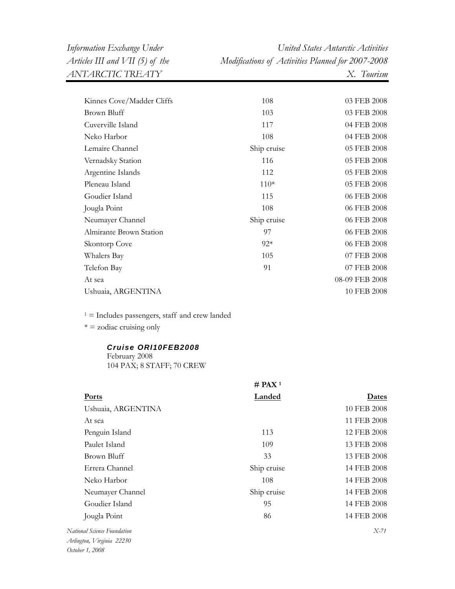| Kinnes Cove/Madder Cliffs | 108         | 03 FEB 2008    |
|---------------------------|-------------|----------------|
| Brown Bluff               | 103         | 03 FEB 2008    |
| Cuverville Island         | 117         | 04 FEB 2008    |
| Neko Harbor               | 108         | 04 FEB 2008    |
| Lemaire Channel           | Ship cruise | 05 FEB 2008    |
| Vernadsky Station         | 116         | 05 FEB 2008    |
| Argentine Islands         | 112         | 05 FEB 2008    |
| Pleneau Island            | $110*$      | 05 FEB 2008    |
| Goudier Island            | 115         | 06 FEB 2008    |
| Jougla Point              | 108         | 06 FEB 2008    |
| Neumayer Channel          | Ship cruise | 06 FEB 2008    |
| Almirante Brown Station   | 97          | 06 FEB 2008    |
| Skontorp Cove             | $92*$       | 06 FEB 2008    |
| Whalers Bay               | 105         | 07 FEB 2008    |
| Telefon Bay               | 91          | 07 FEB 2008    |
| At sea                    |             | 08-09 FEB 2008 |
| Ushuaia, ARGENTINA        |             | 10 FEB 2008    |
|                           |             |                |

 $1 =$  Includes passengers, staff and crew landed

 $* = z$ odiac cruising only

# *Cruise ORI10FEB2008*

February 2008 104 PAX; 8 STAFF; 70 CREW

|                                                          | # PAX <sup>1</sup> |              |
|----------------------------------------------------------|--------------------|--------------|
| <b>Ports</b>                                             | Landed             | <b>Dates</b> |
| Ushuaia, ARGENTINA                                       |                    | 10 FEB 2008  |
| At sea                                                   |                    | 11 FEB 2008  |
| Penguin Island                                           | 113                | 12 FEB 2008  |
| Paulet Island                                            | 109                | 13 FEB 2008  |
| Brown Bluff                                              | 33                 | 13 FEB 2008  |
| Errera Channel                                           | Ship cruise        | 14 FEB 2008  |
| Neko Harbor                                              | 108                | 14 FEB 2008  |
| Neumayer Channel                                         | Ship cruise        | 14 FEB 2008  |
| Goudier Island                                           | 95                 | 14 FEB 2008  |
| Jougla Point                                             | 86                 | 14 FEB 2008  |
| National Science Foundation<br>Arlington, Virginia 22230 |                    | X-71         |
|                                                          |                    |              |

*October 1, 2008*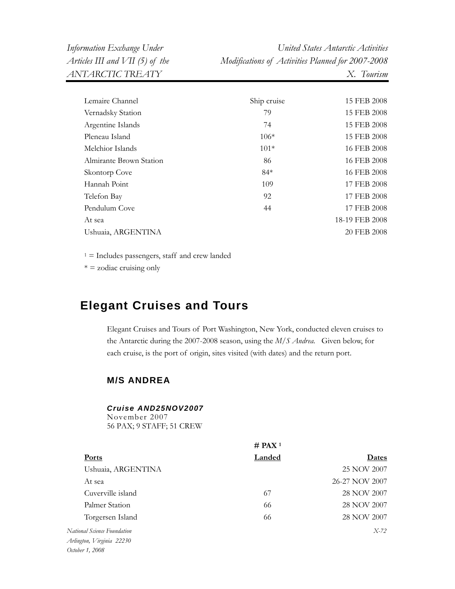| Information Exchange Under      | United States Antarctic Activities                |
|---------------------------------|---------------------------------------------------|
| Articles III and VII (5) of the | Modifications of Activities Planned for 2007-2008 |
| ANTARCTIC TREATY                | X. Tourism                                        |

| Lemaire Channel         | Ship cruise | 15 FEB 2008    |
|-------------------------|-------------|----------------|
| Vernadsky Station       | 79          | 15 FEB 2008    |
| Argentine Islands       | 74          | 15 FEB 2008    |
| Pleneau Island          | $106*$      | 15 FEB 2008    |
| Melchior Islands        | $101*$      | 16 FEB 2008    |
| Almirante Brown Station | 86          | 16 FEB 2008    |
| Skontorp Cove           | $84*$       | 16 FEB 2008    |
| Hannah Point            | 109         | 17 FEB 2008    |
| Telefon Bay             | 92          | 17 FEB 2008    |
| Pendulum Cove           | 44          | 17 FEB 2008    |
| At sea                  |             | 18-19 FEB 2008 |
| Ushuaia, ARGENTINA      |             | 20 FEB 2008    |

 $* =$  zodiac cruising only

# **Elegant Cruises and Tours**

Elegant Cruises and Tours of Port Washington, New York, conducted eleven cruises to the Antarctic during the 2007-2008 season, using the *M/S Andrea.* Given below, for each cruise, is the port of origin, sites visited (with dates) and the return port.

# **M/S ANDREA**

#### *Cruise AND25NOV2007*

November 2007 56 PAX; 9 STAFF; 51 CREW

|                             | $#$ PAX <sup>1</sup> |                |
|-----------------------------|----------------------|----------------|
| <b>Ports</b>                | Landed               | Dates          |
| Ushuaia, ARGENTINA          |                      | 25 NOV 2007    |
| At sea                      |                      | 26-27 NOV 2007 |
| Cuverville island           | 67                   | 28 NOV 2007    |
| Palmer Station              | 66                   | 28 NOV 2007    |
| Torgersen Island            | 66                   | 28 NOV 2007    |
| National Science Foundation |                      | $X-72$         |
| Arlington, Virginia 22230   |                      |                |
| October 1, 2008             |                      |                |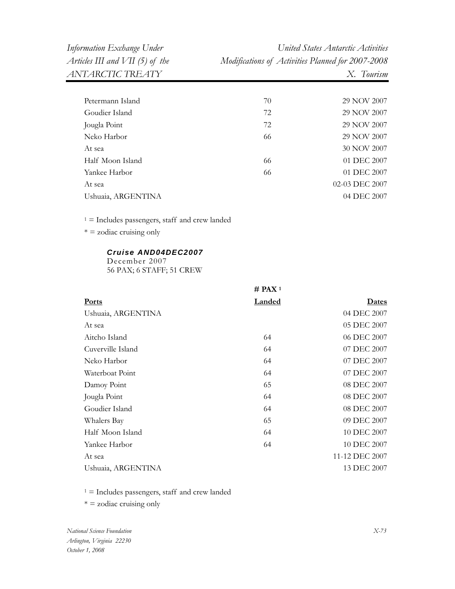| Petermann Island   | 70 | 29 NOV 2007    |
|--------------------|----|----------------|
| Goudier Island     | 72 | 29 NOV 2007    |
| Jougla Point       | 72 | 29 NOV 2007    |
| Neko Harbor        | 66 | 29 NOV 2007    |
| At sea             |    | 30 NOV 2007    |
| Half Moon Island   | 66 | 01 DEC 2007    |
| Yankee Harbor      | 66 | 01 DEC 2007    |
| At sea             |    | 02-03 DEC 2007 |
| Ushuaia, ARGENTINA |    | 04 DEC 2007    |
|                    |    |                |

1 = Includes passengers, staff and crew landed

 $* =$  zodiac cruising only

### *Cruise AND04DEC2007*

December 2007 56 PAX; 6 STAFF; 51 CREW

|                    | $#$ PAX <sup>1</sup> |                |
|--------------------|----------------------|----------------|
| <b>Ports</b>       | <b>Landed</b>        | <u>Dates</u>   |
| Ushuaia, ARGENTINA |                      | 04 DEC 2007    |
| At sea             |                      | 05 DEC 2007    |
| Aitcho Island      | 64                   | 06 DEC 2007    |
| Cuverville Island  | 64                   | 07 DEC 2007    |
| Neko Harbor        | 64                   | 07 DEC 2007    |
| Waterboat Point    | 64                   | 07 DEC 2007    |
| Damoy Point        | 65                   | 08 DEC 2007    |
| Jougla Point       | 64                   | 08 DEC 2007    |
| Goudier Island     | 64                   | 08 DEC 2007    |
| Whalers Bay        | 65                   | 09 DEC 2007    |
| Half Moon Island   | 64                   | 10 DEC 2007    |
| Yankee Harbor      | 64                   | 10 DEC 2007    |
| At sea             |                      | 11-12 DEC 2007 |
| Ushuaia, ARGENTINA |                      | 13 DEC 2007    |

 $1 =$  Includes passengers, staff and crew landed

 $* =$  zodiac cruising only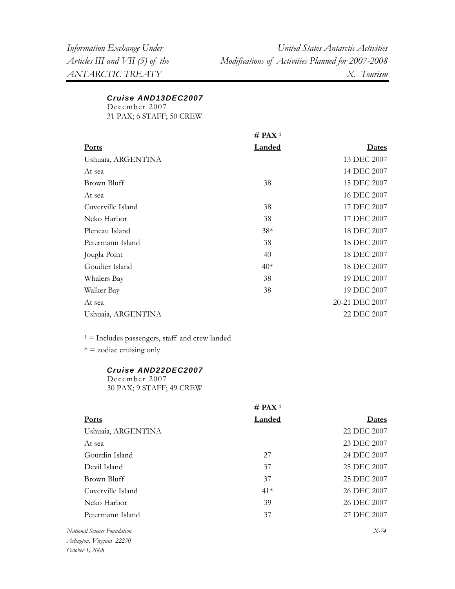## *Cruise AND13DEC2007*

December 2007 31 PAX; 6 STAFF; 50 CREW

|                    | # PAX <sup>1</sup> |                |
|--------------------|--------------------|----------------|
| <b>Ports</b>       | <b>Landed</b>      | <b>Dates</b>   |
| Ushuaia, ARGENTINA |                    | 13 DEC 2007    |
| At sea             |                    | 14 DEC 2007    |
| Brown Bluff        | 38                 | 15 DEC 2007    |
| At sea             |                    | 16 DEC 2007    |
| Cuverville Island  | 38                 | 17 DEC 2007    |
| Neko Harbor        | 38                 | 17 DEC 2007    |
| Pleneau Island     | $38*$              | 18 DEC 2007    |
| Petermann Island   | 38                 | 18 DEC 2007    |
| Jougla Point       | 40                 | 18 DEC 2007    |
| Goudier Island     | $40*$              | 18 DEC 2007    |
| Whalers Bay        | 38                 | 19 DEC 2007    |
| Walker Bay         | 38                 | 19 DEC 2007    |
| At sea             |                    | 20-21 DEC 2007 |
| Ushuaia, ARGENTINA |                    | 22 DEC 2007    |

 $1 =$  Includes passengers, staff and crew landed

 $* =$  zodiac cruising only

### *Cruise AND22DEC2007*

December 2007 30 PAX; 9 STAFF; 49 CREW

|                         | # PAX <sup>1</sup> |              |
|-------------------------|--------------------|--------------|
| <b>Ports</b>            | Landed             | <b>Dates</b> |
| Ushuaia, ARGENTINA      |                    | 22 DEC 2007  |
| At sea                  |                    | 23 DEC 2007  |
| Gourdin Island          | 27                 | 24 DEC 2007  |
| Devil Island            | 37                 | 25 DEC 2007  |
| Brown Bluff             | 37                 | 25 DEC 2007  |
| Cuverville Island       | $41*$              | 26 DEC 2007  |
| Neko Harbor             | 39                 | 26 DEC 2007  |
| Petermann Island        | 37                 | 27 DEC 2007  |
| onal Science Foundation |                    | $X-74$       |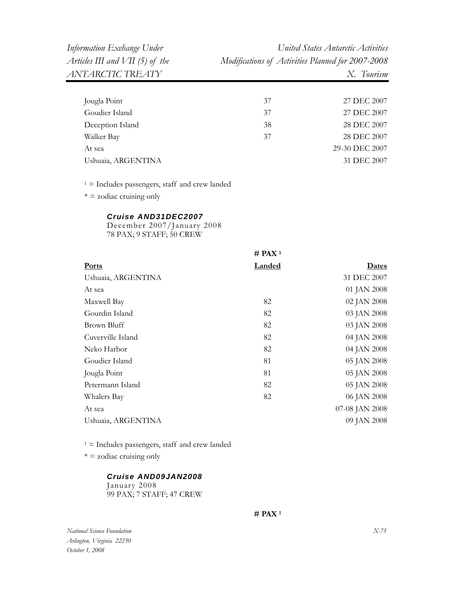| Jougla Point       | 37 | 27 DEC 2007    |
|--------------------|----|----------------|
| Goudier Island     | 37 | 27 DEC 2007    |
| Deception Island   | 38 | 28 DEC 2007    |
| Walker Bay         | 37 | 28 DEC 2007    |
| At sea             |    | 29-30 DEC 2007 |
| Ushuaia, ARGENTINA |    | 31 DEC 2007    |

 $* = z$ odiac cruising only

### *Cruise AND31DEC2007*

December 2007/January 2008 78 PAX; 9 STAFF; 50 CREW

|                    | $#$ PAX <sup>1</sup> |                |
|--------------------|----------------------|----------------|
| <b>Ports</b>       | <b>Landed</b>        | <u>Dates</u>   |
| Ushuaia, ARGENTINA |                      | 31 DEC 2007    |
| At sea             |                      | 01 JAN 2008    |
| Maxwell Bay        | 82                   | 02 JAN 2008    |
| Gourdin Island     | 82                   | 03 JAN 2008    |
| Brown Bluff        | 82                   | 03 JAN 2008    |
| Cuverville Island  | 82                   | 04 JAN 2008    |
| Neko Harbor        | 82                   | 04 JAN 2008    |
| Goudier Island     | 81                   | 05 JAN 2008    |
| Jougla Point       | 81                   | 05 JAN 2008    |
| Petermann Island   | 82                   | 05 JAN 2008    |
| Whalers Bay        | 82                   | 06 JAN 2008    |
| At sea             |                      | 07-08 JAN 2008 |
| Ushuaia, ARGENTINA |                      | 09 JAN 2008    |

 $1 =$  Includes passengers, staff and crew landed

 $* = z$ odiac cruising only

### *Cruise AND09JAN2008*

January 2008 99 PAX; 7 STAFF; 47 CREW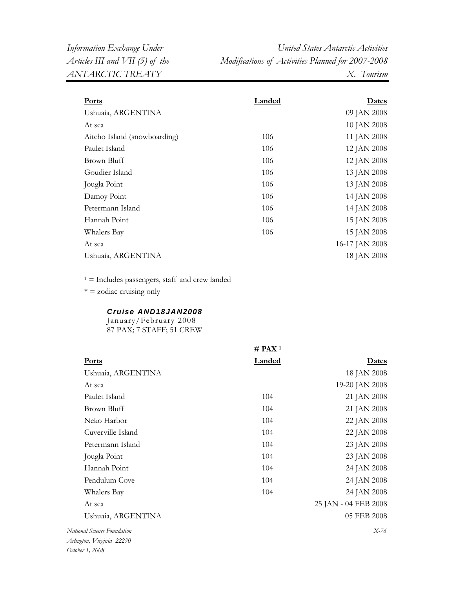| <b>Ports</b>                 | Landed | Dates          |
|------------------------------|--------|----------------|
| Ushuaia, ARGENTINA           |        | 09 JAN 2008    |
| At sea                       |        | 10 JAN 2008    |
| Aitcho Island (snowboarding) | 106    | 11 JAN 2008    |
| Paulet Island                | 106    | 12 JAN 2008    |
| Brown Bluff                  | 106    | 12 JAN 2008    |
| Goudier Island               | 106    | 13 JAN 2008    |
| Jougla Point                 | 106    | 13 JAN 2008    |
| Damoy Point                  | 106    | 14 JAN 2008    |
| Petermann Island             | 106    | 14 JAN 2008    |
| Hannah Point                 | 106    | 15 JAN 2008    |
| Whalers Bay                  | 106    | 15 JAN 2008    |
| At sea                       |        | 16-17 JAN 2008 |
| Ushuaia, ARGENTINA           |        | 18 JAN 2008    |
|                              |        |                |

 $1 =$  Includes passengers, staff and crew landed

 $* =$  zodiac cruising only

### *Cruise AND18JAN2008*

January/February 2008 87 PAX; 7 STAFF; 51 CREW

|                             | $#$ PAX <sup>1</sup> |                      |
|-----------------------------|----------------------|----------------------|
| <b>Ports</b>                | <b>Landed</b>        | <b>Dates</b>         |
| Ushuaia, ARGENTINA          |                      | 18 JAN 2008          |
| At sea                      |                      | 19-20 JAN 2008       |
| Paulet Island               | 104                  | 21 JAN 2008          |
| Brown Bluff                 | 104                  | 21 JAN 2008          |
| Neko Harbor                 | 104                  | 22 JAN 2008          |
| Cuverville Island           | 104                  | 22 JAN 2008          |
| Petermann Island            | 104                  | 23 JAN 2008          |
| Jougla Point                | 104                  | 23 JAN 2008          |
| Hannah Point                | 104                  | 24 JAN 2008          |
| Pendulum Cove               | 104                  | 24 JAN 2008          |
| Whalers Bay                 | 104                  | 24 JAN 2008          |
| At sea                      |                      | 25 JAN - 04 FEB 2008 |
| Ushuaia, ARGENTINA          |                      | 05 FEB 2008          |
| National Science Foundation |                      | $X-76$               |
| Arlington, Virginia 22230   |                      |                      |

*October 1, 2008*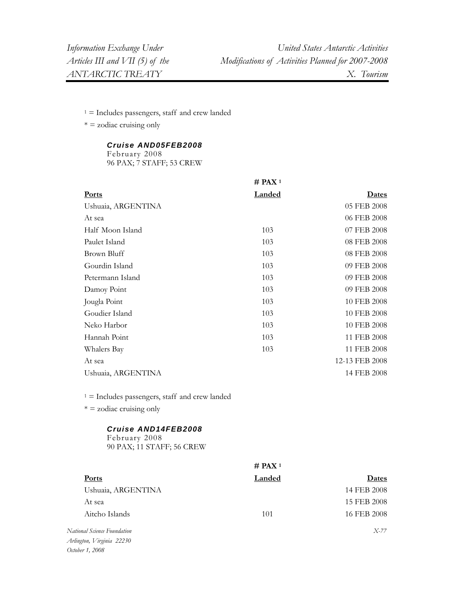$1 =$  Includes passengers, staff and crew landed

 $* =$  zodiac cruising only

## *Cruise AND05FEB2008*

February 2008 96 PAX; 7 STAFF; 53 CREW

|                    | $#$ PAX <sup>1</sup> |                |
|--------------------|----------------------|----------------|
| <b>Ports</b>       | <b>Landed</b>        | <b>Dates</b>   |
| Ushuaia, ARGENTINA |                      | 05 FEB 2008    |
| At sea             |                      | 06 FEB 2008    |
| Half Moon Island   | 103                  | 07 FEB 2008    |
| Paulet Island      | 103                  | 08 FEB 2008    |
| Brown Bluff        | 103                  | 08 FEB 2008    |
| Gourdin Island     | 103                  | 09 FEB 2008    |
| Petermann Island   | 103                  | 09 FEB 2008    |
| Damoy Point        | 103                  | 09 FEB 2008    |
| Jougla Point       | 103                  | 10 FEB 2008    |
| Goudier Island     | 103                  | 10 FEB 2008    |
| Neko Harbor        | 103                  | 10 FEB 2008    |
| Hannah Point       | 103                  | 11 FEB 2008    |
| Whalers Bay        | 103                  | 11 FEB 2008    |
| At sea             |                      | 12-13 FEB 2008 |
| Ushuaia, ARGENTINA |                      | 14 FEB 2008    |
|                    |                      |                |

 $1 =$  Includes passengers, staff and crew landed

 $* =$  zodiac cruising only

### *Cruise AND14FEB2008*

February 2008 90 PAX; 11 STAFF; 56 CREW

|                          | # PAX <sup>1</sup> |             |
|--------------------------|--------------------|-------------|
| <b>Ports</b>             | Landed             | Dates       |
| Ushuaia, ARGENTINA       |                    | 14 FEB 2008 |
| At sea                   |                    | 15 FEB 2008 |
| Aitcho Islands           | 101                | 16 FEB 2008 |
| ional Science Foundation |                    | $X-77$      |

 $N$ ati *Arlington, Virginia 22230 October 1, 2008*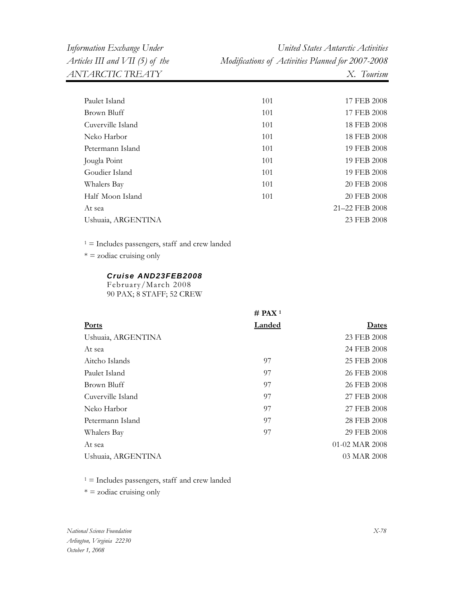*Information Exchange Under United States Antarctic Activities Articles III and VII (5) of the Modifications of Activities Planned for 2007-2008* 

| Paulet Island      | 101 | 17 FEB 2008    |
|--------------------|-----|----------------|
| Brown Bluff        | 101 | 17 FEB 2008    |
| Cuverville Island  | 101 | 18 FEB 2008    |
| Neko Harbor        | 101 | 18 FEB 2008    |
| Petermann Island   | 101 | 19 FEB 2008    |
| Jougla Point       | 101 | 19 FEB 2008    |
| Goudier Island     | 101 | 19 FEB 2008    |
| Whalers Bay        | 101 | 20 FEB 2008    |
| Half Moon Island   | 101 | 20 FEB 2008    |
| At sea             |     | 21-22 FEB 2008 |
| Ushuaia, ARGENTINA |     | 23 FEB 2008    |
|                    |     |                |

 $1 =$  Includes passengers, staff and crew landed

 $* =$  zodiac cruising only

### *Cruise AND23FEB2008*

February/March 2008 90 PAX; 8 STAFF; 52 CREW

|                    | $#$ PAX <sup>1</sup> |                |
|--------------------|----------------------|----------------|
| <b>Ports</b>       | Landed               | <b>Dates</b>   |
| Ushuaia, ARGENTINA |                      | 23 FEB 2008    |
| At sea             |                      | 24 FEB 2008    |
| Aitcho Islands     | 97                   | 25 FEB 2008    |
| Paulet Island      | 97                   | 26 FEB 2008    |
| Brown Bluff        | 97                   | 26 FEB 2008    |
| Cuverville Island  | 97                   | 27 FEB 2008    |
| Neko Harbor        | 97                   | 27 FEB 2008    |
| Petermann Island   | 97                   | 28 FEB 2008    |
| Whalers Bay        | 97                   | 29 FEB 2008    |
| At sea             |                      | 01-02 MAR 2008 |
| Ushuaia, ARGENTINA |                      | 03 MAR 2008    |

 $1 =$  Includes passengers, staff and crew landed

 $* =$  zodiac cruising only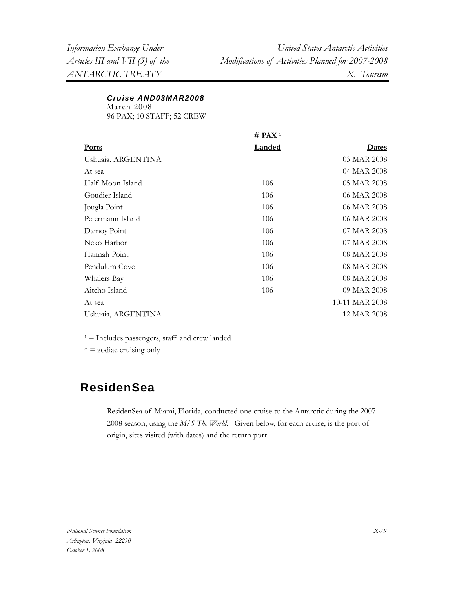## *Cruise AND03MAR2008*

March 2008

96 PAX; 10 STAFF; 52 CREW

|                    | $#$ PAX <sup>1</sup> |                |
|--------------------|----------------------|----------------|
| <b>Ports</b>       | <b>Landed</b>        | <b>Dates</b>   |
| Ushuaia, ARGENTINA |                      | 03 MAR 2008    |
| At sea             |                      | 04 MAR 2008    |
| Half Moon Island   | 106                  | 05 MAR 2008    |
| Goudier Island     | 106                  | 06 MAR 2008    |
| Jougla Point       | 106                  | 06 MAR 2008    |
| Petermann Island   | 106                  | 06 MAR 2008    |
| Damoy Point        | 106                  | 07 MAR 2008    |
| Neko Harbor        | 106                  | 07 MAR 2008    |
| Hannah Point       | 106                  | 08 MAR 2008    |
| Pendulum Cove      | 106                  | 08 MAR 2008    |
| Whalers Bay        | 106                  | 08 MAR 2008    |
| Aitcho Island      | 106                  | 09 MAR 2008    |
| At sea             |                      | 10-11 MAR 2008 |
| Ushuaia, ARGENTINA |                      | 12 MAR 2008    |
|                    |                      |                |

 $1 =$  Includes passengers, staff and crew landed

 $* =$  zodiac cruising only

# **ResidenSea**

ResidenSea of Miami, Florida, conducted one cruise to the Antarctic during the 2007- 2008 season, using the *M/S The World.* Given below, for each cruise, is the port of origin, sites visited (with dates) and the return port.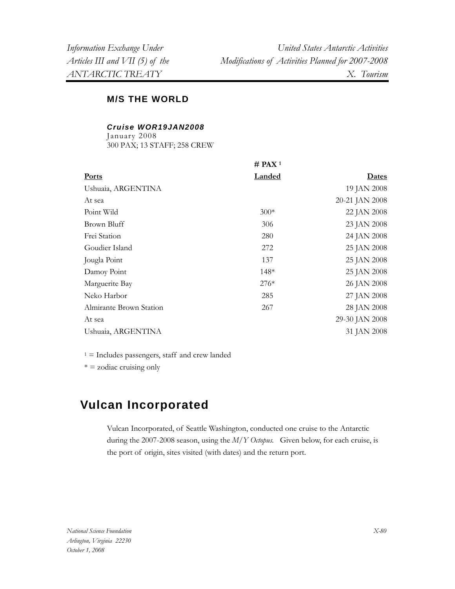## **M/S THE WORLD**

### *Cruise WOR19JAN2008*

January 2008 300 PAX; 13 STAFF; 258 CREW

|                         | $#$ PAX <sup>1</sup> |                |
|-------------------------|----------------------|----------------|
| <b>Ports</b>            | <b>Landed</b>        | <u>Dates</u>   |
| Ushuaia, ARGENTINA      |                      | 19 JAN 2008    |
| At sea                  |                      | 20-21 JAN 2008 |
| Point Wild              | $300*$               | 22 JAN 2008    |
| Brown Bluff             | 306                  | 23 JAN 2008    |
| Frei Station            | 280                  | 24 JAN 2008    |
| Goudier Island          | 272                  | 25 JAN 2008    |
| Jougla Point            | 137                  | 25 JAN 2008    |
| Damoy Point             | $148*$               | 25 JAN 2008    |
| Marguerite Bay          | $276*$               | 26 JAN 2008    |
| Neko Harbor             | 285                  | 27 JAN 2008    |
| Almirante Brown Station | 267                  | 28 JAN 2008    |
| At sea                  |                      | 29-30 JAN 2008 |
| Ushuaia, ARGENTINA      |                      | 31 JAN 2008    |

 $1 =$  Includes passengers, staff and crew landed

 $* = z$ odiac cruising only

# **Vulcan Incorporated**

Vulcan Incorporated, of Seattle Washington, conducted one cruise to the Antarctic during the 2007-2008 season, using the *M/Y Octopus.* Given below, for each cruise, is the port of origin, sites visited (with dates) and the return port.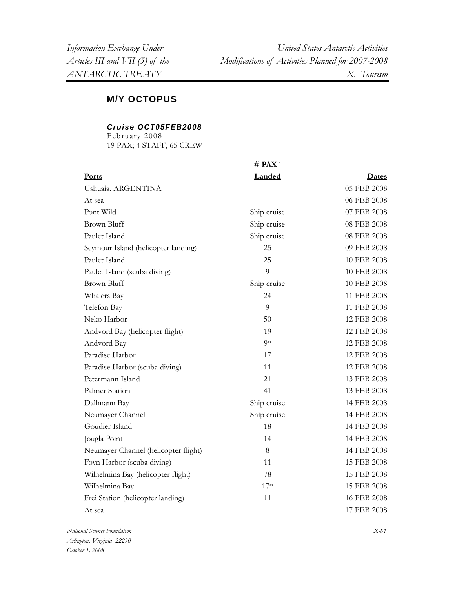## **M/Y OCTOPUS**

### *Cruise OCT05FEB2008*

February 2008 19 PAX; 4 STAFF; 65 CREW

|                                      | $#$ PAX <sup>1</sup> |             |
|--------------------------------------|----------------------|-------------|
| <b>Ports</b>                         | Landed               | Dates       |
| Ushuaia, ARGENTINA                   |                      | 05 FEB 2008 |
| At sea                               |                      | 06 FEB 2008 |
| Pont Wild                            | Ship cruise          | 07 FEB 2008 |
| <b>Brown Bluff</b>                   | Ship cruise          | 08 FEB 2008 |
| Paulet Island                        | Ship cruise          | 08 FEB 2008 |
| Seymour Island (helicopter landing)  | 25                   | 09 FEB 2008 |
| Paulet Island                        | 25                   | 10 FEB 2008 |
| Paulet Island (scuba diving)         | 9                    | 10 FEB 2008 |
| <b>Brown Bluff</b>                   | Ship cruise          | 10 FEB 2008 |
| Whalers Bay                          | 24                   | 11 FEB 2008 |
| Telefon Bay                          | 9                    | 11 FEB 2008 |
| Neko Harbor                          | 50                   | 12 FEB 2008 |
| Andvord Bay (helicopter flight)      | 19                   | 12 FEB 2008 |
| Andvord Bay                          | $9*$                 | 12 FEB 2008 |
| Paradise Harbor                      | 17                   | 12 FEB 2008 |
| Paradise Harbor (scuba diving)       | 11                   | 12 FEB 2008 |
| Petermann Island                     | 21                   | 13 FEB 2008 |
| Palmer Station                       | 41                   | 13 FEB 2008 |
| Dallmann Bay                         | Ship cruise          | 14 FEB 2008 |
| Neumayer Channel                     | Ship cruise          | 14 FEB 2008 |
| Goudier Island                       | 18                   | 14 FEB 2008 |
| Jougla Point                         | 14                   | 14 FEB 2008 |
| Neumayer Channel (helicopter flight) | $8\,$                | 14 FEB 2008 |
| Foyn Harbor (scuba diving)           | 11                   | 15 FEB 2008 |
| Wilhelmina Bay (helicopter flight)   | 78                   | 15 FEB 2008 |
| Wilhelmina Bay                       | $17*$                | 15 FEB 2008 |
| Frei Station (helicopter landing)    | 11                   | 16 FEB 2008 |
| At sea                               |                      | 17 FEB 2008 |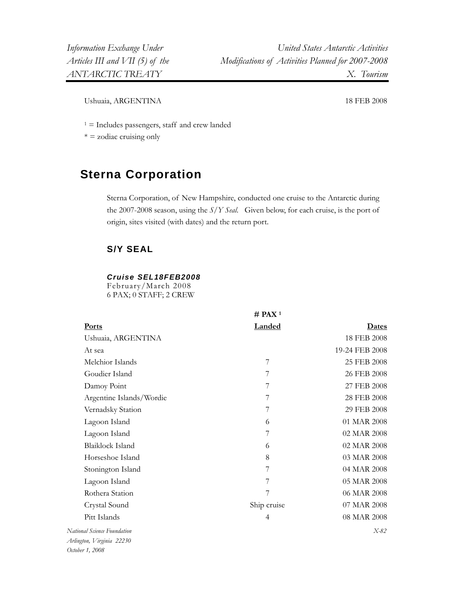Ushuaia, ARGENTINA 18 FEB 2008

 $1 =$  Includes passengers, staff and crew landed

 $* = z$ odiac cruising only

# **Sterna Corporation**

Sterna Corporation, of New Hampshire, conducted one cruise to the Antarctic during the 2007-2008 season, using the *S/Y Seal*.Given below, for each cruise, is the port of origin, sites visited (with dates) and the return port.

## **S/Y SEAL**

#### *Cruise SEL18FEB2008*

February/March 2008 6 PAX; 0 STAFF; 2 CREW

|                                                                                             | $#$ PAX <sup>1</sup> |                |
|---------------------------------------------------------------------------------------------|----------------------|----------------|
| <b>Ports</b>                                                                                | Landed               | Dates          |
| Ushuaia, ARGENTINA                                                                          |                      | 18 FEB 2008    |
| At sea                                                                                      |                      | 19-24 FEB 2008 |
| Melchior Islands                                                                            | 7                    | 25 FEB 2008    |
| Goudier Island                                                                              | 7                    | 26 FEB 2008    |
| Damoy Point                                                                                 | 7                    | 27 FEB 2008    |
| Argentine Islands/Wordie                                                                    | 7                    | 28 FEB 2008    |
| Vernadsky Station                                                                           | 7                    | 29 FEB 2008    |
| Lagoon Island                                                                               | 6                    | 01 MAR 2008    |
| Lagoon Island                                                                               | 7                    | 02 MAR 2008    |
| <b>Blaiklock Island</b>                                                                     | 6                    | 02 MAR 2008    |
| Horseshoe Island                                                                            | 8                    | 03 MAR 2008    |
| Stonington Island                                                                           | 7                    | 04 MAR 2008    |
| Lagoon Island                                                                               | 7                    | 05 MAR 2008    |
| Rothera Station                                                                             | 7                    | 06 MAR 2008    |
| Crystal Sound                                                                               | Ship cruise          | 07 MAR 2008    |
| Pitt Islands                                                                                | $\overline{4}$       | 08 MAR 2008    |
| onal Science Foundation<br>$\mathbf{r}$ $\mathbf{r}$ $\mathbf{r}$ $\mathbf{r}$ $\mathbf{r}$ |                      | $X-82$         |

 $Natio$ *Arlington, Virginia 22230 October 1, 2008*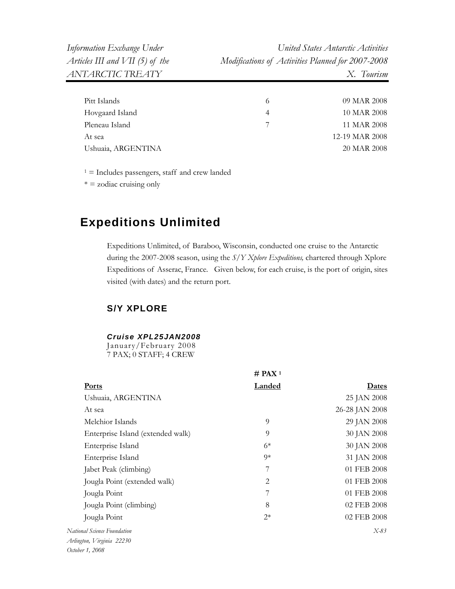| Pitt Islands       | 09 MAR 2008    |
|--------------------|----------------|
| Hovgaard Island    | 10 MAR 2008    |
| Pleneau Island     | 11 MAR 2008    |
| At sea             | 12-19 MAR 2008 |
| Ushuaia, ARGENTINA | 20 MAR 2008    |
|                    |                |

 $* = z$ odiac cruising only

# **Expeditions Unlimited**

Expeditions Unlimited, of Baraboo, Wisconsin, conducted one cruise to the Antarctic during the 2007-2008 season, using the *S/Y Xplore Expeditions,* chartered through Xplore Expeditions of Asserac, France.Given below, for each cruise, is the port of origin, sites visited (with dates) and the return port.

## **S/Y XPLORE**

### *Cruise XPL25JAN2008*

January/February 2008 7 PAX; 0 STAFF; 4 CREW

|                                   | $#$ PAX <sup>1</sup> |                |
|-----------------------------------|----------------------|----------------|
| <b>Ports</b>                      | <b>Landed</b>        | <b>Dates</b>   |
| Ushuaia, ARGENTINA                |                      | 25 JAN 2008    |
| At sea                            |                      | 26-28 JAN 2008 |
| Melchior Islands                  | 9                    | 29 JAN 2008    |
| Enterprise Island (extended walk) | 9                    | 30 JAN 2008    |
| Enterprise Island                 | $6*$                 | 30 JAN 2008    |
| Enterprise Island                 | $0*$                 | 31 JAN 2008    |
| Jabet Peak (climbing)             | 7                    | 01 FEB 2008    |
| Jougla Point (extended walk)      | 2                    | 01 FEB 2008    |
| Jougla Point                      | 7                    | 01 FEB 2008    |
| Jougla Point (climbing)           | 8                    | 02 FEB 2008    |
| Jougla Point                      | $2*$                 | 02 FEB 2008    |
| National Science Foundation       |                      | $X-83$         |
| Arlington, Virginia 22230         |                      |                |

*October 1, 2008*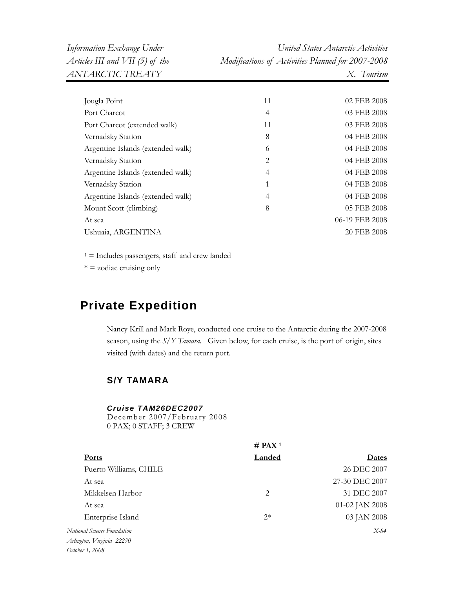| Information Exchange Under        | United States Antarctic Activities                |
|-----------------------------------|---------------------------------------------------|
| Articles III and $VII$ (5) of the | Modifications of Activities Planned for 2007-2008 |
| ANTARCTIC TREATY                  | X. Tourism                                        |

| Jougla Point                      | 11 | 02 FEB 2008    |
|-----------------------------------|----|----------------|
| Port Charcot                      | 4  | 03 FEB 2008    |
| Port Charcot (extended walk)      | 11 | 03 FEB 2008    |
| Vernadsky Station                 | 8  | 04 FEB 2008    |
| Argentine Islands (extended walk) | 6  | 04 FEB 2008    |
| Vernadsky Station                 | 2  | 04 FEB 2008    |
| Argentine Islands (extended walk) | 4  | 04 FEB 2008    |
| Vernadsky Station                 | 1  | 04 FEB 2008    |
| Argentine Islands (extended walk) | 4  | 04 FEB 2008    |
| Mount Scott (climbing)            | 8  | 05 FEB 2008    |
| At sea                            |    | 06-19 FEB 2008 |
| Ushuaia, ARGENTINA                |    | 20 FEB 2008    |
|                                   |    |                |

 $* =$  zodiac cruising only

# **Private Expedition**

Nancy Krill and Mark Roye, conducted one cruise to the Antarctic during the 2007-2008 season, using the *S/Y Tamara*.Given below, for each cruise, is the port of origin, sites visited (with dates) and the return port.

## **S/Y TAMARA**

#### *Cruise TAM26DEC2007*

December 2007/February 2008 0 PAX; 0 STAFF; 3 CREW

| <b>Landed</b> | Dates              |
|---------------|--------------------|
|               | 26 DEC 2007        |
|               | 27-30 DEC 2007     |
| 2             | 31 DEC 2007        |
|               | 01-02 JAN 2008     |
| $2*$          | 03 JAN 2008        |
|               | $X-84$             |
|               |                    |
|               |                    |
|               | # PAX <sup>1</sup> |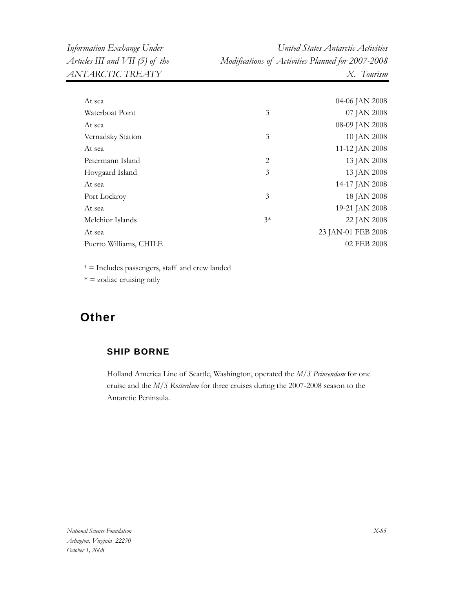| Information Exchange Under      | United States Antarctic Activities                |
|---------------------------------|---------------------------------------------------|
| Articles III and VII (5) of the | Modifications of Activities Planned for 2007-2008 |
| ANTARCTIC TREATY                | X. Tourism                                        |

| At sea                 |      | 04-06 JAN 2008     |
|------------------------|------|--------------------|
| Waterboat Point        | 3    | 07 JAN 2008        |
| At sea                 |      | 08-09 JAN 2008     |
| Vernadsky Station      | 3    | 10 JAN 2008        |
| At sea                 |      | 11-12 JAN 2008     |
| Petermann Island       | 2    | 13 JAN 2008        |
| Hovgaard Island        | 3    | 13 JAN 2008        |
| At sea                 |      | 14-17 JAN 2008     |
| Port Lockroy           | 3    | 18 JAN 2008        |
| At sea                 |      | 19-21 JAN 2008     |
| Melchior Islands       | $3*$ | 22 JAN 2008        |
| At sea                 |      | 23 JAN-01 FEB 2008 |
| Puerto Williams, CHILE |      | 02 FEB 2008        |
|                        |      |                    |

 $* =$  zodiac cruising only

# **Other**

## **SHIP BORNE**

Holland America Line of Seattle, Washington, operated the *M/S Prinsendam* for one cruise and the *M/S Rotterdam* for three cruises during the 2007-2008 season to the Antarctic Peninsula.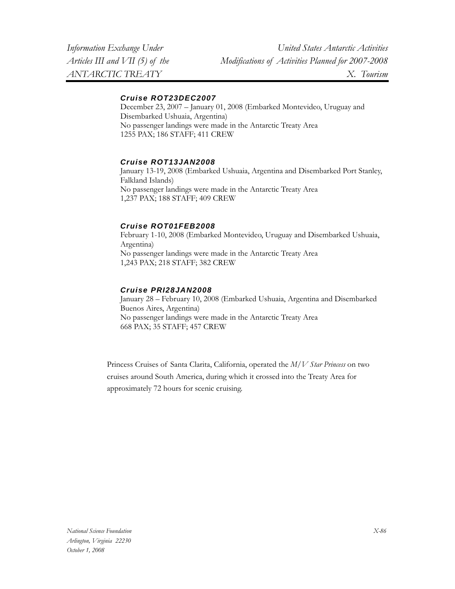### *Cruise ROT23DEC2007*

December 23, 2007 – January 01, 2008 (Embarked Montevideo, Uruguay and Disembarked Ushuaia, Argentina) No passenger landings were made in the Antarctic Treaty Area 1255 PAX; 186 STAFF; 411 CREW

### *Cruise ROT13JAN2008*

January 13-19, 2008 (Embarked Ushuaia, Argentina and Disembarked Port Stanley, Falkland Islands) No passenger landings were made in the Antarctic Treaty Area 1,237 PAX; 188 STAFF; 409 CREW

### *Cruise ROT01FEB2008*

February 1-10, 2008 (Embarked Montevideo, Uruguay and Disembarked Ushuaia, Argentina) No passenger landings were made in the Antarctic Treaty Area 1,243 PAX; 218 STAFF; 382 CREW

### *Cruise PRI28JAN2008*

January 28 – February 10, 2008 (Embarked Ushuaia, Argentina and Disembarked Buenos Aires, Argentina) No passenger landings were made in the Antarctic Treaty Area 668 PAX; 35 STAFF; 457 CREW

Princess Cruises of Santa Clarita, California, operated the *M/V Star Princess* on two cruises around South America, during which it crossed into the Treaty Area for approximately 72 hours for scenic cruising.